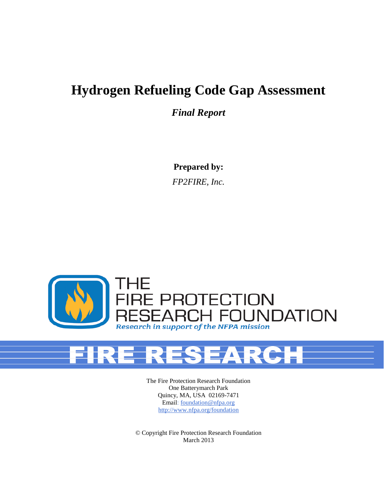# **Hydrogen Refueling Code Gap Assessment**

*Final Report*

**Prepared by:**

*FP2FIRE, Inc.*



The Fire Protection Research Foundation One Batterymarch Park Quincy, MA, USA 02169-7471 Email: [foundation@nfpa.org](mailto:Foundation@nfpa.org) [http://www.nfpa.org/foundation](http://www.nfpa.org/Foundation)

© Copyright Fire Protection Research Foundation March 2013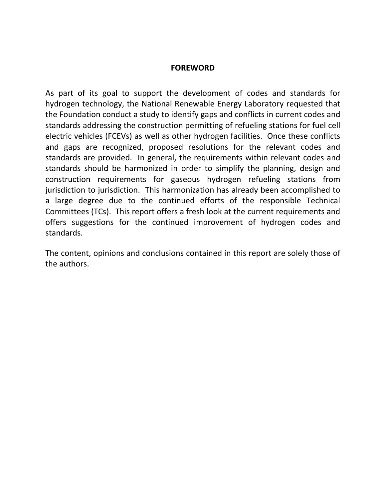#### **FOREWORD**

As part of its goal to support the development of codes and standards for hydrogen technology, the National Renewable Energy Laboratory requested that the Foundation conduct a study to identify gaps and conflicts in current codes and standards addressing the construction permitting of refueling stations for fuel cell electric vehicles (FCEVs) as well as other hydrogen facilities. Once these conflicts and gaps are recognized, proposed resolutions for the relevant codes and standards are provided. In general, the requirements within relevant codes and standards should be harmonized in order to simplify the planning, design and construction requirements for gaseous hydrogen refueling stations from jurisdiction to jurisdiction. This harmonization has already been accomplished to a large degree due to the continued efforts of the responsible Technical Committees (TCs). This report offers a fresh look at the current requirements and offers suggestions for the continued improvement of hydrogen codes and standards.

The content, opinions and conclusions contained in this report are solely those of the authors.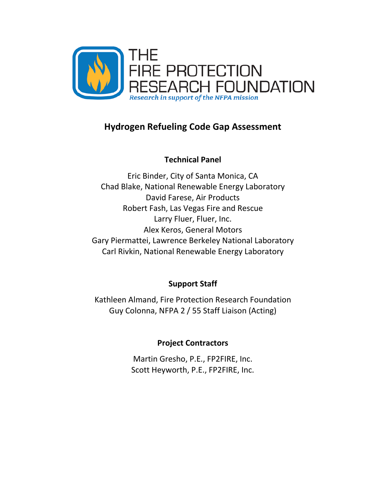

## **Hydrogen Refueling Code Gap Assessment**

**Technical Panel**

Eric Binder, City of Santa Monica, CA Chad Blake, National Renewable Energy Laboratory David Farese, Air Products Robert Fash, Las Vegas Fire and Rescue Larry Fluer, Fluer, Inc. Alex Keros, General Motors Gary Piermattei, Lawrence Berkeley National Laboratory Carl Rivkin, National Renewable Energy Laboratory

### **Support Staff**

Kathleen Almand, Fire Protection Research Foundation Guy Colonna, NFPA 2 / 55 Staff Liaison (Acting)

### **Project Contractors**

Martin Gresho, P.E., FP2FIRE, Inc. Scott Heyworth, P.E., FP2FIRE, Inc.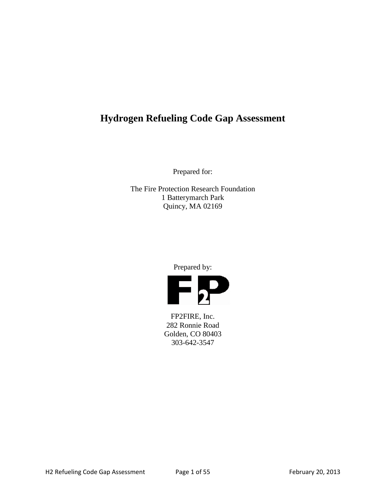## **Hydrogen Refueling Code Gap Assessment**

Prepared for:

The Fire Protection Research Foundation 1 Batterymarch Park Quincy, MA 02169

Prepared by:



FP2FIRE, Inc. 282 Ronnie Road Golden, CO 80403 303-642-3547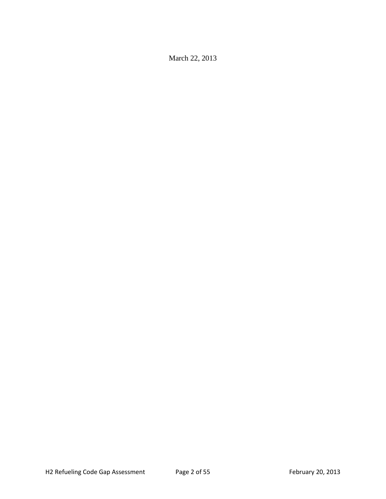March 22, 2013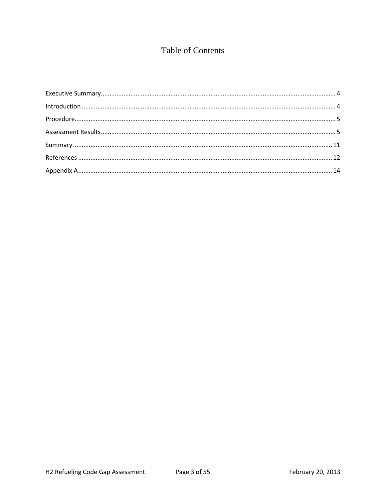### **Table of Contents**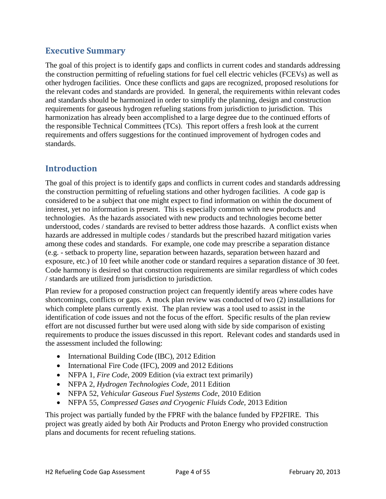#### <span id="page-6-0"></span>**Executive Summary**

The goal of this project is to identify gaps and conflicts in current codes and standards addressing the construction permitting of refueling stations for fuel cell electric vehicles (FCEVs) as well as other hydrogen facilities. Once these conflicts and gaps are recognized, proposed resolutions for the relevant codes and standards are provided. In general, the requirements within relevant codes and standards should be harmonized in order to simplify the planning, design and construction requirements for gaseous hydrogen refueling stations from jurisdiction to jurisdiction. This harmonization has already been accomplished to a large degree due to the continued efforts of the responsible Technical Committees (TCs). This report offers a fresh look at the current requirements and offers suggestions for the continued improvement of hydrogen codes and standards.

#### <span id="page-6-1"></span>**Introduction**

The goal of this project is to identify gaps and conflicts in current codes and standards addressing the construction permitting of refueling stations and other hydrogen facilities. A code gap is considered to be a subject that one might expect to find information on within the document of interest, yet no information is present. This is especially common with new products and technologies. As the hazards associated with new products and technologies become better understood, codes / standards are revised to better address those hazards. A conflict exists when hazards are addressed in multiple codes / standards but the prescribed hazard mitigation varies among these codes and standards. For example, one code may prescribe a separation distance (e.g. - setback to property line, separation between hazards, separation between hazard and exposure, etc.) of 10 feet while another code or standard requires a separation distance of 30 feet. Code harmony is desired so that construction requirements are similar regardless of which codes / standards are utilized from jurisdiction to jurisdiction.

Plan review for a proposed construction project can frequently identify areas where codes have shortcomings, conflicts or gaps. A mock plan review was conducted of two (2) installations for which complete plans currently exist. The plan review was a tool used to assist in the identification of code issues and not the focus of the effort. Specific results of the plan review effort are not discussed further but were used along with side by side comparison of existing requirements to produce the issues discussed in this report. Relevant codes and standards used in the assessment included the following:

- International Building Code (IBC), 2012 Edition
- International Fire Code (IFC), 2009 and 2012 Editions
- NFPA 1, *Fire Code*, 2009 Edition (via extract text primarily)
- NFPA 2, *Hydrogen Technologies Code*, 2011 Edition
- NFPA 52, *Vehicular Gaseous Fuel Systems Code*, 2010 Edition
- NFPA 55, *Compressed Gases and Cryogenic Fluids Code*, 2013 Edition

This project was partially funded by the FPRF with the balance funded by FP2FIRE. This project was greatly aided by both Air Products and Proton Energy who provided construction plans and documents for recent refueling stations.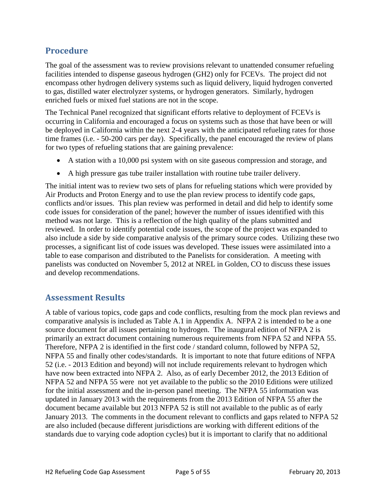#### <span id="page-7-0"></span>**Procedure**

The goal of the assessment was to review provisions relevant to unattended consumer refueling facilities intended to dispense gaseous hydrogen (GH2) only for FCEVs. The project did not encompass other hydrogen delivery systems such as liquid delivery, liquid hydrogen converted to gas, distilled water electrolyzer systems, or hydrogen generators. Similarly, hydrogen enriched fuels or mixed fuel stations are not in the scope.

The Technical Panel recognized that significant efforts relative to deployment of FCEVs is occurring in California and encouraged a focus on systems such as those that have been or will be deployed in California within the next 2-4 years with the anticipated refueling rates for those time frames (i.e. - 50-200 cars per day). Specifically, the panel encouraged the review of plans for two types of refueling stations that are gaining prevalence:

- A station with a 10,000 psi system with on site gaseous compression and storage, and
- A high pressure gas tube trailer installation with routine tube trailer delivery.

The initial intent was to review two sets of plans for refueling stations which were provided by Air Products and Proton Energy and to use the plan review process to identify code gaps, conflicts and/or issues. This plan review was performed in detail and did help to identify some code issues for consideration of the panel; however the number of issues identified with this method was not large. This is a reflection of the high quality of the plans submitted and reviewed. In order to identify potential code issues, the scope of the project was expanded to also include a side by side comparative analysis of the primary source codes. Utilizing these two processes, a significant list of code issues was developed. These issues were assimilated into a table to ease comparison and distributed to the Panelists for consideration. A meeting with panelists was conducted on November 5, 2012 at NREL in Golden, CO to discuss these issues and develop recommendations.

#### <span id="page-7-1"></span>**Assessment Results**

A table of various topics, code gaps and code conflicts, resulting from the mock plan reviews and comparative analysis is included as Table A.1 in Appendix A. NFPA 2 is intended to be a one source document for all issues pertaining to hydrogen. The inaugural edition of NFPA 2 is primarily an extract document containing numerous requirements from NFPA 52 and NFPA 55. Therefore, NFPA 2 is identified in the first code / standard column, followed by NFPA 52, NFPA 55 and finally other codes/standards. It is important to note that future editions of NFPA 52 (i.e. - 2013 Edition and beyond) will not include requirements relevant to hydrogen which have now been extracted into NFPA 2. Also, as of early December 2012, the 2013 Edition of NFPA 52 and NFPA 55 were not yet available to the public so the 2010 Editions were utilized for the initial assessment and the in-person panel meeting. The NFPA 55 information was updated in January 2013 with the requirements from the 2013 Edition of NFPA 55 after the document became available but 2013 NFPA 52 is still not available to the public as of early January 2013. The comments in the document relevant to conflicts and gaps related to NFPA 52 are also included (because different jurisdictions are working with different editions of the standards due to varying code adoption cycles) but it is important to clarify that no additional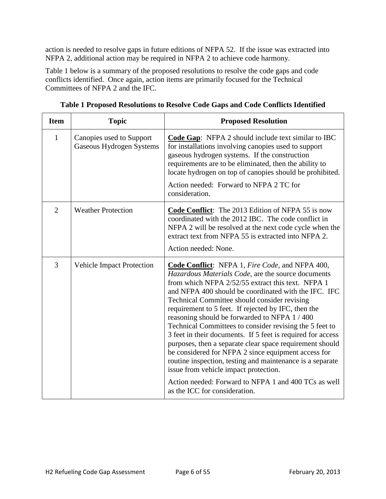action is needed to resolve gaps in future editions of NFPA 52. If the issue was extracted into NFPA 2, additional action may be required in NFPA 2 to achieve code harmony.

Table 1 below is a summary of the proposed resolutions to resolve the code gaps and code conflicts identified. Once again, action items are primarily focused for the Technical Committees of NFPA 2 and the IFC.

| <b>Item</b>    | <b>Topic</b>                                         | <b>Proposed Resolution</b>                                                                                                                                                                                                                                                                                                                                                                                                                                                                                                                                                                                                                                                                                                                                                                                                          |
|----------------|------------------------------------------------------|-------------------------------------------------------------------------------------------------------------------------------------------------------------------------------------------------------------------------------------------------------------------------------------------------------------------------------------------------------------------------------------------------------------------------------------------------------------------------------------------------------------------------------------------------------------------------------------------------------------------------------------------------------------------------------------------------------------------------------------------------------------------------------------------------------------------------------------|
| $\mathbf{1}$   | Canopies used to Support<br>Gaseous Hydrogen Systems | Code Gap: NFPA 2 should include text similar to IBC<br>for installations involving canopies used to support<br>gaseous hydrogen systems. If the construction<br>requirements are to be eliminated, then the ability to<br>locate hydrogen on top of canopies should be prohibited.<br>Action needed: Forward to NFPA 2 TC for<br>consideration.                                                                                                                                                                                                                                                                                                                                                                                                                                                                                     |
| $\overline{2}$ | <b>Weather Protection</b>                            | Code Conflict: The 2013 Edition of NFPA 55 is now<br>coordinated with the 2012 IBC. The code conflict in<br>NFPA 2 will be resolved at the next code cycle when the<br>extract text from NFPA 55 is extracted into NFPA 2.<br>Action needed: None.                                                                                                                                                                                                                                                                                                                                                                                                                                                                                                                                                                                  |
| 3              | <b>Vehicle Impact Protection</b>                     | <b>Code Conflict:</b> NFPA 1, <i>Fire Code</i> , and NFPA 400,<br>Hazardous Materials Code, are the source documents<br>from which NFPA 2/52/55 extract this text. NFPA 1<br>and NFPA 400 should be coordinated with the IFC. IFC<br>Technical Committee should consider revising<br>requirement to 5 feet. If rejected by IFC, then the<br>reasoning should be forwarded to NFPA 1/400<br>Technical Committees to consider revising the 5 feet to<br>3 feet in their documents. If 5 feet is required for access<br>purposes, then a separate clear space requirement should<br>be considered for NFPA 2 since equipment access for<br>routine inspection, testing and maintenance is a separate<br>issue from vehicle impact protection.<br>Action needed: Forward to NFPA 1 and 400 TCs as well<br>as the ICC for consideration. |

**Table 1 Proposed Resolutions to Resolve Code Gaps and Code Conflicts Identified**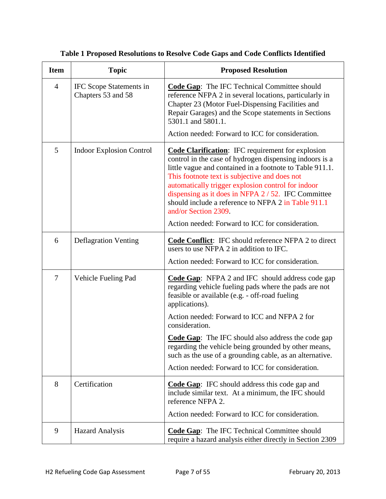| <b>Item</b>    | <b>Topic</b>                                  | <b>Proposed Resolution</b>                                                                                                                                                                                                                                                                                                                                                                                                                                                     |  |
|----------------|-----------------------------------------------|--------------------------------------------------------------------------------------------------------------------------------------------------------------------------------------------------------------------------------------------------------------------------------------------------------------------------------------------------------------------------------------------------------------------------------------------------------------------------------|--|
| $\overline{4}$ | IFC Scope Statements in<br>Chapters 53 and 58 | <b>Code Gap:</b> The IFC Technical Committee should<br>reference NFPA 2 in several locations, particularly in<br>Chapter 23 (Motor Fuel-Dispensing Facilities and<br>Repair Garages) and the Scope statements in Sections<br>5301.1 and 5801.1.                                                                                                                                                                                                                                |  |
|                |                                               | Action needed: Forward to ICC for consideration.                                                                                                                                                                                                                                                                                                                                                                                                                               |  |
| 5              | <b>Indoor Explosion Control</b>               | <b>Code Clarification:</b> IFC requirement for explosion<br>control in the case of hydrogen dispensing indoors is a<br>little vague and contained in a footnote to Table 911.1.<br>This footnote text is subjective and does not<br>automatically trigger explosion control for indoor<br>dispensing as it does in NFPA 2/52. IFC Committee<br>should include a reference to NFPA 2 in Table 911.1<br>and/or Section 2309.<br>Action needed: Forward to ICC for consideration. |  |
| 6              | <b>Deflagration Venting</b>                   | Code Conflict: IFC should reference NFPA 2 to direct                                                                                                                                                                                                                                                                                                                                                                                                                           |  |
|                |                                               | users to use NFPA 2 in addition to IFC.<br>Action needed: Forward to ICC for consideration.                                                                                                                                                                                                                                                                                                                                                                                    |  |
| 7              | Vehicle Fueling Pad                           | <b>Code Gap:</b> NFPA 2 and IFC should address code gap<br>regarding vehicle fueling pads where the pads are not<br>feasible or available (e.g. - off-road fueling<br>applications).                                                                                                                                                                                                                                                                                           |  |
|                |                                               | Action needed: Forward to ICC and NFPA 2 for<br>consideration.                                                                                                                                                                                                                                                                                                                                                                                                                 |  |
|                |                                               | <b>Code Gap:</b> The IFC should also address the code gap<br>regarding the vehicle being grounded by other means,<br>such as the use of a grounding cable, as an alternative.                                                                                                                                                                                                                                                                                                  |  |
|                |                                               | Action needed: Forward to ICC for consideration.                                                                                                                                                                                                                                                                                                                                                                                                                               |  |
| 8              | Certification                                 | <b>Code Gap:</b> IFC should address this code gap and<br>include similar text. At a minimum, the IFC should<br>reference NFPA 2.                                                                                                                                                                                                                                                                                                                                               |  |
|                |                                               | Action needed: Forward to ICC for consideration.                                                                                                                                                                                                                                                                                                                                                                                                                               |  |
| 9              | <b>Hazard Analysis</b>                        | <b>Code Gap:</b> The IFC Technical Committee should<br>require a hazard analysis either directly in Section 2309                                                                                                                                                                                                                                                                                                                                                               |  |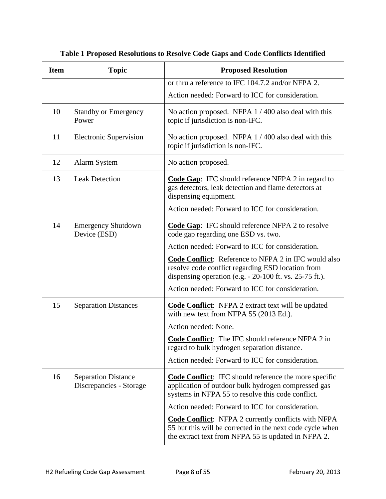| <b>Item</b> | <b>Topic</b>                                          | <b>Proposed Resolution</b>                                                                                                                                                                     |  |
|-------------|-------------------------------------------------------|------------------------------------------------------------------------------------------------------------------------------------------------------------------------------------------------|--|
|             |                                                       | or thru a reference to IFC 104.7.2 and/or NFPA 2.                                                                                                                                              |  |
|             |                                                       | Action needed: Forward to ICC for consideration.                                                                                                                                               |  |
| 10          | <b>Standby or Emergency</b><br>Power                  | No action proposed. NFPA $1/400$ also deal with this<br>topic if jurisdiction is non-IFC.                                                                                                      |  |
| 11          | <b>Electronic Supervision</b>                         | No action proposed. NFPA 1/400 also deal with this<br>topic if jurisdiction is non-IFC.                                                                                                        |  |
| 12          | <b>Alarm System</b>                                   | No action proposed.                                                                                                                                                                            |  |
| 13          | <b>Leak Detection</b>                                 | <b>Code Gap:</b> IFC should reference NFPA 2 in regard to<br>gas detectors, leak detection and flame detectors at<br>dispensing equipment.<br>Action needed: Forward to ICC for consideration. |  |
| 14          | <b>Emergency Shutdown</b><br>Device (ESD)             | <b>Code Gap:</b> IFC should reference NFPA 2 to resolve<br>code gap regarding one ESD vs. two.                                                                                                 |  |
|             |                                                       | Action needed: Forward to ICC for consideration.                                                                                                                                               |  |
|             |                                                       | Code Conflict: Reference to NFPA 2 in IFC would also<br>resolve code conflict regarding ESD location from<br>dispensing operation (e.g. - 20-100 ft. vs. 25-75 ft.).                           |  |
|             |                                                       | Action needed: Forward to ICC for consideration.                                                                                                                                               |  |
| 15          | <b>Separation Distances</b>                           | Code Conflict: NFPA 2 extract text will be updated<br>with new text from NFPA 55 (2013 Ed.).                                                                                                   |  |
|             |                                                       | Action needed: None.                                                                                                                                                                           |  |
|             |                                                       | <b>Code Conflict:</b> The IFC should reference NFPA 2 in<br>regard to bulk hydrogen separation distance.                                                                                       |  |
|             |                                                       | Action needed: Forward to ICC for consideration.                                                                                                                                               |  |
| 16          | <b>Separation Distance</b><br>Discrepancies - Storage | <b>Code Conflict:</b> IFC should reference the more specific<br>application of outdoor bulk hydrogen compressed gas<br>systems in NFPA 55 to resolve this code conflict.                       |  |
|             |                                                       | Action needed: Forward to ICC for consideration.                                                                                                                                               |  |
|             |                                                       | <b>Code Conflict:</b> NFPA 2 currently conflicts with NFPA<br>55 but this will be corrected in the next code cycle when<br>the extract text from NFPA 55 is updated in NFPA 2.                 |  |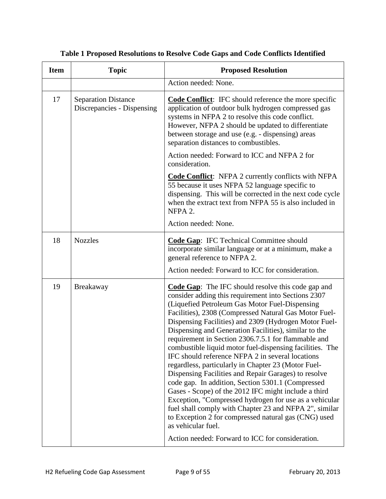| <b>Item</b> | <b>Topic</b>                                             | <b>Proposed Resolution</b>                                                                                                                                                                                                                                                                                                                                                                                                                                                                                                                                                                                                                                                                                                                                                                                                                                                                                                                         |  |
|-------------|----------------------------------------------------------|----------------------------------------------------------------------------------------------------------------------------------------------------------------------------------------------------------------------------------------------------------------------------------------------------------------------------------------------------------------------------------------------------------------------------------------------------------------------------------------------------------------------------------------------------------------------------------------------------------------------------------------------------------------------------------------------------------------------------------------------------------------------------------------------------------------------------------------------------------------------------------------------------------------------------------------------------|--|
|             |                                                          | Action needed: None.                                                                                                                                                                                                                                                                                                                                                                                                                                                                                                                                                                                                                                                                                                                                                                                                                                                                                                                               |  |
| 17          | <b>Separation Distance</b><br>Discrepancies - Dispensing | <b>Code Conflict:</b> IFC should reference the more specific<br>application of outdoor bulk hydrogen compressed gas<br>systems in NFPA 2 to resolve this code conflict.<br>However, NFPA 2 should be updated to differentiate<br>between storage and use (e.g. - dispensing) areas<br>separation distances to combustibles.                                                                                                                                                                                                                                                                                                                                                                                                                                                                                                                                                                                                                        |  |
|             |                                                          | Action needed: Forward to ICC and NFPA 2 for<br>consideration.                                                                                                                                                                                                                                                                                                                                                                                                                                                                                                                                                                                                                                                                                                                                                                                                                                                                                     |  |
|             |                                                          | <b>Code Conflict:</b> NFPA 2 currently conflicts with NFPA<br>55 because it uses NFPA 52 language specific to<br>dispensing. This will be corrected in the next code cycle<br>when the extract text from NFPA 55 is also included in<br>NFPA 2.                                                                                                                                                                                                                                                                                                                                                                                                                                                                                                                                                                                                                                                                                                    |  |
|             |                                                          | Action needed: None.                                                                                                                                                                                                                                                                                                                                                                                                                                                                                                                                                                                                                                                                                                                                                                                                                                                                                                                               |  |
| 18          | <b>Nozzles</b>                                           | <b>Code Gap:</b> IFC Technical Committee should<br>incorporate similar language or at a minimum, make a<br>general reference to NFPA 2.                                                                                                                                                                                                                                                                                                                                                                                                                                                                                                                                                                                                                                                                                                                                                                                                            |  |
|             |                                                          | Action needed: Forward to ICC for consideration.                                                                                                                                                                                                                                                                                                                                                                                                                                                                                                                                                                                                                                                                                                                                                                                                                                                                                                   |  |
| 19          | Breakaway                                                | <b>Code Gap:</b> The IFC should resolve this code gap and<br>consider adding this requirement into Sections 2307<br>(Liquefied Petroleum Gas Motor Fuel-Dispensing<br>Facilities), 2308 (Compressed Natural Gas Motor Fuel-<br>Dispensing Facilities) and 2309 (Hydrogen Motor Fuel-<br>Dispensing and Generation Facilities), similar to the<br>requirement in Section 2306.7.5.1 for flammable and<br>combustible liquid motor fuel-dispensing facilities. The<br>IFC should reference NFPA 2 in several locations<br>regardless, particularly in Chapter 23 (Motor Fuel-<br>Dispensing Facilities and Repair Garages) to resolve<br>code gap. In addition, Section 5301.1 (Compressed<br>Gases - Scope) of the 2012 IFC might include a third<br>Exception, "Compressed hydrogen for use as a vehicular<br>fuel shall comply with Chapter 23 and NFPA 2", similar<br>to Exception 2 for compressed natural gas (CNG) used<br>as vehicular fuel. |  |
|             |                                                          | Action needed: Forward to ICC for consideration.                                                                                                                                                                                                                                                                                                                                                                                                                                                                                                                                                                                                                                                                                                                                                                                                                                                                                                   |  |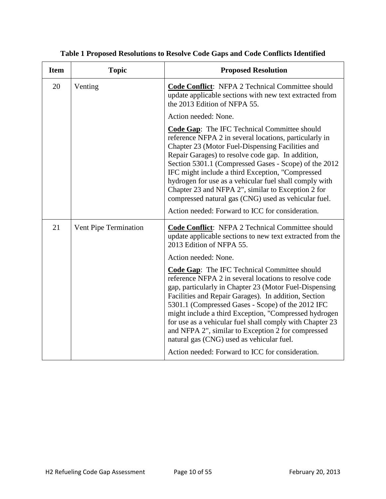| <b>Item</b> | <b>Topic</b>          | <b>Proposed Resolution</b>                                                                                                                                                                                                                                                                                                                                                                                                                                                                                                                                      |
|-------------|-----------------------|-----------------------------------------------------------------------------------------------------------------------------------------------------------------------------------------------------------------------------------------------------------------------------------------------------------------------------------------------------------------------------------------------------------------------------------------------------------------------------------------------------------------------------------------------------------------|
| 20          | Venting               | Code Conflict: NFPA 2 Technical Committee should<br>update applicable sections with new text extracted from<br>the 2013 Edition of NFPA 55.                                                                                                                                                                                                                                                                                                                                                                                                                     |
|             |                       | Action needed: None.                                                                                                                                                                                                                                                                                                                                                                                                                                                                                                                                            |
|             |                       | <b>Code Gap:</b> The IFC Technical Committee should<br>reference NFPA 2 in several locations, particularly in<br>Chapter 23 (Motor Fuel-Dispensing Facilities and<br>Repair Garages) to resolve code gap. In addition,<br>Section 5301.1 (Compressed Gases - Scope) of the 2012<br>IFC might include a third Exception, "Compressed<br>hydrogen for use as a vehicular fuel shall comply with<br>Chapter 23 and NFPA 2", similar to Exception 2 for<br>compressed natural gas (CNG) used as vehicular fuel.<br>Action needed: Forward to ICC for consideration. |
|             |                       |                                                                                                                                                                                                                                                                                                                                                                                                                                                                                                                                                                 |
| 21          | Vent Pipe Termination | <b>Code Conflict:</b> NFPA 2 Technical Committee should<br>update applicable sections to new text extracted from the<br>2013 Edition of NFPA 55.                                                                                                                                                                                                                                                                                                                                                                                                                |
|             |                       | Action needed: None.                                                                                                                                                                                                                                                                                                                                                                                                                                                                                                                                            |
|             |                       | <b>Code Gap:</b> The IFC Technical Committee should<br>reference NFPA 2 in several locations to resolve code<br>gap, particularly in Chapter 23 (Motor Fuel-Dispensing<br>Facilities and Repair Garages). In addition, Section<br>5301.1 (Compressed Gases - Scope) of the 2012 IFC<br>might include a third Exception, "Compressed hydrogen<br>for use as a vehicular fuel shall comply with Chapter 23<br>and NFPA 2", similar to Exception 2 for compressed<br>natural gas (CNG) used as vehicular fuel.                                                     |
|             |                       | Action needed: Forward to ICC for consideration.                                                                                                                                                                                                                                                                                                                                                                                                                                                                                                                |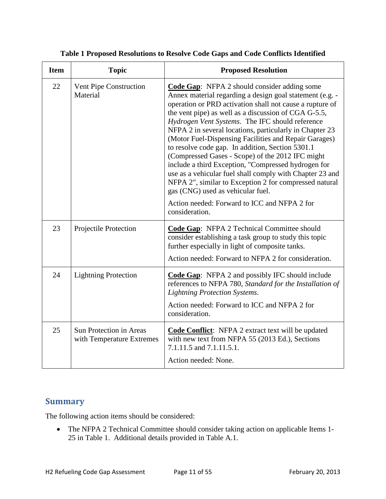| <b>Item</b> | <b>Topic</b>                                                | <b>Proposed Resolution</b>                                                                                                                                                                                                                                                                                                                                                                                                                                                                                                                                                                                                                                                                                                                                                                             |
|-------------|-------------------------------------------------------------|--------------------------------------------------------------------------------------------------------------------------------------------------------------------------------------------------------------------------------------------------------------------------------------------------------------------------------------------------------------------------------------------------------------------------------------------------------------------------------------------------------------------------------------------------------------------------------------------------------------------------------------------------------------------------------------------------------------------------------------------------------------------------------------------------------|
| 22          | Vent Pipe Construction<br>Material                          | <b>Code Gap:</b> NFPA 2 should consider adding some<br>Annex material regarding a design goal statement (e.g. -<br>operation or PRD activation shall not cause a rupture of<br>the vent pipe) as well as a discussion of CGA G-5.5,<br>Hydrogen Vent Systems. The IFC should reference<br>NFPA 2 in several locations, particularly in Chapter 23<br>(Motor Fuel-Dispensing Facilities and Repair Garages)<br>to resolve code gap. In addition, Section 5301.1<br>(Compressed Gases - Scope) of the 2012 IFC might<br>include a third Exception, "Compressed hydrogen for<br>use as a vehicular fuel shall comply with Chapter 23 and<br>NFPA 2", similar to Exception 2 for compressed natural<br>gas (CNG) used as vehicular fuel.<br>Action needed: Forward to ICC and NFPA 2 for<br>consideration. |
| 23          | Projectile Protection                                       | Code Gap: NFPA 2 Technical Committee should<br>consider establishing a task group to study this topic<br>further especially in light of composite tanks.<br>Action needed: Forward to NFPA 2 for consideration.                                                                                                                                                                                                                                                                                                                                                                                                                                                                                                                                                                                        |
| 24          | <b>Lightning Protection</b>                                 | <b>Code Gap:</b> NFPA 2 and possibly IFC should include<br>references to NFPA 780, Standard for the Installation of<br><b>Lightning Protection Systems.</b><br>Action needed: Forward to ICC and NFPA 2 for<br>consideration.                                                                                                                                                                                                                                                                                                                                                                                                                                                                                                                                                                          |
| 25          | <b>Sun Protection in Areas</b><br>with Temperature Extremes | <b>Code Conflict:</b> NFPA 2 extract text will be updated<br>with new text from NFPA 55 (2013 Ed.), Sections<br>7.1.11.5 and 7.1.11.5.1.<br>Action needed: None.                                                                                                                                                                                                                                                                                                                                                                                                                                                                                                                                                                                                                                       |

#### <span id="page-13-0"></span>**Summary**

The following action items should be considered:

• The NFPA 2 Technical Committee should consider taking action on applicable Items 1- 25 in Table 1. Additional details provided in Table A.1.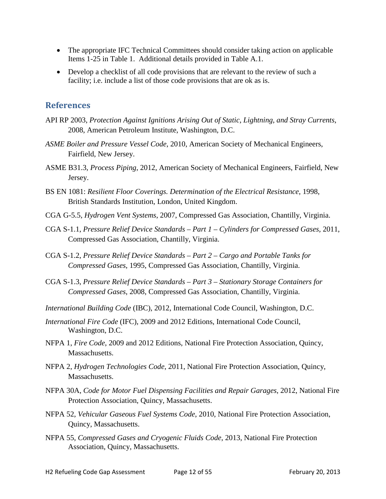- The appropriate IFC Technical Committees should consider taking action on applicable Items 1-25 in Table 1. Additional details provided in Table A.1.
- Develop a checklist of all code provisions that are relevant to the review of such a facility; i.e. include a list of those code provisions that are ok as is.

#### <span id="page-14-0"></span>**References**

- API RP 2003, *Protection Against Ignitions Arising Out of Static, Lightning, and Stray Currents*, 2008, American Petroleum Institute, Washington, D.C.
- *ASME Boiler and Pressure Vessel Code*, 2010, American Society of Mechanical Engineers, Fairfield, New Jersey.
- ASME B31.3*, Process Piping*, 2012, American Society of Mechanical Engineers, Fairfield, New Jersey.
- BS EN 1081: *Resilient Floor Coverings. Determination of the Electrical Resistance*, 1998, British Standards Institution, London, United Kingdom.
- CGA G-5.5, *Hydrogen Vent Systems*, 2007, Compressed Gas Association, Chantilly, Virginia.
- CGA S-1.1, *Pressure Relief Device Standards – Part 1 – Cylinders for Compressed Gases,* 2011, Compressed Gas Association, Chantilly, Virginia.
- CGA S-1.2, *Pressure Relief Device Standards – Part 2 – Cargo and Portable Tanks for Compressed Gases*, 1995, Compressed Gas Association, Chantilly, Virginia.
- CGA S-1.3, *Pressure Relief Device Standards – Part 3 – Stationary Storage Containers for Compressed Gases*, 2008, Compressed Gas Association, Chantilly, Virginia.
- *International Building Code* (IBC), 2012, International Code Council, Washington, D.C.
- *International Fire Code* (IFC), 2009 and 2012 Editions, International Code Council, Washington, D.C.
- NFPA 1, *Fire Code*, 2009 and 2012 Editions, National Fire Protection Association, Quincy, Massachusetts.
- NFPA 2, *Hydrogen Technologies Code*, 2011, National Fire Protection Association, Quincy, Massachusetts.
- NFPA 30A, *Code for Motor Fuel Dispensing Facilities and Repair Garages*, 2012, National Fire Protection Association, Quincy, Massachusetts.
- NFPA 52, *Vehicular Gaseous Fuel Systems Code*, 2010, National Fire Protection Association, Quincy, Massachusetts.
- NFPA 55, *Compressed Gases and Cryogenic Fluids Code*, 2013, National Fire Protection Association, Quincy, Massachusetts.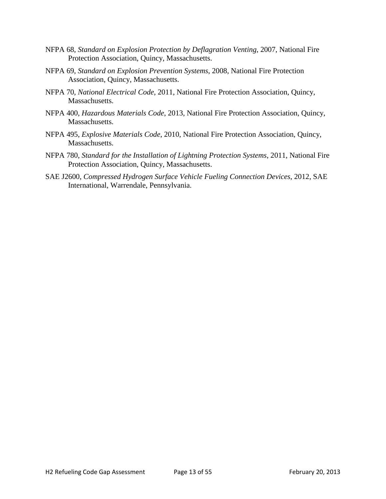- NFPA 68, *Standard on Explosion Protection by Deflagration Venting*, 2007, National Fire Protection Association, Quincy, Massachusetts.
- NFPA 69, *Standard on Explosion Prevention Systems*, 2008, National Fire Protection Association, Quincy, Massachusetts.
- NFPA 70, *National Electrical Code*, 2011, National Fire Protection Association, Quincy, Massachusetts.
- NFPA 400, *Hazardous Materials Code*, 2013, National Fire Protection Association, Quincy, Massachusetts.
- NFPA 495, *Explosive Materials Code*, 2010, National Fire Protection Association, Quincy, Massachusetts.
- NFPA 780, *Standard for the Installation of Lightning Protection Systems*, 2011, National Fire Protection Association, Quincy, Massachusetts.
- SAE J2600, *Compressed Hydrogen Surface Vehicle Fueling Connection Devices*, 2012, SAE International, Warrendale, Pennsylvania.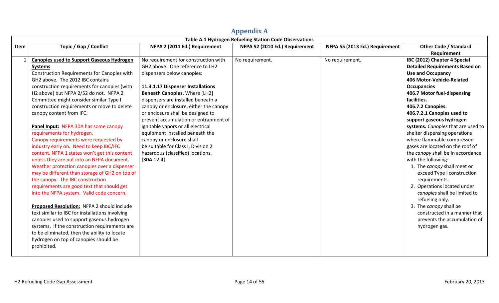<span id="page-16-0"></span>

|      | Table A.1 Hydrogen Refueling Station Code Observations                                                                                                                                                                                                                                                                                                                                                                                                                                                                                                                                                                                                                                                                                                                                                                                                                                                                                                                                                                                                                                                                                                                  |                                                                                                                                                                                                                                                                                                                                                                                                                                                                                                                                           |                                |                                |                                                                                                                                                                                                                                                                                                                                                                                                                                                                                                                                                                                                                                                                                                                                                                   |
|------|-------------------------------------------------------------------------------------------------------------------------------------------------------------------------------------------------------------------------------------------------------------------------------------------------------------------------------------------------------------------------------------------------------------------------------------------------------------------------------------------------------------------------------------------------------------------------------------------------------------------------------------------------------------------------------------------------------------------------------------------------------------------------------------------------------------------------------------------------------------------------------------------------------------------------------------------------------------------------------------------------------------------------------------------------------------------------------------------------------------------------------------------------------------------------|-------------------------------------------------------------------------------------------------------------------------------------------------------------------------------------------------------------------------------------------------------------------------------------------------------------------------------------------------------------------------------------------------------------------------------------------------------------------------------------------------------------------------------------------|--------------------------------|--------------------------------|-------------------------------------------------------------------------------------------------------------------------------------------------------------------------------------------------------------------------------------------------------------------------------------------------------------------------------------------------------------------------------------------------------------------------------------------------------------------------------------------------------------------------------------------------------------------------------------------------------------------------------------------------------------------------------------------------------------------------------------------------------------------|
| Item | Topic / Gap / Conflict                                                                                                                                                                                                                                                                                                                                                                                                                                                                                                                                                                                                                                                                                                                                                                                                                                                                                                                                                                                                                                                                                                                                                  | NFPA 2 (2011 Ed.) Requirement                                                                                                                                                                                                                                                                                                                                                                                                                                                                                                             | NFPA 52 (2010 Ed.) Requirement | NFPA 55 (2013 Ed.) Requirement | <b>Other Code / Standard</b><br>Requirement                                                                                                                                                                                                                                                                                                                                                                                                                                                                                                                                                                                                                                                                                                                       |
|      | <b>Canopies used to Support Gaseous Hydrogen</b><br><b>Systems</b><br>Construction Requirements for Canopies with<br>GH2 above. The 2012 IBC contains<br>construction requirements for canopies (with<br>H2 above) but NFPA 2/52 do not. NFPA 2<br>Committee might consider similar Type I<br>construction requirements or move to delete<br>canopy content from IFC.<br>Panel Input: NFPA 30A has some canopy<br>requirements for hydrogen.<br>Canopy requirements were requested by<br>industry early on. Need to keep IBC/IFC<br>content. NFPA 1 states won't get this content<br>unless they are put into an NFPA document.<br>Weather protection canopies over a dispenser<br>may be different than storage of GH2 on top of<br>the canopy. The IBC construction<br>requirements are good text that should get<br>into the NFPA system. Valid code concern.<br>Proposed Resolution: NFPA 2 should include<br>text similar to IBC for installations involving<br>canopies used to support gaseous hydrogen<br>systems. If the construction requirements are<br>to be eliminated, then the ability to locate<br>hydrogen on top of canopies should be<br>prohibited. | No requirement for construction with<br>GH2 above. One reference to LH2<br>dispensers below canopies:<br>11.3.1.17 Dispenser Installations<br>Beneath Canopies. Where [LH2]<br>dispensers are installed beneath a<br>canopy or enclosure, either the canopy<br>or enclosure shall be designed to<br>prevent accumulation or entrapment of<br>ignitable vapors or all electrical<br>equipment installed beneath the<br>canopy or enclosure shall<br>be suitable for Class I, Division 2<br>hazardous (classified) locations.<br>[30A:12.4] | No requirement.                | No requirement.                | IBC (2012) Chapter 4 Special<br><b>Detailed Requirements Based on</b><br><b>Use and Occupancy</b><br>406 Motor-Vehicle-Related<br><b>Occupancies</b><br>406.7 Motor fuel-dispensing<br>facilities.<br>406.7.2 Canopies.<br>406.7.2.1 Canopies used to<br>support gaseous hydrogen<br>systems. Canopies that are used to<br>shelter dispensing operations<br>where flammable compressed<br>gases are located on the roof of<br>the canopy shall be in accordance<br>with the following:<br>1. The canopy shall meet or<br>exceed Type I construction<br>requirements.<br>2. Operations located under<br>canopies shall be limited to<br>refueling only.<br>3. The canopy shall be<br>constructed in a manner that<br>prevents the accumulation of<br>hydrogen gas. |
|      |                                                                                                                                                                                                                                                                                                                                                                                                                                                                                                                                                                                                                                                                                                                                                                                                                                                                                                                                                                                                                                                                                                                                                                         |                                                                                                                                                                                                                                                                                                                                                                                                                                                                                                                                           |                                |                                |                                                                                                                                                                                                                                                                                                                                                                                                                                                                                                                                                                                                                                                                                                                                                                   |

## **Appendix A**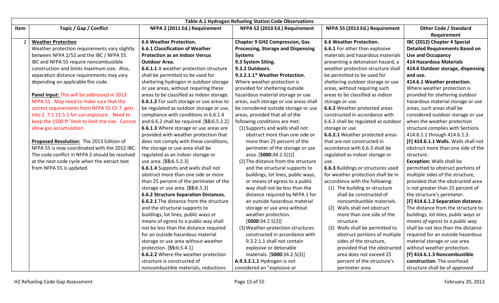|      | Table A.1 Hydrogen Refueling Station Code Observations      |                                           |                                           |                                     |                                       |
|------|-------------------------------------------------------------|-------------------------------------------|-------------------------------------------|-------------------------------------|---------------------------------------|
| Item | Topic / Gap / Conflict                                      | NFPA 2 (2011 Ed.) Requirement             | NFPA 52 (2010 Ed.) Requirement            | NFPA 55 (2013 Ed.) Requirement      | <b>Other Code / Standard</b>          |
|      |                                                             |                                           |                                           |                                     | Requirement                           |
|      | <b>Weather Protection</b>                                   | <b>6.6 Weather Protection.</b>            | <b>Chapter 9 GH2 Compression, Gas</b>     | <b>6.6 Weather Protection.</b>      | IBC (2012) Chapter 4 Special          |
|      | Weather protection requirements vary slightly               | 6.6.1 Classification of Weather           | <b>Processing, Storage and Dispensing</b> | 6.6.1 For other than explosive      | <b>Detailed Requirements Based on</b> |
|      | between NFPA 2/52 and the IBC / NFPA 55.                    | <b>Protection as an Indoor Versus</b>     | <b>Systems</b>                            | materials and hazardous materials   | <b>Use and Occupancy</b>              |
|      | IBC and NFPA 55 require noncombustible                      | <b>Outdoor Area.</b>                      | 9.3 System Siting.                        | presenting a detonation hazard, a   | <b>414 Hazardous Materials</b>        |
|      | construction and limits maximum size. Also,                 | 6.6.1.1 A weather protection structure    | 9.3.2 Outdoors.                           | weather protection structure shall  | 414.6 Outdoor storage, dispensing     |
|      | separation distance requirements may vary                   | shall be permitted to be used for         | 9.3.2.1.1* Weather Protection.            | be permitted to be used for         | and use.                              |
|      | depending on applicable fire code.                          | sheltering hydrogen in outdoor storage    | Where weather protection is               | sheltering outdoor storage or use   | 414.6.1 Weather protection.           |
|      |                                                             | or use areas, without requiring these     | provided for sheltering outside           | areas, without requiring such       | Where weather protection is           |
|      | Panel Input: This will be addressed in 2013                 | areas to be classified as indoor storage. | hazardous material storage or use         | areas to be classified as indoor    | provided for sheltering outdoor       |
|      | NFPA 55. May need to make sure that the                     | 6.6.1.2 For such storage or use areas to  | areas, such storage or use areas shall    | storage or use.                     | hazardous material storage or use     |
|      | correct requirements from NFPA 55 Ch 7 gets                 | be regulated as outdoor storage or use,   | be considered outside storage or use      | 6.6.2 Weather protected areas       | areas, such areas shall be            |
|      | into 2.7.1.11.5.1 for sun exposure. Need to                 | compliance with conditions in 6.6.1.4     | areas, provided that all of the           | constructed in accordance with      | considered outdoor storage or use     |
|      | keep the 1500 $\text{ft}^2$ limit to limit the size. Cannot | and 6.6.2 shall be required. [55:6.5.2.2] | following conditions are met:             | 6.6.3 shall be regulated as outdoor | when the weather protection           |
|      | allow gas accumulation.                                     | 6.6.1.3 Where storage or use areas are    | (1) Supports and walls shall not          | storage or use.                     | structure complies with Sections      |
|      |                                                             | provided with weather protection that     | obstruct more than one side or            | 6.6.2.1 Weather protected areas     | 414.6.1.1 through 414.6.1.3.          |
|      | Proposed Resolution: The 2013 Edition of                    | does not comply with these conditions,    | more than 25 percent of the               | that are not constructed in         | [F] 414.6.1.1 Walls. Walls shall not  |
|      | NFPA 55 is now coordinated with the 2012 IBC.               | the storage or use area shall be          | perimeter of the storage or use           | accordance with 6.6.3 shall be      | obstruct more than one side of the    |
|      | The code conflict in NFPA 2 should be resolved              | regulated as an indoor storage or         | area. [5000:34.2.5(1)]                    | regulated as indoor storage or      | structure.                            |
|      | at the next code cycle when the extract text                | use area. [55:6.5.2.3]                    | (2) The distance from the structure       | use.                                | <b>Exception: Walls shall be</b>      |
|      | from NFPA 55 is updated.                                    | 6.6.1.4 Supports and walls shall not      | and the structural supports to            | 6.6.3 Buildings or structures used  | permitted to obstruct portions of     |
|      |                                                             | obstruct more than one side or more       | buildings, lot lines, public ways,        | for weather protection shall be in  | multiple sides of the structure,      |
|      |                                                             | than 25 percent of the perimeter of the   | or means of egress to a public            | accordance with the following:      | provided that the obstructed area     |
|      |                                                             | storage or use area. [55:6.5.3]           | way shall not be less than the            | (1) The building or structure       | is not greater than 25 percent of     |
|      |                                                             | 6.6.2 Structure Separation Distances.     | distance required by NFPA 1 for           | shall be constructed of             | the structure's perimeter.            |
|      |                                                             | 6.6.2.1 The distance from the structure   | an outside hazardous material             | noncombustible materials.           | [F] 414.6.1.2 Separation distance.    |
|      |                                                             | and the structural supports to            | storage or use area without               | (2) Walls shall not obstruct        | The distance from the structure to    |
|      |                                                             | buildings, lot lines, public ways or      | weather protection.                       | more than one side of the           | buildings, lot lines, public ways or  |
|      |                                                             | means of egress to a public way shall     | [5000:34.2.5(2)]                          | structure.                          | means of egress to a public way       |
|      |                                                             | not be less than the distance required    | (3) Weather-protection structures         | (3) Walls shall be permitted to     | shall be not less than the distance   |
|      |                                                             | for an outside hazardous material         | constructed in accordance with            | obstruct portions of multiple       | required for an outside hazardous     |
|      |                                                             | storage or use area without weather       | 9.3.2.1.1 shall not contain               | sides of the structure,             | material storage or use area          |
|      |                                                             | protection. [55:6.5.4.1]                  | explosive or detonable                    | provided that the obstructed        | without weather protection.           |
|      |                                                             | 6.6.2.2 Where the weather protection      | materials. [5000:34.2.5(3)]               | area does not exceed 25             | [F] 414.6.1.3 Noncombustible          |
|      |                                                             | structure is constructed of               | A.9.3.2.1.1 Hydrogen is not               | percent of the structure's          | construction. The overhead            |
|      |                                                             | noncombustible materials, reductions      | considered an "explosive or               | perimeter area.                     | structure shall be of approved        |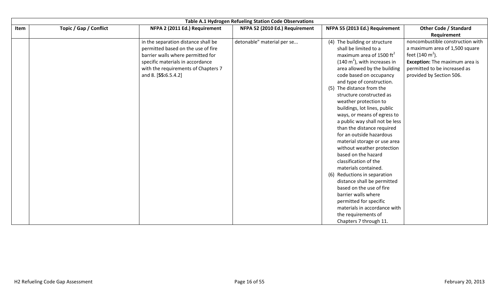|      | Table A.1 Hydrogen Refueling Station Code Observations |                                                                                                                                                                                                                  |                                |                                                                                                                                                                                                                                                                                                                                                                                                                                                                                                                                                                                                                                                                                                                                                                                                                       |                                                                                                                                                                                                        |
|------|--------------------------------------------------------|------------------------------------------------------------------------------------------------------------------------------------------------------------------------------------------------------------------|--------------------------------|-----------------------------------------------------------------------------------------------------------------------------------------------------------------------------------------------------------------------------------------------------------------------------------------------------------------------------------------------------------------------------------------------------------------------------------------------------------------------------------------------------------------------------------------------------------------------------------------------------------------------------------------------------------------------------------------------------------------------------------------------------------------------------------------------------------------------|--------------------------------------------------------------------------------------------------------------------------------------------------------------------------------------------------------|
| Item | Topic / Gap / Conflict                                 | NFPA 2 (2011 Ed.) Requirement                                                                                                                                                                                    | NFPA 52 (2010 Ed.) Requirement | NFPA 55 (2013 Ed.) Requirement                                                                                                                                                                                                                                                                                                                                                                                                                                                                                                                                                                                                                                                                                                                                                                                        | <b>Other Code / Standard</b>                                                                                                                                                                           |
|      |                                                        |                                                                                                                                                                                                                  |                                |                                                                                                                                                                                                                                                                                                                                                                                                                                                                                                                                                                                                                                                                                                                                                                                                                       | Requirement                                                                                                                                                                                            |
|      |                                                        | in the separation distance shall be<br>permitted based on the use of fire<br>barrier walls where permitted for<br>specific materials in accordance<br>with the requirements of Chapters 7<br>and 8. [55:6.5.4.2] | detonable" material per se     | (4) The building or structure<br>shall be limited to a<br>maximum area of 1500 $\text{ft}^2$<br>$(140 \text{ m}^2)$ , with increases in<br>area allowed by the building<br>code based on occupancy<br>and type of construction.<br>(5) The distance from the<br>structure constructed as<br>weather protection to<br>buildings, lot lines, public<br>ways, or means of egress to<br>a public way shall not be less<br>than the distance required<br>for an outside hazardous<br>material storage or use area<br>without weather protection<br>based on the hazard<br>classification of the<br>materials contained.<br>(6) Reductions in separation<br>distance shall be permitted<br>based on the use of fire<br>barrier walls where<br>permitted for specific<br>materials in accordance with<br>the requirements of | noncombustible construction with<br>a maximum area of 1,500 square<br>feet (140 m <sup>2</sup> ).<br><b>Exception:</b> The maximum area is<br>permitted to be increased as<br>provided by Section 506. |
|      |                                                        |                                                                                                                                                                                                                  |                                | Chapters 7 through 11.                                                                                                                                                                                                                                                                                                                                                                                                                                                                                                                                                                                                                                                                                                                                                                                                |                                                                                                                                                                                                        |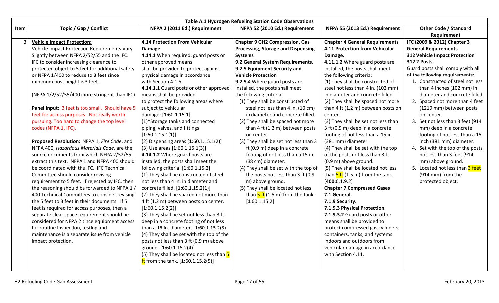|      | Table A.1 Hydrogen Refueling Station Code Observations |                                             |                                                          |                                                          |                                   |
|------|--------------------------------------------------------|---------------------------------------------|----------------------------------------------------------|----------------------------------------------------------|-----------------------------------|
| Item | Topic / Gap / Conflict                                 | NFPA 2 (2011 Ed.) Requirement               | NFPA 52 (2010 Ed.) Requirement                           | NFPA 55 (2013 Ed.) Requirement                           | <b>Other Code / Standard</b>      |
|      |                                                        |                                             |                                                          |                                                          | Requirement                       |
|      | <b>Vehicle Impact Protection:</b>                      | 4.14 Protection From Vehicular              | <b>Chapter 9 GH2 Compression, Gas</b>                    | <b>Chapter 4 General Requirements</b>                    | IFC (2009 & 2012) Chapter 3       |
|      | Vehicle Impact Protection Requirements Vary            | Damage.                                     | <b>Processing, Storage and Dispensing</b>                | 4.11 Protection from Vehicular                           | <b>General Requirements</b>       |
|      | Slightly between NFPA 2/52/55 and the IFC.             | 4.14.1 When required, guard posts or        | <b>Systems</b>                                           | Damage.                                                  | 312 Vehicle Impact Protection     |
|      | IFC to consider increasing clearance to                | other approved means                        | 9.2 General System Requirements.                         | 4.11.1.2 Where guard posts are                           | 312.2 Posts.                      |
|      | protected object to 5 feet for additional safety       | shall be provided to protect against        | 9.2.5 Equipment Security and                             | installed, the posts shall meet                          | Guard posts shall comply with all |
|      | or NFPA 1/400 to reduce to 3 feet since                | physical damage in accordance               | <b>Vehicle Protection</b>                                | the following criteria:                                  | of the following requirements:    |
|      | minimum post height is 3 feet.                         | with Section 4.1.5.                         | 9.2.5.4 Where guard posts are                            | (1) They shall be constructed of                         | 1. Constructed of steel not less  |
|      |                                                        | 4.14.1.1 Guard posts or other approved      | installed, the posts shall meet                          | steel not less than 4 in. (102 mm)                       | than 4 inches (102 mm) in         |
|      | (NFPA 1/2/52/55/400 more stringent than IFC)           | means shall be provided                     | the following criteria:                                  | in diameter and concrete filled.                         | diameter and concrete filled.     |
|      |                                                        | to protect the following areas where        | (1) They shall be constructed of                         | (2) They shall be spaced not more                        | 2. Spaced not more than 4 feet    |
|      | Panel Input: 3 feet is too small. Should have 5        | subject to vehicular                        | steel not less than 4 in. (10 cm)                        | than 4 ft (1.2 m) between posts on                       | (1219 mm) between posts           |
|      | feet for access purposes. Not really worth             | damage: [1:60.1.15.1]                       | in diameter and concrete filled.                         | center.                                                  | on center.                        |
|      | pursuing. Too hard to change the top level             | (1)*Storage tanks and connected             | (2) They shall be spaced not more                        | (3) They shall be set not less than                      | 3. Set not less than 3 feet (914  |
|      | codes (NFPA 1, IFC).                                   | piping, valves, and fittings                | than 4 ft (1.2 m) between posts                          | 3 ft (0.9 m) deep in a concrete                          | mm) deep in a concrete            |
|      |                                                        | [1:60.1.15.1(1)]                            | on center.                                               | footing of not less than a 15 in.                        | footing of not less than a 15-    |
|      | Proposed Resolution: NFPA 1, Fire Code, and            | (2) Dispensing areas [1:60.1.15.1(2)]       | (3) They shall be set not less than 3                    | (381 mm) diameter.                                       | inch (381 mm) diameter.           |
|      | NFPA 400, Hazardous Materials Code, are the            | $(3)$ Use areas $[1:60.1.15.1(3)]$          | ft (0.9 m) deep in a concrete                            | (4) They shall be set with the top                       | 4. Set with the top of the posts  |
|      | source documents from which NFPA 2/52/55               | 4.14.1.2 Where guard posts are              | footing of not less than a 15 in.                        | of the posts not less than 3 ft                          | not less than 3 feet (914         |
|      | extract this text. NFPA 1 and NFPA 400 should          | installed, the posts shall meet the         | (38 cm) diameter.                                        | (0.9 m) above ground.                                    | mm) above ground.                 |
|      | be coordinated with the IFC. IFC Technical             | following criteria: [1:60.1.15.2]           | (4) They shall be set with the top of                    | (5) They shall be located not less                       | 5. Located not less than 3 feet   |
|      | Committee should consider revising                     | (1) They shall be constructed of steel      | the posts not less than 3 ft (0.9                        | than $\frac{5 \text{ ft}}{1.5 \text{ m}}$ from the tank. | (914 mm) from the                 |
|      | requirement to 5 feet. If rejected by IFC, then        | not less than 4 in. in diameter and         | m) above ground.                                         | [400:6.1.9.2]                                            | protected object.                 |
|      | the reasoning should be forwarded to NFPA 1/           | concrete filled. [1:60.1.15.2(1)]           | (5) They shall be located not less                       | <b>Chapter 7 Compressed Gases</b>                        |                                   |
|      | 400 Technical Committees to consider revising          | (2) They shall be spaced not more than      | than $\frac{5 \text{ ft}}{1.5 \text{ m}}$ from the tank. | 7.1 General.                                             |                                   |
|      | the 5 feet to 3 feet in their documents. If 5          | 4 ft (1.2 m) between posts on center.       | [1:60.1.15.2]                                            | 7.1.9 Security.                                          |                                   |
|      | feet is required for access purposes, then a           | [1:60.1.15.2(2)]                            |                                                          | 7.1.9.3 Physical Protection.                             |                                   |
|      | separate clear space requirement should be             | (3) They shall be set not less than 3 ft    |                                                          | 7.1.9.3.2 Guard posts or other                           |                                   |
|      | considered for NFPA 2 since equipment access           | deep in a concrete footing of not less      |                                                          | means shall be provided to                               |                                   |
|      | for routine inspection, testing and                    | than a 15 in. diameter. [1:60.1.15.2(3)]    |                                                          | protect compressed gas cylinders,                        |                                   |
|      | maintenance is a separate issue from vehicle           | (4) They shall be set with the top of the   |                                                          | containers, tanks, and systems                           |                                   |
|      | impact protection.                                     | posts not less than 3 ft (0.9 m) above      |                                                          | indoors and outdoors from                                |                                   |
|      |                                                        | ground. [1:60.1.15.2(4)]                    |                                                          | vehicular damage in accordance                           |                                   |
|      |                                                        | (5) They shall be located not less than 5   |                                                          | with Section 4.11.                                       |                                   |
|      |                                                        | <b>ft</b> from the tank. $[1:60.1.15.2(5)]$ |                                                          |                                                          |                                   |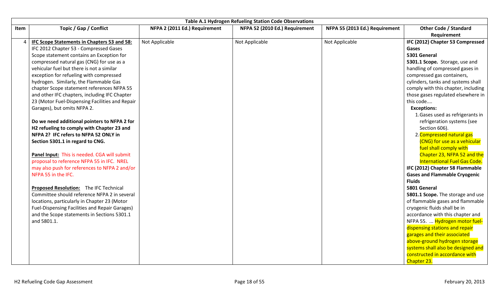|      | Table A.1 Hydrogen Refueling Station Code Observations |                               |                                |                                |                                      |  |
|------|--------------------------------------------------------|-------------------------------|--------------------------------|--------------------------------|--------------------------------------|--|
| Item | Topic / Gap / Conflict                                 | NFPA 2 (2011 Ed.) Requirement | NFPA 52 (2010 Ed.) Requirement | NFPA 55 (2013 Ed.) Requirement | <b>Other Code / Standard</b>         |  |
|      |                                                        |                               |                                |                                | Requirement                          |  |
|      | IFC Scope Statements in Chapters 53 and 58:            | Not Applicable                | Not Applicable                 | Not Applicable                 | IFC (2012) Chapter 53 Compressed     |  |
|      | IFC 2012 Chapter 53 - Compressed Gases                 |                               |                                |                                | Gases                                |  |
|      | Scope statement contains an Exception for              |                               |                                |                                | 5301 General                         |  |
|      | compressed natural gas (CNG) for use as a              |                               |                                |                                | 5301.1 Scope. Storage, use and       |  |
|      | vehicular fuel but there is not a similar              |                               |                                |                                | handling of compressed gases in      |  |
|      | exception for refueling with compressed                |                               |                                |                                | compressed gas containers,           |  |
|      | hydrogen. Similarly, the Flammable Gas                 |                               |                                |                                | cylinders, tanks and systems shall   |  |
|      | chapter Scope statement references NFPA 55             |                               |                                |                                | comply with this chapter, including  |  |
|      | and other IFC chapters, including IFC Chapter          |                               |                                |                                | those gases regulated elsewhere in   |  |
|      | 23 (Motor Fuel-Dispensing Facilities and Repair        |                               |                                |                                | this code                            |  |
|      | Garages), but omits NFPA 2.                            |                               |                                |                                | <b>Exceptions:</b>                   |  |
|      |                                                        |                               |                                |                                | 1. Gases used as refrigerants in     |  |
|      | Do we need additional pointers to NFPA 2 for           |                               |                                |                                | refrigeration systems (see           |  |
|      | H2 refueling to comply with Chapter 23 and             |                               |                                |                                | Section 606).                        |  |
|      | NFPA 2? IFC refers to NFPA 52 ONLY in                  |                               |                                |                                | 2. Compressed natural gas            |  |
|      | Section 5301.1 in regard to CNG.                       |                               |                                |                                | (CNG) for use as a vehicular         |  |
|      |                                                        |                               |                                |                                | fuel shall comply with               |  |
|      | Panel Input: This is needed. CGA will submit           |                               |                                |                                | Chapter 23, NFPA 52 and the          |  |
|      | proposal to reference NFPA 55 in IFC. NREL             |                               |                                |                                | <b>International Fuel Gas Code.</b>  |  |
|      | may also push for references to NFPA 2 and/or          |                               |                                |                                | IFC (2012) Chapter 58 Flammable      |  |
|      | NFPA 55 in the IFC.                                    |                               |                                |                                | <b>Gases and Flammable Cryogenic</b> |  |
|      |                                                        |                               |                                |                                | <b>Fluids</b>                        |  |
|      | <b>Proposed Resolution:</b> The IFC Technical          |                               |                                |                                | 5801 General                         |  |
|      | Committee should reference NFPA 2 in several           |                               |                                |                                | 5801.1 Scope. The storage and use    |  |
|      | locations, particularly in Chapter 23 (Motor           |                               |                                |                                | of flammable gases and flammable     |  |
|      | Fuel-Dispensing Facilities and Repair Garages)         |                               |                                |                                | cryogenic fluids shall be in         |  |
|      | and the Scope statements in Sections 5301.1            |                               |                                |                                | accordance with this chapter and     |  |
|      | and 5801.1.                                            |                               |                                |                                | NFPA 55.  Hydrogen motor fuel-       |  |
|      |                                                        |                               |                                |                                | dispensing stations and repair       |  |
|      |                                                        |                               |                                |                                | garages and their associated         |  |
|      |                                                        |                               |                                |                                | above-ground hydrogen storage        |  |
|      |                                                        |                               |                                |                                | systems shall also be designed and   |  |
|      |                                                        |                               |                                |                                | constructed in accordance with       |  |
|      |                                                        |                               |                                |                                | Chapter 23.                          |  |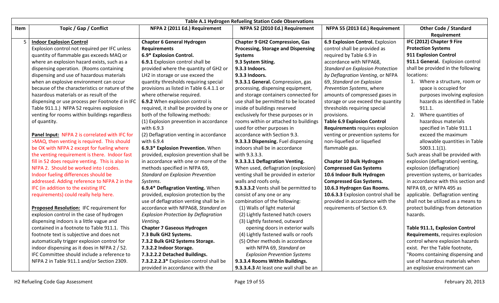|      | Table A.1 Hydrogen Refueling Station Code Observations |                                             |                                           |                                         |                                     |
|------|--------------------------------------------------------|---------------------------------------------|-------------------------------------------|-----------------------------------------|-------------------------------------|
| Item | Topic / Gap / Conflict                                 | NFPA 2 (2011 Ed.) Requirement               | NFPA 52 (2010 Ed.) Requirement            | NFPA 55 (2013 Ed.) Requirement          | <b>Other Code / Standard</b>        |
|      |                                                        |                                             |                                           |                                         | Requirement                         |
|      | <b>Indoor Explosion Control</b>                        | <b>Chapter 6 General Hydrogen</b>           | <b>Chapter 9 GH2 Compression, Gas</b>     | 6.9 Explosion Control. Explosion        | IFC (2012) Chapter 9 Fire           |
|      | Explosion control not required per IFC unless          | <b>Requirements</b>                         | <b>Processing, Storage and Dispensing</b> | control shall be provided as            | <b>Protection Systems</b>           |
|      | quantity of flammable gas exceeds MAQ or               | 6.9* Explosion Control.                     | <b>Systems</b>                            | required by Table 6.9 in                | 911 Explosion Control               |
|      | where an explosion hazard exists, such as a            | 6.9.1 Explosion control shall be            | 9.3 System Siting.                        | accordance with NFPA68,                 | 911.1 General. Explosion control    |
|      | dispensing operation. (Rooms containing                | provided where the quantity of GH2 or       | 9.3.3 Indoors.                            | <b>Standard on Explosion Protection</b> | shall be provided in the following  |
|      | dispensing and use of hazardous materials              | LH2 in storage or use exceed the            | 9.3.3 Indoors.                            | by Deflagration Venting, or NFPA        | locations:                          |
|      | when an explosive environment can occur                | quantity thresholds requiring special       | 9.3.3.1 General. Compression, gas         | 69, Standard on Explosion               | 1. Where a structure, room or       |
|      | because of the characteristics or nature of the        | provisions as listed in Table 6.4.1.1 or    | processing, dispensing equipment,         | Prevention Systems, where               | space is occupied for               |
|      | hazardous materials or as result of the                | where otherwise required.                   | and storage containers connected for      | amounts of compressed gases in          | purposes involving explosion        |
|      | dispensing or use process per Footnote d in IFC        | 6.9.2 When explosion control is             | use shall be permitted to be located      | storage or use exceed the quantity      | hazards as identified in Table      |
|      | Table 911.1.) NFPA 52 requires explosion               | required, it shall be provided by one or    | inside of buildings reserved              | thresholds requiring special            | 911.1.                              |
|      | venting for rooms within buildings regardless          | both of the following methods:              | exclusively for these purposes or in      | provisions.                             | 2. Where quantities of              |
|      | of quantity.                                           | (1) Explosion prevention in accordance      | rooms within or attached to buildings     | <b>Table 6.9 Explosion Control</b>      | hazardous materials                 |
|      |                                                        | with 6.9.3                                  | used for other purposes in                | Requirements requires explosion         | specified in Table 911.1            |
|      | Panel Input: NFPA 2 is correlated with IFC for         | (2) Deflagration venting in accordance      | accordance with Section 9.3.              | venting or prevention systems for       | exceed the maximum                  |
|      | >MAQ, then venting is required. This should            | with 6.9.4                                  | 9.3.3.3 Dispensing. Fuel dispensing       | non-liquefied or liquefied              | allowable quantities in Table       |
|      | be OK with NFPA 2 except for fueling where             | 6.9.3* Explosion Prevention. When           | indoors shall be in accordance            | flammable gas.                          | $5003.1.1(1)$ .                     |
|      | the venting requirement is there. Indoor fast          | provided, explosion prevention shall be     | with 9.3.3.3.                             |                                         | Such areas shall be provided with   |
|      | fill in 52 does require venting. This is also in       | in accordance with one or more of the       | 9.3.3.3.1 Deflagration Venting.           | <b>Chapter 10 Bulk Hydrogen</b>         | explosion (deflagration) venting,   |
|      | NFPA 2. Should be worked into I codes.                 | methods specified in NFPA 69,               | When used, deflagration (explosion)       | <b>Compressed Gas Systems</b>           | explosion (deflagration)            |
|      | Indoor fueling differences should be                   | <b>Standard on Explosion Prevention</b>     | venting shall be provided in exterior     | 10.6 Indoor Bulk Hydrogen               | prevention systems, or barricades   |
|      | addressed. Adding reference to NFPA 2 in the           | Systems.                                    | walls and roofs only.                     | <b>Compressed Gas Systems.</b>          | in accordance with this section and |
|      | IFC (in addition to the existing IFC                   | 6.9.4* Deflagration Venting. When           | 9.3.3.3.2 Vents shall be permitted to     | 10.6.3 Hydrogen Gas Rooms.              | NFPA 69, or NFPA 495 as             |
|      | requirements) could really help here.                  | provided, explosion protection by the       | consist of any one or any                 | 10.6.3.3 Explosion control shall be     | applicable. Deflagration venting    |
|      |                                                        | use of deflagration venting shall be in     | combination of the following:             | provided in accordance with the         | shall not be utilized as a means to |
|      | Proposed Resolution: IFC requirement for               | accordance with NFPA68, Standard on         | (1) Walls of light material               | requirements of Section 6.9.            | protect buildings from detonation   |
|      | explosion control in the case of hydrogen              | <b>Explosion Protection by Deflagration</b> | (2) Lightly fastened hatch covers         |                                         | hazards.                            |
|      | dispensing indoors is a little vague and               | Venting.                                    | (3) Lightly fastened, outward             |                                         |                                     |
|      | contained in a footnote to Table 911.1. This           | <b>Chapter 7 Gaseous Hydrogen</b>           | opening doors in exterior walls           |                                         | Table 911.1, Explosion Control      |
|      | footnote text is subjective and does not               | 7.3 Bulk GH2 Systems.                       | (4) Lightly fastened walls or roofs       |                                         | Requirements, requires explosion    |
|      | automatically trigger explosion control for            | 7.3.2 Bulk GH2 Systems Storage.             | (5) Other methods in accordance           |                                         | control where explosion hazards     |
|      | indoor dispensing as it does in NFPA 2 / 52.           | 7.3.2.2 Indoor Storage.                     | with NFPA 69, Standard on                 |                                         | exist. Per the Table footnote,      |
|      | IFC Committee should include a reference to            | 7.3.2.2.2 Detached Buildings.               | <b>Explosion Prevention Systems</b>       |                                         | "Rooms containing dispensing and    |
|      | NFPA 2 in Table 911.1 and/or Section 2309.             | 7.3.2.2.2.3* Explosion control shall be     | 9.3.3.4 Rooms Within Buildings.           |                                         | use of hazardous materials when     |
|      |                                                        | provided in accordance with the             | 9.3.3.4.3 At least one wall shall be an   |                                         | an explosive environment can        |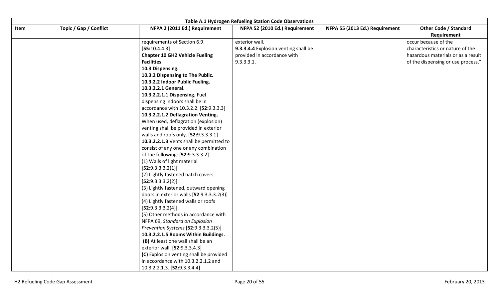|      | <b>Table A.1 Hydrogen Refueling Station Code Observations</b> |                                           |                                      |                                |                                    |  |  |
|------|---------------------------------------------------------------|-------------------------------------------|--------------------------------------|--------------------------------|------------------------------------|--|--|
| Item | Topic / Gap / Conflict                                        | NFPA 2 (2011 Ed.) Requirement             | NFPA 52 (2010 Ed.) Requirement       | NFPA 55 (2013 Ed.) Requirement | <b>Other Code / Standard</b>       |  |  |
|      |                                                               |                                           |                                      |                                | Requirement                        |  |  |
|      |                                                               | requirements of Section 6.9.              | exterior wall.                       |                                | occur because of the               |  |  |
|      |                                                               | [55:10.4.4.3]                             | 9.3.3.4.4 Explosion venting shall be |                                | characteristics or nature of the   |  |  |
|      |                                                               | <b>Chapter 10 GH2 Vehicle Fueling</b>     | provided in accordance with          |                                | hazardous materials or as a result |  |  |
|      |                                                               | <b>Facilities</b>                         | 9.3.3.3.1.                           |                                | of the dispensing or use process." |  |  |
|      |                                                               | 10.3 Dispensing.                          |                                      |                                |                                    |  |  |
|      |                                                               | 10.3.2 Dispensing to The Public.          |                                      |                                |                                    |  |  |
|      |                                                               | 10.3.2.2 Indoor Public Fueling.           |                                      |                                |                                    |  |  |
|      |                                                               | 10.3.2.2.1 General.                       |                                      |                                |                                    |  |  |
|      |                                                               | 10.3.2.2.1.1 Dispensing. Fuel             |                                      |                                |                                    |  |  |
|      |                                                               | dispensing indoors shall be in            |                                      |                                |                                    |  |  |
|      |                                                               | accordance with 10.3.2.2. [52:9.3.3.3]    |                                      |                                |                                    |  |  |
|      |                                                               | 10.3.2.2.1.2 Deflagration Venting.        |                                      |                                |                                    |  |  |
|      |                                                               | When used, deflagration (explosion)       |                                      |                                |                                    |  |  |
|      |                                                               | venting shall be provided in exterior     |                                      |                                |                                    |  |  |
|      |                                                               | walls and roofs only. [52:9.3.3.3.1]      |                                      |                                |                                    |  |  |
|      |                                                               | 10.3.2.2.1.3 Vents shall be permitted to  |                                      |                                |                                    |  |  |
|      |                                                               | consist of any one or any combination     |                                      |                                |                                    |  |  |
|      |                                                               | of the following: [52:9.3.3.3.2]          |                                      |                                |                                    |  |  |
|      |                                                               | (1) Walls of light material               |                                      |                                |                                    |  |  |
|      |                                                               | [52:9.3.3.3.2(1)]                         |                                      |                                |                                    |  |  |
|      |                                                               | (2) Lightly fastened hatch covers         |                                      |                                |                                    |  |  |
|      |                                                               | [52:9.3.3.3.2(2)]                         |                                      |                                |                                    |  |  |
|      |                                                               | (3) Lightly fastened, outward opening     |                                      |                                |                                    |  |  |
|      |                                                               | doors in exterior walls [52:9.3.3.3.2(3)] |                                      |                                |                                    |  |  |
|      |                                                               | (4) Lightly fastened walls or roofs       |                                      |                                |                                    |  |  |
|      |                                                               | [52:9.3.3.3.2(4)]                         |                                      |                                |                                    |  |  |
|      |                                                               | (5) Other methods in accordance with      |                                      |                                |                                    |  |  |
|      |                                                               | NFPA 69, Standard on Explosion            |                                      |                                |                                    |  |  |
|      |                                                               | Prevention Systems [52:9.3.3.3.2(5)]      |                                      |                                |                                    |  |  |
|      |                                                               | 10.3.2.2.1.5 Rooms Within Buildings.      |                                      |                                |                                    |  |  |
|      |                                                               | (B) At least one wall shall be an         |                                      |                                |                                    |  |  |
|      |                                                               | exterior wall. [52:9.3.3.4.3]             |                                      |                                |                                    |  |  |
|      |                                                               | (C) Explosion venting shall be provided   |                                      |                                |                                    |  |  |
|      |                                                               | in accordance with 10.3.2.2.1.2 and       |                                      |                                |                                    |  |  |
|      |                                                               | 10.3.2.2.1.3. [52:9.3.3.4.4]              |                                      |                                |                                    |  |  |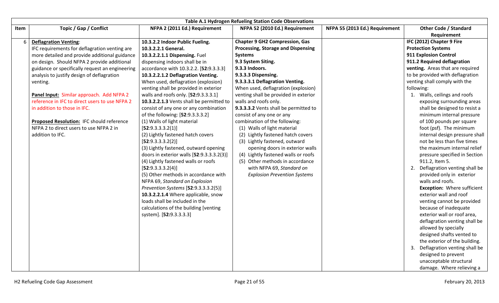| Table A.1 Hydrogen Refueling Station Code Observations                                                                                                                                                                                                                                                                                                                                                                                                                                                                                                                                                                                                                                                                                                                                       |                                                                                                                                                                                                                    |                                                                                                                                                                                              |                                                                                                                                                                                                                                                                                                                                                                                                                                                                                                                                                                                                                                                      |                                                                                                                                                                                            |      |
|----------------------------------------------------------------------------------------------------------------------------------------------------------------------------------------------------------------------------------------------------------------------------------------------------------------------------------------------------------------------------------------------------------------------------------------------------------------------------------------------------------------------------------------------------------------------------------------------------------------------------------------------------------------------------------------------------------------------------------------------------------------------------------------------|--------------------------------------------------------------------------------------------------------------------------------------------------------------------------------------------------------------------|----------------------------------------------------------------------------------------------------------------------------------------------------------------------------------------------|------------------------------------------------------------------------------------------------------------------------------------------------------------------------------------------------------------------------------------------------------------------------------------------------------------------------------------------------------------------------------------------------------------------------------------------------------------------------------------------------------------------------------------------------------------------------------------------------------------------------------------------------------|--------------------------------------------------------------------------------------------------------------------------------------------------------------------------------------------|------|
| NFPA 55 (2013 Ed.) Requirement<br><b>Other Code / Standard</b>                                                                                                                                                                                                                                                                                                                                                                                                                                                                                                                                                                                                                                                                                                                               | NFPA 52 (2010 Ed.) Requirement                                                                                                                                                                                     |                                                                                                                                                                                              | NFPA 2 (2011 Ed.) Requirement                                                                                                                                                                                                                                                                                                                                                                                                                                                                                                                                                                                                                        | Topic / Gap / Conflict                                                                                                                                                                     | Item |
| Requirement                                                                                                                                                                                                                                                                                                                                                                                                                                                                                                                                                                                                                                                                                                                                                                                  |                                                                                                                                                                                                                    |                                                                                                                                                                                              |                                                                                                                                                                                                                                                                                                                                                                                                                                                                                                                                                                                                                                                      |                                                                                                                                                                                            |      |
| IFC (2012) Chapter 9 Fire                                                                                                                                                                                                                                                                                                                                                                                                                                                                                                                                                                                                                                                                                                                                                                    |                                                                                                                                                                                                                    | <b>Chapter 9 GH2 Compression, Gas</b>                                                                                                                                                        | 10.3.2.2 Indoor Public Fueling.                                                                                                                                                                                                                                                                                                                                                                                                                                                                                                                                                                                                                      | <b>Deflagration Venting:</b>                                                                                                                                                               | 6    |
| <b>Protection Systems</b>                                                                                                                                                                                                                                                                                                                                                                                                                                                                                                                                                                                                                                                                                                                                                                    |                                                                                                                                                                                                                    | <b>Processing, Storage and Dispensing</b>                                                                                                                                                    | 10.3.2.2.1 General.                                                                                                                                                                                                                                                                                                                                                                                                                                                                                                                                                                                                                                  | IFC requirements for deflagration venting are                                                                                                                                              |      |
| 911 Explosion Control                                                                                                                                                                                                                                                                                                                                                                                                                                                                                                                                                                                                                                                                                                                                                                        |                                                                                                                                                                                                                    | <b>Systems</b>                                                                                                                                                                               | 10.3.2.2.1.1 Dispensing. Fuel                                                                                                                                                                                                                                                                                                                                                                                                                                                                                                                                                                                                                        | more detailed and provide additional guidance                                                                                                                                              |      |
| 911.2 Required deflagration                                                                                                                                                                                                                                                                                                                                                                                                                                                                                                                                                                                                                                                                                                                                                                  |                                                                                                                                                                                                                    | 9.3 System Siting.                                                                                                                                                                           | dispensing indoors shall be in                                                                                                                                                                                                                                                                                                                                                                                                                                                                                                                                                                                                                       | on design. Should NFPA 2 provide additional                                                                                                                                                |      |
| venting. Areas that are required                                                                                                                                                                                                                                                                                                                                                                                                                                                                                                                                                                                                                                                                                                                                                             |                                                                                                                                                                                                                    | 9.3.3 Indoors.                                                                                                                                                                               | accordance with 10.3.2.2. [52:9.3.3.3]                                                                                                                                                                                                                                                                                                                                                                                                                                                                                                                                                                                                               | guidance or specifically request an engineering                                                                                                                                            |      |
| to be provided with deflagration                                                                                                                                                                                                                                                                                                                                                                                                                                                                                                                                                                                                                                                                                                                                                             |                                                                                                                                                                                                                    | 9.3.3.3 Dispensing.                                                                                                                                                                          | 10.3.2.2.1.2 Deflagration Venting.                                                                                                                                                                                                                                                                                                                                                                                                                                                                                                                                                                                                                   | analysis to justify design of deflagration                                                                                                                                                 |      |
| venting shall comply with the                                                                                                                                                                                                                                                                                                                                                                                                                                                                                                                                                                                                                                                                                                                                                                |                                                                                                                                                                                                                    | 9.3.3.3.1 Deflagration Venting.                                                                                                                                                              | When used, deflagration (explosion)                                                                                                                                                                                                                                                                                                                                                                                                                                                                                                                                                                                                                  | venting.                                                                                                                                                                                   |      |
| following:                                                                                                                                                                                                                                                                                                                                                                                                                                                                                                                                                                                                                                                                                                                                                                                   |                                                                                                                                                                                                                    | When used, deflagration (explosion)                                                                                                                                                          | venting shall be provided in exterior                                                                                                                                                                                                                                                                                                                                                                                                                                                                                                                                                                                                                |                                                                                                                                                                                            |      |
|                                                                                                                                                                                                                                                                                                                                                                                                                                                                                                                                                                                                                                                                                                                                                                                              |                                                                                                                                                                                                                    | venting shall be provided in exterior                                                                                                                                                        | walls and roofs only. [52:9.3.3.3.1]                                                                                                                                                                                                                                                                                                                                                                                                                                                                                                                                                                                                                 | Panel Input: Similar approach. Add NFPA 2                                                                                                                                                  |      |
| exposing surrounding areas                                                                                                                                                                                                                                                                                                                                                                                                                                                                                                                                                                                                                                                                                                                                                                   |                                                                                                                                                                                                                    |                                                                                                                                                                                              |                                                                                                                                                                                                                                                                                                                                                                                                                                                                                                                                                                                                                                                      |                                                                                                                                                                                            |      |
|                                                                                                                                                                                                                                                                                                                                                                                                                                                                                                                                                                                                                                                                                                                                                                                              |                                                                                                                                                                                                                    |                                                                                                                                                                                              |                                                                                                                                                                                                                                                                                                                                                                                                                                                                                                                                                                                                                                                      |                                                                                                                                                                                            |      |
|                                                                                                                                                                                                                                                                                                                                                                                                                                                                                                                                                                                                                                                                                                                                                                                              |                                                                                                                                                                                                                    |                                                                                                                                                                                              |                                                                                                                                                                                                                                                                                                                                                                                                                                                                                                                                                                                                                                                      |                                                                                                                                                                                            |      |
|                                                                                                                                                                                                                                                                                                                                                                                                                                                                                                                                                                                                                                                                                                                                                                                              |                                                                                                                                                                                                                    |                                                                                                                                                                                              |                                                                                                                                                                                                                                                                                                                                                                                                                                                                                                                                                                                                                                                      |                                                                                                                                                                                            |      |
|                                                                                                                                                                                                                                                                                                                                                                                                                                                                                                                                                                                                                                                                                                                                                                                              |                                                                                                                                                                                                                    |                                                                                                                                                                                              |                                                                                                                                                                                                                                                                                                                                                                                                                                                                                                                                                                                                                                                      |                                                                                                                                                                                            |      |
|                                                                                                                                                                                                                                                                                                                                                                                                                                                                                                                                                                                                                                                                                                                                                                                              |                                                                                                                                                                                                                    |                                                                                                                                                                                              |                                                                                                                                                                                                                                                                                                                                                                                                                                                                                                                                                                                                                                                      |                                                                                                                                                                                            |      |
|                                                                                                                                                                                                                                                                                                                                                                                                                                                                                                                                                                                                                                                                                                                                                                                              |                                                                                                                                                                                                                    |                                                                                                                                                                                              |                                                                                                                                                                                                                                                                                                                                                                                                                                                                                                                                                                                                                                                      |                                                                                                                                                                                            |      |
|                                                                                                                                                                                                                                                                                                                                                                                                                                                                                                                                                                                                                                                                                                                                                                                              |                                                                                                                                                                                                                    |                                                                                                                                                                                              |                                                                                                                                                                                                                                                                                                                                                                                                                                                                                                                                                                                                                                                      |                                                                                                                                                                                            |      |
|                                                                                                                                                                                                                                                                                                                                                                                                                                                                                                                                                                                                                                                                                                                                                                                              |                                                                                                                                                                                                                    |                                                                                                                                                                                              |                                                                                                                                                                                                                                                                                                                                                                                                                                                                                                                                                                                                                                                      |                                                                                                                                                                                            |      |
|                                                                                                                                                                                                                                                                                                                                                                                                                                                                                                                                                                                                                                                                                                                                                                                              |                                                                                                                                                                                                                    |                                                                                                                                                                                              |                                                                                                                                                                                                                                                                                                                                                                                                                                                                                                                                                                                                                                                      |                                                                                                                                                                                            |      |
|                                                                                                                                                                                                                                                                                                                                                                                                                                                                                                                                                                                                                                                                                                                                                                                              |                                                                                                                                                                                                                    |                                                                                                                                                                                              |                                                                                                                                                                                                                                                                                                                                                                                                                                                                                                                                                                                                                                                      |                                                                                                                                                                                            |      |
|                                                                                                                                                                                                                                                                                                                                                                                                                                                                                                                                                                                                                                                                                                                                                                                              |                                                                                                                                                                                                                    |                                                                                                                                                                                              |                                                                                                                                                                                                                                                                                                                                                                                                                                                                                                                                                                                                                                                      |                                                                                                                                                                                            |      |
|                                                                                                                                                                                                                                                                                                                                                                                                                                                                                                                                                                                                                                                                                                                                                                                              |                                                                                                                                                                                                                    |                                                                                                                                                                                              |                                                                                                                                                                                                                                                                                                                                                                                                                                                                                                                                                                                                                                                      |                                                                                                                                                                                            |      |
|                                                                                                                                                                                                                                                                                                                                                                                                                                                                                                                                                                                                                                                                                                                                                                                              |                                                                                                                                                                                                                    |                                                                                                                                                                                              |                                                                                                                                                                                                                                                                                                                                                                                                                                                                                                                                                                                                                                                      |                                                                                                                                                                                            |      |
|                                                                                                                                                                                                                                                                                                                                                                                                                                                                                                                                                                                                                                                                                                                                                                                              |                                                                                                                                                                                                                    |                                                                                                                                                                                              |                                                                                                                                                                                                                                                                                                                                                                                                                                                                                                                                                                                                                                                      |                                                                                                                                                                                            |      |
|                                                                                                                                                                                                                                                                                                                                                                                                                                                                                                                                                                                                                                                                                                                                                                                              |                                                                                                                                                                                                                    |                                                                                                                                                                                              |                                                                                                                                                                                                                                                                                                                                                                                                                                                                                                                                                                                                                                                      |                                                                                                                                                                                            |      |
|                                                                                                                                                                                                                                                                                                                                                                                                                                                                                                                                                                                                                                                                                                                                                                                              |                                                                                                                                                                                                                    |                                                                                                                                                                                              |                                                                                                                                                                                                                                                                                                                                                                                                                                                                                                                                                                                                                                                      |                                                                                                                                                                                            |      |
|                                                                                                                                                                                                                                                                                                                                                                                                                                                                                                                                                                                                                                                                                                                                                                                              |                                                                                                                                                                                                                    |                                                                                                                                                                                              |                                                                                                                                                                                                                                                                                                                                                                                                                                                                                                                                                                                                                                                      |                                                                                                                                                                                            |      |
|                                                                                                                                                                                                                                                                                                                                                                                                                                                                                                                                                                                                                                                                                                                                                                                              |                                                                                                                                                                                                                    |                                                                                                                                                                                              |                                                                                                                                                                                                                                                                                                                                                                                                                                                                                                                                                                                                                                                      |                                                                                                                                                                                            |      |
|                                                                                                                                                                                                                                                                                                                                                                                                                                                                                                                                                                                                                                                                                                                                                                                              |                                                                                                                                                                                                                    |                                                                                                                                                                                              |                                                                                                                                                                                                                                                                                                                                                                                                                                                                                                                                                                                                                                                      |                                                                                                                                                                                            |      |
|                                                                                                                                                                                                                                                                                                                                                                                                                                                                                                                                                                                                                                                                                                                                                                                              |                                                                                                                                                                                                                    |                                                                                                                                                                                              |                                                                                                                                                                                                                                                                                                                                                                                                                                                                                                                                                                                                                                                      |                                                                                                                                                                                            |      |
|                                                                                                                                                                                                                                                                                                                                                                                                                                                                                                                                                                                                                                                                                                                                                                                              |                                                                                                                                                                                                                    |                                                                                                                                                                                              |                                                                                                                                                                                                                                                                                                                                                                                                                                                                                                                                                                                                                                                      |                                                                                                                                                                                            |      |
|                                                                                                                                                                                                                                                                                                                                                                                                                                                                                                                                                                                                                                                                                                                                                                                              |                                                                                                                                                                                                                    |                                                                                                                                                                                              |                                                                                                                                                                                                                                                                                                                                                                                                                                                                                                                                                                                                                                                      |                                                                                                                                                                                            |      |
|                                                                                                                                                                                                                                                                                                                                                                                                                                                                                                                                                                                                                                                                                                                                                                                              |                                                                                                                                                                                                                    |                                                                                                                                                                                              |                                                                                                                                                                                                                                                                                                                                                                                                                                                                                                                                                                                                                                                      |                                                                                                                                                                                            |      |
|                                                                                                                                                                                                                                                                                                                                                                                                                                                                                                                                                                                                                                                                                                                                                                                              |                                                                                                                                                                                                                    |                                                                                                                                                                                              |                                                                                                                                                                                                                                                                                                                                                                                                                                                                                                                                                                                                                                                      |                                                                                                                                                                                            |      |
| 1. Walls, ceilings and roofs<br>shall be designed to resist a<br>minimum internal pressure<br>of 100 pounds per square<br>foot (psf). The minimum<br>internal design pressure shall<br>not be less than five times<br>the maximum internal relief<br>pressure specified in Section<br>911.2, Item 5.<br>2. Deflagration venting shall be<br>provided only in exterior<br>walls and roofs.<br><b>Exception: Where sufficient</b><br>exterior wall and roof<br>venting cannot be provided<br>because of inadequate<br>exterior wall or roof area,<br>deflagration venting shall be<br>allowed by specially<br>designed shafts vented to<br>the exterior of the building.<br>Deflagration venting shall be<br>3.<br>designed to prevent<br>unacceptable structural<br>damage. Where relieving a | (2) Lightly fastened hatch covers<br>opening doors in exterior walls<br>(4) Lightly fastened walls or roofs<br>(5) Other methods in accordance<br>with NFPA 69, Standard on<br><b>Explosion Prevention Systems</b> | walls and roofs only.<br>9.3.3.3.2 Vents shall be permitted to<br>consist of any one or any<br>combination of the following:<br>(1) Walls of light material<br>(3) Lightly fastened, outward | 10.3.2.2.1.3 Vents shall be permitted to<br>consist of any one or any combination<br>of the following: [52:9.3.3.3.2]<br>(1) Walls of light material<br>[52:9.3.3.3.2(1)]<br>(2) Lightly fastened hatch covers<br>[52:9.3.3.3.2(2)]<br>(3) Lightly fastened, outward opening<br>doors in exterior walls [52:9.3.3.3.2(3)]<br>(4) Lightly fastened walls or roofs<br>[52:9.3.3.3.2(4)]<br>(5) Other methods in accordance with<br>NFPA 69, Standard on Explosion<br>Prevention Systems [52:9.3.3.3.2(5)]<br>10.3.2.2.1.4 Where applicable, snow<br>loads shall be included in the<br>calculations of the building [venting<br>system]. [52:9.3.3.3.3] | reference in IFC to direct users to use NFPA 2<br>in addition to those in IFC.<br>Proposed Resolution: IFC should reference<br>NFPA 2 to direct users to use NFPA 2 in<br>addition to IFC. |      |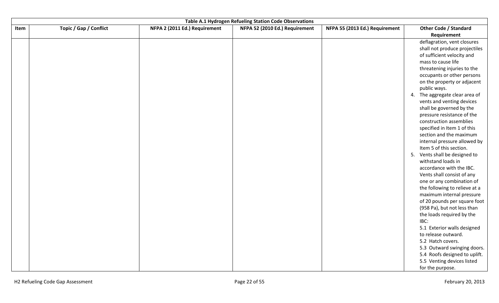|      | Table A.1 Hydrogen Refueling Station Code Observations |                               |                                |                                |                                                            |  |  |
|------|--------------------------------------------------------|-------------------------------|--------------------------------|--------------------------------|------------------------------------------------------------|--|--|
| Item | Topic / Gap / Conflict                                 | NFPA 2 (2011 Ed.) Requirement | NFPA 52 (2010 Ed.) Requirement | NFPA 55 (2013 Ed.) Requirement | <b>Other Code / Standard</b><br>Requirement                |  |  |
|      |                                                        |                               |                                |                                | deflagration, vent closures                                |  |  |
|      |                                                        |                               |                                |                                | shall not produce projectiles                              |  |  |
|      |                                                        |                               |                                |                                | of sufficient velocity and                                 |  |  |
|      |                                                        |                               |                                |                                | mass to cause life                                         |  |  |
|      |                                                        |                               |                                |                                | threatening injuries to the                                |  |  |
|      |                                                        |                               |                                |                                | occupants or other persons                                 |  |  |
|      |                                                        |                               |                                |                                | on the property or adjacent                                |  |  |
|      |                                                        |                               |                                |                                | public ways.                                               |  |  |
|      |                                                        |                               |                                |                                | The aggregate clear area of<br>4.                          |  |  |
|      |                                                        |                               |                                |                                | vents and venting devices                                  |  |  |
|      |                                                        |                               |                                |                                | shall be governed by the                                   |  |  |
|      |                                                        |                               |                                |                                | pressure resistance of the                                 |  |  |
|      |                                                        |                               |                                |                                | construction assemblies                                    |  |  |
|      |                                                        |                               |                                |                                | specified in Item 1 of this                                |  |  |
|      |                                                        |                               |                                |                                | section and the maximum                                    |  |  |
|      |                                                        |                               |                                |                                | internal pressure allowed by                               |  |  |
|      |                                                        |                               |                                |                                | Item 5 of this section.                                    |  |  |
|      |                                                        |                               |                                |                                | 5. Vents shall be designed to                              |  |  |
|      |                                                        |                               |                                |                                | withstand loads in                                         |  |  |
|      |                                                        |                               |                                |                                | accordance with the IBC.                                   |  |  |
|      |                                                        |                               |                                |                                | Vents shall consist of any                                 |  |  |
|      |                                                        |                               |                                |                                | one or any combination of<br>the following to relieve at a |  |  |
|      |                                                        |                               |                                |                                | maximum internal pressure                                  |  |  |
|      |                                                        |                               |                                |                                | of 20 pounds per square foot                               |  |  |
|      |                                                        |                               |                                |                                | (958 Pa), but not less than                                |  |  |
|      |                                                        |                               |                                |                                | the loads required by the                                  |  |  |
|      |                                                        |                               |                                |                                | IBC:                                                       |  |  |
|      |                                                        |                               |                                |                                | 5.1 Exterior walls designed                                |  |  |
|      |                                                        |                               |                                |                                | to release outward.                                        |  |  |
|      |                                                        |                               |                                |                                | 5.2 Hatch covers.                                          |  |  |
|      |                                                        |                               |                                |                                | 5.3 Outward swinging doors.                                |  |  |
|      |                                                        |                               |                                |                                | 5.4 Roofs designed to uplift.                              |  |  |
|      |                                                        |                               |                                |                                | 5.5 Venting devices listed                                 |  |  |
|      |                                                        |                               |                                |                                | for the purpose.                                           |  |  |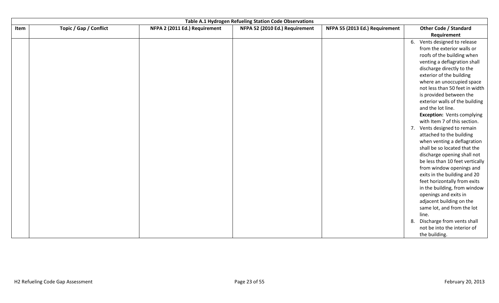|      |                        |                               | Table A.1 Hydrogen Refueling Station Code Observations |                                |                                                             |
|------|------------------------|-------------------------------|--------------------------------------------------------|--------------------------------|-------------------------------------------------------------|
| Item | Topic / Gap / Conflict | NFPA 2 (2011 Ed.) Requirement | NFPA 52 (2010 Ed.) Requirement                         | NFPA 55 (2013 Ed.) Requirement | <b>Other Code / Standard</b>                                |
|      |                        |                               |                                                        |                                | Requirement                                                 |
|      |                        |                               |                                                        |                                | 6. Vents designed to release                                |
|      |                        |                               |                                                        |                                | from the exterior walls or                                  |
|      |                        |                               |                                                        |                                | roofs of the building when                                  |
|      |                        |                               |                                                        |                                | venting a deflagration shall                                |
|      |                        |                               |                                                        |                                | discharge directly to the                                   |
|      |                        |                               |                                                        |                                | exterior of the building                                    |
|      |                        |                               |                                                        |                                | where an unoccupied space                                   |
|      |                        |                               |                                                        |                                | not less than 50 feet in width                              |
|      |                        |                               |                                                        |                                | is provided between the                                     |
|      |                        |                               |                                                        |                                | exterior walls of the building                              |
|      |                        |                               |                                                        |                                | and the lot line.                                           |
|      |                        |                               |                                                        |                                | <b>Exception: Vents complying</b>                           |
|      |                        |                               |                                                        |                                | with Item 7 of this section.                                |
|      |                        |                               |                                                        |                                | 7. Vents designed to remain                                 |
|      |                        |                               |                                                        |                                | attached to the building                                    |
|      |                        |                               |                                                        |                                | when venting a deflagration<br>shall be so located that the |
|      |                        |                               |                                                        |                                | discharge opening shall not                                 |
|      |                        |                               |                                                        |                                | be less than 10 feet vertically                             |
|      |                        |                               |                                                        |                                | from window openings and                                    |
|      |                        |                               |                                                        |                                | exits in the building and 20                                |
|      |                        |                               |                                                        |                                | feet horizontally from exits                                |
|      |                        |                               |                                                        |                                | in the building, from window                                |
|      |                        |                               |                                                        |                                | openings and exits in                                       |
|      |                        |                               |                                                        |                                | adjacent building on the                                    |
|      |                        |                               |                                                        |                                | same lot, and from the lot                                  |
|      |                        |                               |                                                        |                                | line.                                                       |
|      |                        |                               |                                                        |                                | Discharge from vents shall<br>8.                            |
|      |                        |                               |                                                        |                                | not be into the interior of                                 |
|      |                        |                               |                                                        |                                | the building.                                               |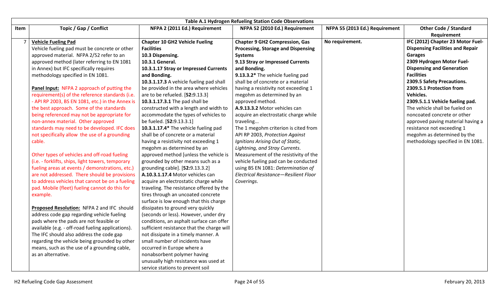|      | Table A.1 Hydrogen Refueling Station Code Observations                                                                                                                                                                                                                                                                                                      |                                                                                                                                                                                                                                                                                                                                                                                         |                                                                                                                                                                            |                                |                                                                                                                                           |  |  |
|------|-------------------------------------------------------------------------------------------------------------------------------------------------------------------------------------------------------------------------------------------------------------------------------------------------------------------------------------------------------------|-----------------------------------------------------------------------------------------------------------------------------------------------------------------------------------------------------------------------------------------------------------------------------------------------------------------------------------------------------------------------------------------|----------------------------------------------------------------------------------------------------------------------------------------------------------------------------|--------------------------------|-------------------------------------------------------------------------------------------------------------------------------------------|--|--|
| Item | Topic / Gap / Conflict                                                                                                                                                                                                                                                                                                                                      | NFPA 2 (2011 Ed.) Requirement                                                                                                                                                                                                                                                                                                                                                           | NFPA 52 (2010 Ed.) Requirement                                                                                                                                             | NFPA 55 (2013 Ed.) Requirement | <b>Other Code / Standard</b><br>Requirement                                                                                               |  |  |
|      | <b>Vehicle Fueling Pad</b><br>Vehicle fueling pad must be concrete or other<br>approved material. NFPA 2/52 refer to an<br>approved method (later referring to EN 1081                                                                                                                                                                                      | <b>Chapter 10 GH2 Vehicle Fueling</b><br><b>Facilities</b><br>10.3 Dispensing.<br>10.3.1 General.                                                                                                                                                                                                                                                                                       | <b>Chapter 9 GH2 Compression, Gas</b><br><b>Processing, Storage and Dispensing</b><br><b>Systems</b><br>9.13 Stray or Impressed Currents                                   | No requirement.                | IFC (2012) Chapter 23 Motor Fuel-<br><b>Dispensing Facilities and Repair</b><br><b>Garages</b><br>2309 Hydrogen Motor Fuel-               |  |  |
|      | in Annex) but IFC specifically requires<br>methodology specified in EN 1081.                                                                                                                                                                                                                                                                                | 10.3.1.17 Stray or Impressed Currents<br>and Bonding.<br>10.3.1.17.3 A vehicle fueling pad shall                                                                                                                                                                                                                                                                                        | and Bonding.<br>9.13.3.2* The vehicle fueling pad<br>shall be of concrete or a material                                                                                    |                                | <b>Dispensing and Generation</b><br><b>Facilities</b><br>2309.5 Safety Precautions.                                                       |  |  |
|      | Panel Input: NFPA 2 approach of putting the<br>requirement(s) of the reference standards (i.e.<br>- API RP 2003, BS EN 1081, etc.) in the Annex is<br>the best approach. Some of the standards<br>being referenced may not be appropriate for                                                                                                               | be provided in the area where vehicles<br>are to be refueled. [52:9.13.3]<br>10.3.1.17.3.1 The pad shall be<br>constructed with a length and width to<br>accommodate the types of vehicles to                                                                                                                                                                                           | having a resistivity not exceeding 1<br>megohm as determined by an<br>approved method.<br>A.9.13.3.2 Motor vehicles can<br>acquire an electrostatic charge while           |                                | 2309.5.1 Protection from<br>Vehicles.<br>2309.5.1.1 Vehicle fueling pad.<br>The vehicle shall be fueled on<br>noncoated concrete or other |  |  |
|      | non-annex material. Other approved<br>standards may need to be developed. IFC does<br>not specifically allow the use of a grounding<br>cable.                                                                                                                                                                                                               | be fueled. [52:9.13.3.1]<br>10.3.1.17.4* The vehicle fueling pad<br>shall be of concrete or a material<br>having a resistivity not exceeding 1<br>megohm as determined by an                                                                                                                                                                                                            | traveling<br>The 1 megohm criterion is cited from<br>API RP 2003, Protection Against<br>Ignitions Arising Out of Static,<br>Lightning, and Stray Currents.                 |                                | approved paving material having a<br>resistance not exceeding 1<br>megohm as determined by the<br>methodology specified in EN 1081.       |  |  |
|      | Other types of vehicles and off-road fueling<br>(i.e. - forklifts, ships, light towers, temporary<br>fueling areas at events / demonstrations, etc.)<br>are not addressed. There should be provisions<br>to address vehicles that cannot be on a fueling<br>pad. Mobile (fleet) fueling cannot do this for<br>example.                                      | approved method [unless the vehicle is<br>grounded by other means such as a<br>grounding cable]. [52:9.13.3.2]<br>A.10.3.1.17.4 Motor vehicles can<br>acquire an electrostatic charge while<br>traveling. The resistance offered by the<br>tires through an uncoated concrete<br>surface is low enough that this charge                                                                 | Measurement of the resistivity of the<br>vehicle fueling pad can be conducted<br>using BS EN 1081: Determination of<br>Electrical Resistance-Resilient Floor<br>Coverings. |                                |                                                                                                                                           |  |  |
|      | Proposed Resolution: NFPA 2 and IFC should<br>address code gap regarding vehicle fueling<br>pads where the pads are not feasible or<br>available (e.g. - off-road fueling applications).<br>The IFC should also address the code gap<br>regarding the vehicle being grounded by other<br>means, such as the use of a grounding cable,<br>as an alternative. | dissipates to ground very quickly<br>(seconds or less). However, under dry<br>conditions, an asphalt surface can offer<br>sufficient resistance that the charge will<br>not dissipate in a timely manner. A<br>small number of incidents have<br>occurred in Europe where a<br>nonabsorbent polymer having<br>unusually high resistance was used at<br>service stations to prevent soil |                                                                                                                                                                            |                                |                                                                                                                                           |  |  |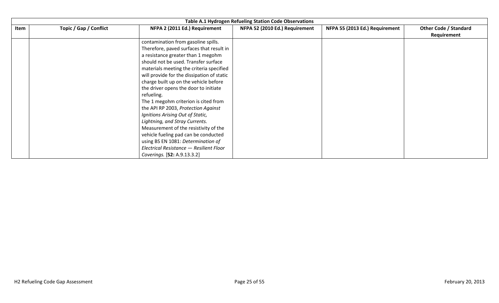|      | Table A.1 Hydrogen Refueling Station Code Observations |                                                                                                                                                                                                                                                                                                                                                                                                                                                                                                                                                                                               |                                |                                |                                             |  |  |  |
|------|--------------------------------------------------------|-----------------------------------------------------------------------------------------------------------------------------------------------------------------------------------------------------------------------------------------------------------------------------------------------------------------------------------------------------------------------------------------------------------------------------------------------------------------------------------------------------------------------------------------------------------------------------------------------|--------------------------------|--------------------------------|---------------------------------------------|--|--|--|
| Item | Topic / Gap / Conflict                                 | NFPA 2 (2011 Ed.) Requirement                                                                                                                                                                                                                                                                                                                                                                                                                                                                                                                                                                 | NFPA 52 (2010 Ed.) Requirement | NFPA 55 (2013 Ed.) Requirement | <b>Other Code / Standard</b><br>Requirement |  |  |  |
|      |                                                        | contamination from gasoline spills.<br>Therefore, paved surfaces that result in<br>a resistance greater than 1 megohm<br>should not be used. Transfer surface<br>materials meeting the criteria specified<br>will provide for the dissipation of static<br>charge built up on the vehicle before<br>the driver opens the door to initiate<br>refueling.<br>The 1 megohm criterion is cited from<br>the API RP 2003, Protection Against<br>Ignitions Arising Out of Static,<br>Lightning, and Stray Currents.<br>Measurement of the resistivity of the<br>vehicle fueling pad can be conducted |                                |                                |                                             |  |  |  |
|      |                                                        | using BS EN 1081: Determination of<br>Electrical Resistance - Resilient Floor<br>Coverings. [52: A.9.13.3.2]                                                                                                                                                                                                                                                                                                                                                                                                                                                                                  |                                |                                |                                             |  |  |  |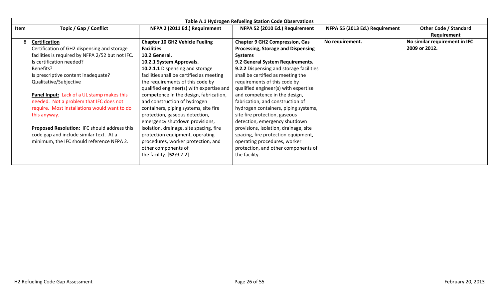|      | Table A.1 Hydrogen Refueling Station Code Observations |                                          |                                           |                                |                               |  |  |
|------|--------------------------------------------------------|------------------------------------------|-------------------------------------------|--------------------------------|-------------------------------|--|--|
| Item | Topic / Gap / Conflict                                 | NFPA 2 (2011 Ed.) Requirement            | NFPA 52 (2010 Ed.) Requirement            | NFPA 55 (2013 Ed.) Requirement | <b>Other Code / Standard</b>  |  |  |
|      |                                                        |                                          |                                           |                                | Requirement                   |  |  |
| 8    | <b>Certification</b>                                   | <b>Chapter 10 GH2 Vehicle Fueling</b>    | <b>Chapter 9 GH2 Compression, Gas</b>     | No requirement.                | No similar requirement in IFC |  |  |
|      | Certification of GH2 dispensing and storage            | <b>Facilities</b>                        | <b>Processing, Storage and Dispensing</b> |                                | 2009 or 2012.                 |  |  |
|      | facilities is required by NFPA 2/52 but not IFC.       | 10.2 General.                            | <b>Systems</b>                            |                                |                               |  |  |
|      | Is certification needed?                               | 10.2.1 System Approvals.                 | 9.2 General System Requirements.          |                                |                               |  |  |
|      | Benefits?                                              | 10.2.1.1 Dispensing and storage          | 9.2.2 Dispensing and storage facilities   |                                |                               |  |  |
|      | Is prescriptive content inadequate?                    | facilities shall be certified as meeting | shall be certified as meeting the         |                                |                               |  |  |
|      | Qualitative/Subjective                                 | the requirements of this code by         | requirements of this code by              |                                |                               |  |  |
|      |                                                        | qualified engineer(s) with expertise and | qualified engineer(s) with expertise      |                                |                               |  |  |
|      | Panel Input: Lack of a UL stamp makes this             | competence in the design, fabrication,   | and competence in the design,             |                                |                               |  |  |
|      | needed. Not a problem that IFC does not                | and construction of hydrogen             | fabrication, and construction of          |                                |                               |  |  |
|      | require. Most installations would want to do           | containers, piping systems, site fire    | hydrogen containers, piping systems,      |                                |                               |  |  |
|      | this anyway.                                           | protection, gaseous detection,           | site fire protection, gaseous             |                                |                               |  |  |
|      |                                                        | emergency shutdown provisions,           | detection, emergency shutdown             |                                |                               |  |  |
|      | Proposed Resolution: IFC should address this           | isolation, drainage, site spacing, fire  | provisions, isolation, drainage, site     |                                |                               |  |  |
|      | code gap and include similar text. At a                | protection equipment, operating          | spacing, fire protection equipment,       |                                |                               |  |  |
|      | minimum, the IFC should reference NFPA 2.              | procedures, worker protection, and       | operating procedures, worker              |                                |                               |  |  |
|      |                                                        | other components of                      | protection, and other components of       |                                |                               |  |  |
|      |                                                        | the facility. [52:9.2.2]                 | the facility.                             |                                |                               |  |  |
|      |                                                        |                                          |                                           |                                |                               |  |  |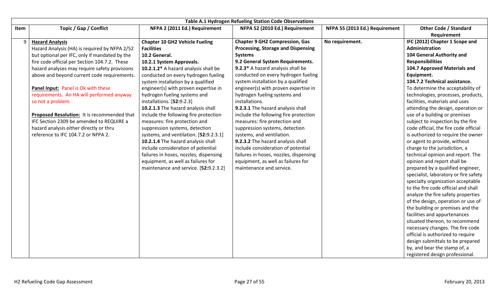|      | Table A.1 Hydrogen Refueling Station Code Observations                                                                                                                                                                                                                                                                                                                                                                                                                                                                                                          |                                                                                                                                                                                                                                                                                                                                                                                                                                                                                                                                                                     |                                                                                                                                                                                                                                                                                                                                                                                                                                                                                                                                                                  |                                |                                                                                                                                                                                                                                                                                                                                                                                                                                                                                                                                                                                                                               |  |  |
|------|-----------------------------------------------------------------------------------------------------------------------------------------------------------------------------------------------------------------------------------------------------------------------------------------------------------------------------------------------------------------------------------------------------------------------------------------------------------------------------------------------------------------------------------------------------------------|---------------------------------------------------------------------------------------------------------------------------------------------------------------------------------------------------------------------------------------------------------------------------------------------------------------------------------------------------------------------------------------------------------------------------------------------------------------------------------------------------------------------------------------------------------------------|------------------------------------------------------------------------------------------------------------------------------------------------------------------------------------------------------------------------------------------------------------------------------------------------------------------------------------------------------------------------------------------------------------------------------------------------------------------------------------------------------------------------------------------------------------------|--------------------------------|-------------------------------------------------------------------------------------------------------------------------------------------------------------------------------------------------------------------------------------------------------------------------------------------------------------------------------------------------------------------------------------------------------------------------------------------------------------------------------------------------------------------------------------------------------------------------------------------------------------------------------|--|--|
| Item | Topic / Gap / Conflict                                                                                                                                                                                                                                                                                                                                                                                                                                                                                                                                          | NFPA 2 (2011 Ed.) Requirement                                                                                                                                                                                                                                                                                                                                                                                                                                                                                                                                       | NFPA 52 (2010 Ed.) Requirement                                                                                                                                                                                                                                                                                                                                                                                                                                                                                                                                   | NFPA 55 (2013 Ed.) Requirement | <b>Other Code / Standard</b>                                                                                                                                                                                                                                                                                                                                                                                                                                                                                                                                                                                                  |  |  |
|      | <b>Hazard Analysis</b><br>Hazard Analysis (HA) is required by NFPA 2/52<br>but optional per IFC, only if mandated by the<br>fire code official per Section 104.7.2. These<br>hazard analyses may require safety provisions<br>above and beyond current code requirements.<br>Panel Input: Panel is Ok with these<br>requirements. An HA will performed anyway<br>so not a problem.<br>Proposed Resolution: It is recommended that<br>IFC Section 2309 be amended to REQUIRE a<br>hazard analysis either directly or thru<br>reference to IFC 104.7.2 or NFPA 2. | <b>Chapter 10 GH2 Vehicle Fueling</b><br><b>Facilities</b><br>10.2 General.<br>10.2.1 System Approvals.<br>10.2.1.2* A hazard analysis shall be<br>conducted on every hydrogen fueling<br>system installation by a qualified<br>engineer(s) with proven expertise in<br>hydrogen fueling systems and<br>installations. [52:9.2.3]<br>10.2.1.3 The hazard analysis shall<br>include the following fire protection<br>measures: fire protection and<br>suppression systems, detection<br>systems, and ventilation. [52:9.2.3.1]<br>10.2.1.4 The hazard analysis shall | <b>Chapter 9 GH2 Compression, Gas</b><br>Processing, Storage and Dispensing<br><b>Systems</b><br>9.2 General System Requirements.<br>9.2.3* A hazard analysis shall be<br>conducted on every hydrogen fueling<br>system installation by a qualified<br>engineer(s) with proven expertise in<br>hydrogen fueling systems and<br>installations.<br>9.2.3.1 The hazard analysis shall<br>include the following fire protection<br>measures: fire protection and<br>suppression systems, detection<br>systems, and ventilation.<br>9.2.3.2 The hazard analysis shall | No requirement.                | Requirement<br>IFC (2012) Chapter 1 Scope and<br><b>Administration</b><br>104 General Authority and<br><b>Responsibilities</b><br>104.7 Approved Materials and<br>Equipment.<br>104.7.2 Technical assistance.<br>To determine the acceptability of<br>technologies, processes, products,<br>facilities, materials and uses<br>attending the design, operation or<br>use of a building or premises<br>subject to inspection by the fire<br>code official, the fire code official<br>is authorized to require the owner<br>or agent to provide, without                                                                         |  |  |
|      |                                                                                                                                                                                                                                                                                                                                                                                                                                                                                                                                                                 | include consideration of potential<br>failures in hoses, nozzles, dispensing<br>equipment, as well as failures for<br>maintenance and service. [52:9.2.3.2]                                                                                                                                                                                                                                                                                                                                                                                                         | include consideration of potential<br>failures in hoses, nozzles, dispensing<br>equipment, as well as failures for<br>maintenance and service.                                                                                                                                                                                                                                                                                                                                                                                                                   |                                | charge to the jurisdiction, a<br>technical opinion and report. The<br>opinion and report shall be<br>prepared by a qualified engineer,<br>specialist, laboratory or fire safety<br>specialty organization acceptable<br>to the fire code official and shall<br>analyze the fire safety properties<br>of the design, operation or use of<br>the building or premises and the<br>facilities and appurtenances<br>situated thereon, to recommend<br>necessary changes. The fire code<br>official is authorized to require<br>design submittals to be prepared<br>by, and bear the stamp of, a<br>registered design professional. |  |  |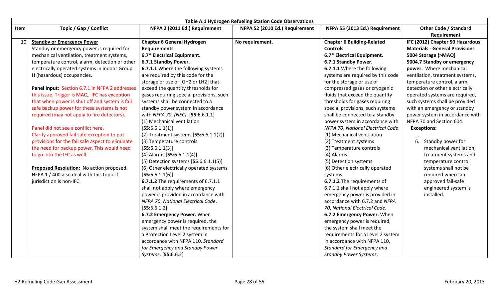|      |                                                  |                                          | <b>Table A.1 Hydrogen Refueling Station Code Observations</b> |                                    |                                       |
|------|--------------------------------------------------|------------------------------------------|---------------------------------------------------------------|------------------------------------|---------------------------------------|
| Item | Topic / Gap / Conflict                           | NFPA 2 (2011 Ed.) Requirement            | NFPA 52 (2010 Ed.) Requirement                                | NFPA 55 (2013 Ed.) Requirement     | <b>Other Code / Standard</b>          |
|      |                                                  |                                          |                                                               |                                    | Requirement                           |
| 10   | <b>Standby or Emergency Power</b>                | <b>Chapter 6 General Hydrogen</b>        | No requirement.                                               | <b>Chapter 6 Building-Related</b>  | IFC (2012) Chapter 50 Hazardous       |
|      | Standby or emergency power is required for       | <b>Requirements</b>                      |                                                               | <b>Controls</b>                    | <b>Materials - General Provisions</b> |
|      | mechanical ventilation, treatment systems,       | 6.7* Electrical Equipment.               |                                                               | 6.7* Electrical Equipment.         | 5004 Storage (>MAQ)                   |
|      | temperature control, alarm, detection or other   | 6.7.1 Standby Power.                     |                                                               | 6.7.1 Standby Power.               | 5004.7 Standby or emergency           |
|      | electrically operated systems in indoor Group    | 6.7.1.1 Where the following systems      |                                                               | 6.7.1.1 Where the following        | power. Where mechanical               |
|      | H (hazardous) occupancies.                       | are required by this code for the        |                                                               | systems are required by this code  | ventilation, treatment systems,       |
|      |                                                  | storage or use of [GH2 or LH2] that      |                                                               | for the storage or use of          | temperature control, alarm,           |
|      | Panel Input: Section 6.7.1 in NFPA 2 addresses   | exceed the quantity thresholds for       |                                                               | compressed gases or cryogenic      | detection or other electrically       |
|      | this issue. Trigger is MAQ. IFC has exception    | gases requiring special provisions, such |                                                               | fluids that exceed the quantity    | operated systems are required,        |
|      | that when power is shut off and system is fail   | systems shall be connected to a          |                                                               | thresholds for gases requiring     | such systems shall be provided        |
|      | safe backup power for these systems is not       | standby power system in accordance       |                                                               | special provisions, such systems   | with an emergency or standby          |
|      | required (may not apply to fire detectors).      | with NFPA 70, (NEC): [55:6.6.1.1]        |                                                               | shall be connected to a standby    | power system in accordance with       |
|      |                                                  | (1) Mechanical ventilation               |                                                               | power system in accordance with    | NFPA 70 and Section 604.              |
|      | Panel did not see a conflict here.               | [55:6.6.1.1(1)]                          |                                                               | NFPA 70, National Electrical Code: | <b>Exceptions:</b>                    |
|      | Clarify approved fail safe exception to put      | (2) Treatment systems $[55:6.6.1.1(2)]$  |                                                               | (1) Mechanical ventilation         |                                       |
|      | provisions for the fail safe aspect to eliminate | (3) Temperature controls                 |                                                               | (2) Treatment systems              | Standby power for                     |
|      | the need for backup power. This would need       | [55:6.6.1.1(3)]                          |                                                               | (3) Temperature controls           | mechanical ventilation,               |
|      | to go into the IFC as well.                      | $(4)$ Alarms [55:6.6.1.1(4)]             |                                                               | (4) Alarms                         | treatment systems and                 |
|      |                                                  | (5) Detection systems [55:6.6.1.1(5)]    |                                                               | (5) Detection systems              | temperature control                   |
|      | Proposed Resolution: No action proposed.         | (6) Other electrically operated systems  |                                                               | (6) Other electrically operated    | systems shall not be                  |
|      | NFPA 1 / 400 also deal with this topic if        | [55:6.6.1.1(6)]                          |                                                               | systems                            | required where an                     |
|      | jurisdiction is non-IFC.                         | 6.7.1.2 The requirements of 6.7.1.1      |                                                               | 6.7.1.2 The requirements of        | approved fail-safe                    |
|      |                                                  | shall not apply where emergency          |                                                               | 6.7.1.1 shall not apply where      | engineered system is                  |
|      |                                                  | power is provided in accordance with     |                                                               | emergency power is provided in     | installed.                            |
|      |                                                  | NFPA 70, National Electrical Code.       |                                                               | accordance with 6.7.2 and NFPA     |                                       |
|      |                                                  | [55:6.6.1.2]                             |                                                               | 70, National Electrical Code.      |                                       |
|      |                                                  | 6.7.2 Emergency Power. When              |                                                               | 6.7.2 Emergency Power. When        |                                       |
|      |                                                  | emergency power is required, the         |                                                               | emergency power is required,       |                                       |
|      |                                                  | system shall meet the requirements for   |                                                               | the system shall meet the          |                                       |
|      |                                                  | a Protection Level 2 system in           |                                                               | requirements for a Level 2 system  |                                       |
|      |                                                  | accordance with NFPA 110, Standard       |                                                               | in accordance with NFPA 110,       |                                       |
|      |                                                  | for Emergency and Standby Power          |                                                               | Standard for Emergency and         |                                       |
|      |                                                  | Systems. [55:6.6.2]                      |                                                               | <b>Standby Power Systems.</b>      |                                       |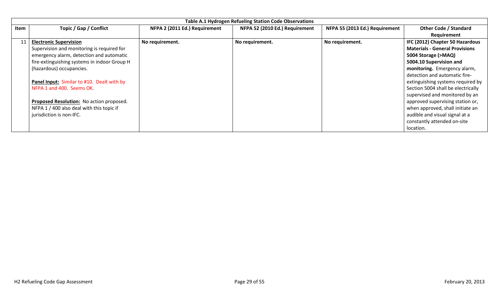|      | <b>Table A.1 Hydrogen Refueling Station Code Observations</b> |                               |                                |                                |                                       |  |  |
|------|---------------------------------------------------------------|-------------------------------|--------------------------------|--------------------------------|---------------------------------------|--|--|
| Item | Topic / Gap / Conflict                                        | NFPA 2 (2011 Ed.) Requirement | NFPA 52 (2010 Ed.) Requirement | NFPA 55 (2013 Ed.) Requirement | <b>Other Code / Standard</b>          |  |  |
|      |                                                               |                               |                                |                                | Requirement                           |  |  |
| 11   | <b>Electronic Supervision</b>                                 | No requirement.               | No requirement.                | No requirement.                | IFC (2012) Chapter 50 Hazardous       |  |  |
|      | Supervision and monitoring is required for                    |                               |                                |                                | <b>Materials - General Provisions</b> |  |  |
|      | emergency alarm, detection and automatic                      |                               |                                |                                | 5004 Storage (>MAQ)                   |  |  |
|      | fire-extinguishing systems in indoor Group H                  |                               |                                |                                | 5004.10 Supervision and               |  |  |
|      | (hazardous) occupancies.                                      |                               |                                |                                | monitoring. Emergency alarm,          |  |  |
|      |                                                               |                               |                                |                                | detection and automatic fire-         |  |  |
|      | Panel Input: Similar to #10. Dealt with by                    |                               |                                |                                | extinguishing systems required by     |  |  |
|      | NFPA 1 and 400. Seems OK.                                     |                               |                                |                                | Section 5004 shall be electrically    |  |  |
|      |                                                               |                               |                                |                                | supervised and monitored by an        |  |  |
|      | Proposed Resolution: No action proposed.                      |                               |                                |                                | approved supervising station or,      |  |  |
|      | NFPA 1 / 400 also deal with this topic if                     |                               |                                |                                | when approved, shall initiate an      |  |  |
|      | jurisdiction is non-IFC.                                      |                               |                                |                                | audible and visual signal at a        |  |  |
|      |                                                               |                               |                                |                                | constantly attended on-site           |  |  |
|      |                                                               |                               |                                |                                | location.                             |  |  |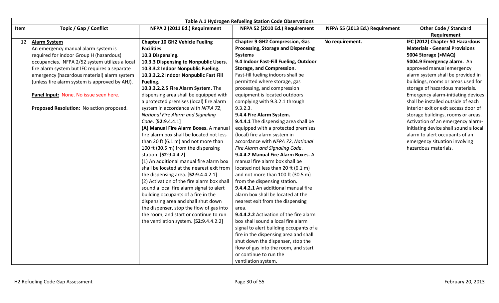|      |                                                |                                            | Table A.1 Hydrogen Refueling Station Code Observations |                                |                                                                          |
|------|------------------------------------------------|--------------------------------------------|--------------------------------------------------------|--------------------------------|--------------------------------------------------------------------------|
| Item | Topic / Gap / Conflict                         | NFPA 2 (2011 Ed.) Requirement              | NFPA 52 (2010 Ed.) Requirement                         | NFPA 55 (2013 Ed.) Requirement | <b>Other Code / Standard</b>                                             |
|      |                                                |                                            |                                                        |                                | Requirement                                                              |
| 12   | <b>Alarm System</b>                            | <b>Chapter 10 GH2 Vehicle Fueling</b>      | <b>Chapter 9 GH2 Compression, Gas</b>                  | No requirement.                | IFC (2012) Chapter 50 Hazardous<br><b>Materials - General Provisions</b> |
|      | An emergency manual alarm system is            | <b>Facilities</b>                          | <b>Processing, Storage and Dispensing</b>              |                                |                                                                          |
|      | required for indoor Group H (hazardous)        | 10.3 Dispensing.                           | <b>Systems</b>                                         |                                | 5004 Storage (>MAQ)                                                      |
|      | occupancies. NFPA 2/52 system utilizes a local | 10.3.3 Dispensing to Nonpublic Users.      | 9.4 Indoor Fast-Fill Fueling, Outdoor                  |                                | 5004.9 Emergency alarm. An                                               |
|      | fire alarm system but IFC requires a separate  | 10.3.3.2 Indoor Nonpublic Fueling.         | <b>Storage, and Compression.</b>                       |                                | approved manual emergency                                                |
|      | emergency (hazardous material) alarm system    | 10.3.3.2.2 Indoor Nonpublic Fast Fill      | Fast-fill fueling indoors shall be                     |                                | alarm system shall be provided in                                        |
|      | (unless fire alarm system is approved by AHJ). | Fueling.                                   | permitted where storage, gas                           |                                | buildings, rooms or areas used for                                       |
|      |                                                | 10.3.3.2.2.5 Fire Alarm System. The        | processing, and compression                            |                                | storage of hazardous materials.                                          |
|      | Panel Input: None. No issue seen here.         | dispensing area shall be equipped with     | equipment is located outdoors                          |                                | <b>Emergency alarm-initiating devices</b>                                |
|      |                                                | a protected premises (local) fire alarm    | complying with 9.3.2.1 through                         |                                | shall be installed outside of each                                       |
|      | Proposed Resolution: No action proposed.       | system in accordance with NFPA 72,         | 9.3.2.3.                                               |                                | interior exit or exit access door of                                     |
|      |                                                | <b>National Fire Alarm and Signaling</b>   | 9.4.4 Fire Alarm System.                               |                                | storage buildings, rooms or areas.                                       |
|      |                                                | Code. [52:9.4.4.1]                         | 9.4.4.1 The dispensing area shall be                   |                                | Activation of an emergency alarm-                                        |
|      |                                                | (A) Manual Fire Alarm Boxes. A manual      | equipped with a protected premises                     |                                | initiating device shall sound a local                                    |
|      |                                                | fire alarm box shall be located not less   | (local) fire alarm system in                           |                                | alarm to alert occupants of an                                           |
|      |                                                | than 20 ft (6.1 m) and not more than       | accordance with NFPA 72, National                      |                                | emergency situation involving                                            |
|      |                                                | 100 ft (30.5 m) from the dispensing        | Fire Alarm and Signaling Code.                         |                                | hazardous materials.                                                     |
|      |                                                | station. [52:9.4.4.2]                      | 9.4.4.2 Manual Fire Alarm Boxes. A                     |                                |                                                                          |
|      |                                                | (1) An additional manual fire alarm box    | manual fire alarm box shall be                         |                                |                                                                          |
|      |                                                | shall be located at the nearest exit from  | located not less than 20 ft (6.1 m)                    |                                |                                                                          |
|      |                                                | the dispensing area. [52:9.4.4.2.1]        | and not more than 100 ft (30.5 m)                      |                                |                                                                          |
|      |                                                | (2) Activation of the fire alarm box shall | from the dispensing station.                           |                                |                                                                          |
|      |                                                | sound a local fire alarm signal to alert   | 9.4.4.2.1 An additional manual fire                    |                                |                                                                          |
|      |                                                | building occupants of a fire in the        | alarm box shall be located at the                      |                                |                                                                          |
|      |                                                | dispensing area and shall shut down        | nearest exit from the dispensing                       |                                |                                                                          |
|      |                                                | the dispenser, stop the flow of gas into   | area.                                                  |                                |                                                                          |
|      |                                                | the room, and start or continue to run     | 9.4.4.2.2 Activation of the fire alarm                 |                                |                                                                          |
|      |                                                | the ventilation system. [52:9.4.4.2.2]     | box shall sound a local fire alarm                     |                                |                                                                          |
|      |                                                |                                            | signal to alert building occupants of a                |                                |                                                                          |
|      |                                                |                                            | fire in the dispensing area and shall                  |                                |                                                                          |
|      |                                                |                                            | shut down the dispenser, stop the                      |                                |                                                                          |
|      |                                                |                                            | flow of gas into the room, and start                   |                                |                                                                          |
|      |                                                |                                            | or continue to run the                                 |                                |                                                                          |
|      |                                                |                                            | ventilation system.                                    |                                |                                                                          |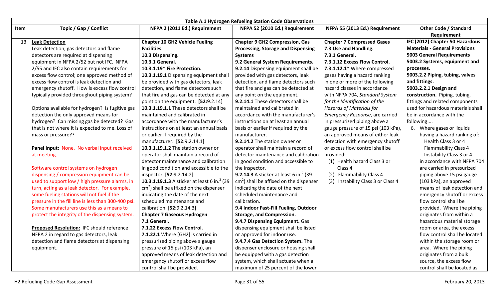|      |                                                     |                                                                | Table A.1 Hydrogen Refueling Station Code Observations     |                                     |                                       |
|------|-----------------------------------------------------|----------------------------------------------------------------|------------------------------------------------------------|-------------------------------------|---------------------------------------|
| Item | Topic / Gap / Conflict                              | NFPA 2 (2011 Ed.) Requirement                                  | NFPA 52 (2010 Ed.) Requirement                             | NFPA 55 (2013 Ed.) Requirement      | <b>Other Code / Standard</b>          |
|      |                                                     |                                                                |                                                            |                                     | Requirement                           |
| 13   | <b>Leak Detection</b>                               | <b>Chapter 10 GH2 Vehicle Fueling</b>                          | <b>Chapter 9 GH2 Compression, Gas</b>                      | <b>Chapter 7 Compressed Gases</b>   | IFC (2012) Chapter 50 Hazardous       |
|      | Leak detection, gas detectors and flame             | <b>Facilities</b>                                              | Processing, Storage and Dispensing                         | 7.3 Use and Handling.               | <b>Materials - General Provisions</b> |
|      | detectors are required at dispensing                | 10.3 Dispensing.                                               | <b>Systems</b>                                             | 7.3.1 General.                      | <b>5003 General Requirements</b>      |
|      | equipment in NFPA 2/52 but not IFC. NFPA            | 10.3.1 General.                                                | 9.2 General System Requirements.                           | 7.3.1.12 Excess Flow Control.       | 5003.2 Systems, equipment and         |
|      | 2/55 and IFC also contain requirements for          | 10.3.1.19* Fire Protection.                                    | 9.2.14 Dispensing equipment shall be                       | 7.3.1.12.1* Where compressed        | processes.                            |
|      | excess flow control; one approved method of         | 10.3.1.19.1 Dispensing equipment shall                         | provided with gas detectors, leak                          | gases having a hazard ranking       | 5003.2.2 Piping, tubing, valves       |
|      | excess flow control is leak detection and           | be provided with gas detectors, leak                           | detection, and flame detectors such                        | in one or more of the following     | and fittings.                         |
|      | emergency shutoff. How is excess flow control       | detection, and flame detectors such                            | that fire and gas can be detected at                       | hazard classes in accordance        | 5003.2.2.1 Design and                 |
|      | typically provided throughout piping system?        | that fire and gas can be detected at any                       | any point on the equipment.                                | with NFPA 704, Standard System      | construction. Piping, tubing,         |
|      |                                                     | point on the equipment. [52:9.2.14]                            | 9.2.14.1 These detectors shall be                          | for the Identification of the       | fittings and related components       |
|      | Options available for hydrogen? Is fugitive gas     | 10.3.1.19.1.1 These detectors shall be                         | maintained and calibrated in                               | <b>Hazards of Materials for</b>     | used for hazardous materials shall    |
|      | detection the only approved means for               | maintained and calibrated in                                   | accordance with the manufacturer's                         | Emergency Response, are carried     | be in accordance with the             |
|      | hydrogen? Can missing gas be detected? Gas          | accordance with the manufacturer's                             | instructions on at least an annual                         | in pressurized piping above a       | following:                            |
|      | that is not where it is expected to me. Loss of     | instructions on at least an annual basis                       | basis or earlier if required by the                        | gauge pressure of 15 psi (103 kPa), | 6. Where gases or liquids             |
|      | mass or pressure??                                  | or earlier if required by the                                  | manufacturer.                                              | an approved means of either leak    | having a hazard ranking of:           |
|      |                                                     | manufacturer. [52:9.2.14.1]                                    | 9.2.14.2 The station owner or                              | detection with emergency shutoff    | Health Class 3 or 4                   |
|      | Panel Input: None. No verbal input received         | 10.3.1.19.1.2 The station owner or                             | operator shall maintain a record of                        | or excess flow control shall be     | <b>Flammability Class 4</b>           |
|      | at meeting.                                         | operator shall maintain a record of                            | detector maintenance and calibration                       | provided:                           | Instability Class 3 or 4              |
|      |                                                     | detector maintenance and calibration                           | in good condition and accessible to                        | (1) Health hazard Class 3 or        | in accordance with NFPA 704           |
|      | Software control systems on hydrogen                | in good condition and accessible to the                        | the inspector.                                             | Class 4                             | are carried in pressurized            |
|      | dispensing / compression equipment can be           | inspector. [52:9.2.14.2]                                       | <b>9.2.14.3</b> A sticker at least 6 in. <sup>2</sup> (39) | (2) Flammability Class 4            | piping above 15 psi gauge             |
|      | used to support low / high pressure alarms, in      | <b>10.3.1.19.1.3</b> A sticker at least 6 in. <sup>2</sup> (39 | $\text{cm}^2$ ) shall be affixed on the dispenser          | (3) Instability Class 3 or Class 4  | (103 kPa), an approved                |
|      | turn, acting as a leak detector. For example,       | $\text{cm}^2$ ) shall be affixed on the dispenser              | indicating the date of the next                            |                                     | means of leak detection and           |
|      | some fueling stations will not fuel if the          | indicating the date of the next                                | scheduled maintenance and                                  |                                     | emergency shutoff or excess           |
|      | pressure in the fill line is less than 300-400 psi. | scheduled maintenance and                                      | calibration.                                               |                                     | flow control shall be                 |
|      | Some manufacturers use this as a means to           | calibration. [52:9.2.14.3]                                     | 9.4 Indoor Fast-Fill Fueling, Outdoor                      |                                     | provided. Where the piping            |
|      | protect the integrity of the dispensing system.     | <b>Chapter 7 Gaseous Hydrogen</b>                              | <b>Storage, and Compression.</b>                           |                                     | originates from within a              |
|      |                                                     | 7.1 General.                                                   | 9.4.7 Dispensing Equipment. Gas                            |                                     | hazardous material storage            |
|      | Proposed Resolution: IFC should reference           | 7.1.22 Excess Flow Control.                                    | dispensing equipment shall be listed                       |                                     | room or area, the excess              |
|      | NFPA 2 in regard to gas detectors, leak             | 7.1.22.1 Where [GH2] is carried in                             | or approved for indoor use.                                |                                     | flow control shall be located         |
|      | detection and flame detectors at dispensing         | pressurized piping above a gauge                               | 9.4.7.4 Gas Detection System. The                          |                                     | within the storage room or            |
|      | equipment.                                          | pressure of 15 psi (103 kPa), an                               | dispenser enclosure or housing shall                       |                                     | area. Where the piping                |
|      |                                                     | approved means of leak detection and                           | be equipped with a gas detection                           |                                     | originates from a bulk                |
|      |                                                     | emergency shutoff or excess flow                               | system, which shall actuate when a                         |                                     | source, the excess flow               |
|      |                                                     | control shall be provided.                                     | maximum of 25 percent of the lower                         |                                     | control shall be located as           |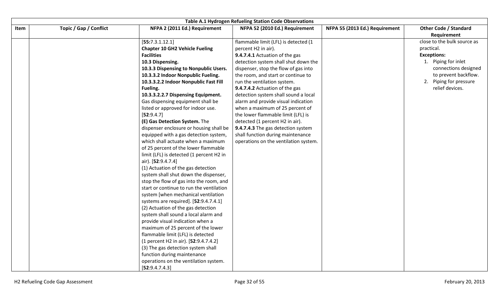|      |                        |                                          | <b>Table A.1 Hydrogen Refueling Station Code Observations</b> |                                |                              |
|------|------------------------|------------------------------------------|---------------------------------------------------------------|--------------------------------|------------------------------|
| Item | Topic / Gap / Conflict | NFPA 2 (2011 Ed.) Requirement            | NFPA 52 (2010 Ed.) Requirement                                | NFPA 55 (2013 Ed.) Requirement | <b>Other Code / Standard</b> |
|      |                        |                                          |                                                               |                                | Requirement                  |
|      |                        | [55:7.3.1.12.1]                          | flammable limit (LFL) is detected (1                          |                                | close to the bulk source as  |
|      |                        | <b>Chapter 10 GH2 Vehicle Fueling</b>    | percent H2 in air).                                           |                                | practical.                   |
|      |                        | <b>Facilities</b>                        | 9.4.7.4.1 Actuation of the gas                                |                                | <b>Exceptions:</b>           |
|      |                        | 10.3 Dispensing.                         | detection system shall shut down the                          |                                | 1. Piping for inlet          |
|      |                        | 10.3.3 Dispensing to Nonpublic Users.    | dispenser, stop the flow of gas into                          |                                | connections designed         |
|      |                        | 10.3.3.2 Indoor Nonpublic Fueling.       | the room, and start or continue to                            |                                | to prevent backflow.         |
|      |                        | 10.3.3.2.2 Indoor Nonpublic Fast Fill    | run the ventilation system.                                   |                                | 2. Piping for pressure       |
|      |                        | Fueling.                                 | 9.4.7.4.2 Actuation of the gas                                |                                | relief devices.              |
|      |                        | 10.3.3.2.2.7 Dispensing Equipment.       | detection system shall sound a local                          |                                |                              |
|      |                        | Gas dispensing equipment shall be        | alarm and provide visual indication                           |                                |                              |
|      |                        | listed or approved for indoor use.       | when a maximum of 25 percent of                               |                                |                              |
|      |                        | [52:9.4.7]                               | the lower flammable limit (LFL) is                            |                                |                              |
|      |                        | (E) Gas Detection System. The            | detected (1 percent H2 in air).                               |                                |                              |
|      |                        | dispenser enclosure or housing shall be  | 9.4.7.4.3 The gas detection system                            |                                |                              |
|      |                        | equipped with a gas detection system,    | shall function during maintenance                             |                                |                              |
|      |                        | which shall actuate when a maximum       | operations on the ventilation system.                         |                                |                              |
|      |                        | of 25 percent of the lower flammable     |                                                               |                                |                              |
|      |                        | limit (LFL) is detected (1 percent H2 in |                                                               |                                |                              |
|      |                        | air). [52:9.4.7.4]                       |                                                               |                                |                              |
|      |                        | (1) Actuation of the gas detection       |                                                               |                                |                              |
|      |                        | system shall shut down the dispenser,    |                                                               |                                |                              |
|      |                        | stop the flow of gas into the room, and  |                                                               |                                |                              |
|      |                        | start or continue to run the ventilation |                                                               |                                |                              |
|      |                        | system [when mechanical ventilation      |                                                               |                                |                              |
|      |                        | systems are required]. [52:9.4.7.4.1]    |                                                               |                                |                              |
|      |                        | (2) Actuation of the gas detection       |                                                               |                                |                              |
|      |                        | system shall sound a local alarm and     |                                                               |                                |                              |
|      |                        | provide visual indication when a         |                                                               |                                |                              |
|      |                        | maximum of 25 percent of the lower       |                                                               |                                |                              |
|      |                        | flammable limit (LFL) is detected        |                                                               |                                |                              |
|      |                        | (1 percent H2 in air). [52:9.4.7.4.2]    |                                                               |                                |                              |
|      |                        | (3) The gas detection system shall       |                                                               |                                |                              |
|      |                        | function during maintenance              |                                                               |                                |                              |
|      |                        | operations on the ventilation system.    |                                                               |                                |                              |
|      |                        | [52:9.4.7.4.3]                           |                                                               |                                |                              |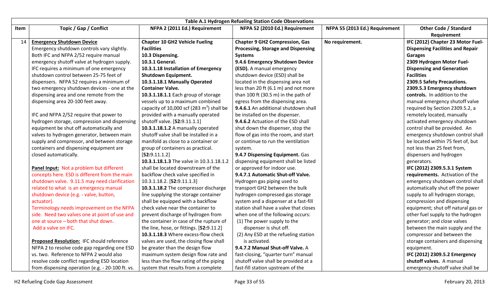|      |                                                  |                                             | <b>Table A.1 Hydrogen Refueling Station Code Observations</b> |                                |                                         |
|------|--------------------------------------------------|---------------------------------------------|---------------------------------------------------------------|--------------------------------|-----------------------------------------|
| Item | Topic / Gap / Conflict                           | NFPA 2 (2011 Ed.) Requirement               | NFPA 52 (2010 Ed.) Requirement                                | NFPA 55 (2013 Ed.) Requirement | <b>Other Code / Standard</b>            |
|      |                                                  |                                             |                                                               |                                | Requirement                             |
| 14   | <b>Emergency Shutdown Device</b>                 | <b>Chapter 10 GH2 Vehicle Fueling</b>       | <b>Chapter 9 GH2 Compression, Gas</b>                         | No requirement.                | IFC (2012) Chapter 23 Motor Fuel-       |
|      | Emergency shutdown controls vary slightly.       | <b>Facilities</b>                           | <b>Processing, Storage and Dispensing</b>                     |                                | <b>Dispensing Facilities and Repair</b> |
|      | Both IFC and NFPA 2/52 require manual            | 10.3 Dispensing.                            | <b>Systems</b>                                                |                                | <b>Garages</b>                          |
|      | emergency shutoff valve at hydrogen supply.      | 10.3.1 General.                             | 9.4.6 Emergency Shutdown Device                               |                                | 2309 Hydrogen Motor Fuel-               |
|      | IFC requires a minimum of one emergency          | 10.3.1.18 Installation of Emergency         | (ESD). A manual emergency                                     |                                | <b>Dispensing and Generation</b>        |
|      | shutdown control between 25-75 feet of           | <b>Shutdown Equipment.</b>                  | shutdown device (ESD) shall be                                |                                | <b>Facilities</b>                       |
|      | dispensers. NFPA 52 requires a minimum of        | 10.3.1.18.1 Manually Operated               | located in the dispensing area not                            |                                | 2309.5 Safety Precautions.              |
|      | two emergency shutdown devices - one at the      | <b>Container Valve.</b>                     | less than 20 ft (6.1 m) and not more                          |                                | 2309.5.3 Emergency shutdown             |
|      | dispensing area and one remote from the          | 10.3.1.18.1.1 Each group of storage         | than 100 ft (30.5 m) in the path of                           |                                | controls. In addition to the            |
|      | dispensing area 20-100 feet away.                | vessels up to a maximum combined            | egress from the dispensing area.                              |                                | manual emergency shutoff valve          |
|      |                                                  | capacity of 10,000 scf (283 $m3$ ) shall be | 9.4.6.1 An additional shutdown shall                          |                                | required by Section 2309.5.2, a         |
|      | IFC and NFPA 2/52 require that power to          | provided with a manually operated           | be installed on the dispenser.                                |                                | remotely located, manually              |
|      | hydrogen storage, compression and dispensing     | shutoff valve. [52:9.11.1.1]                | 9.4.6.2 Actuation of the ESD shall                            |                                | activated emergency shutdown            |
|      | equipment be shut off automatically and          | 10.3.1.18.1.2 A manually operated           | shut down the dispenser, stop the                             |                                | control shall be provided. An           |
|      | valves to hydrogen generator, between main       | shutoff valve shall be installed in a       | flow of gas into the room, and start                          |                                | emergency shutdown control shall        |
|      | supply and compressor, and between storage       | manifold as close to a container or         | or continue to run the ventilation                            |                                | be located within 75 feet of, but       |
|      | containers and dispensing equipment are          | group of containers as practical.           | system.                                                       |                                | not less than 25 feet from,             |
|      | closed automatically.                            | [52:9.11.1.2]                               | 9.4.7 Dispensing Equipment. Gas                               |                                | dispensers and hydrogen                 |
|      |                                                  | 10.3.1.18.1.3 The valve in 10.3.1.18.1.2    | dispensing equipment shall be listed                          |                                | generators.                             |
|      | Panel Input: Not a problem but different         | shall be located downstream of the          | or approved for indoor use.                                   |                                | IFC (2012) 2309.5.3.1 System            |
|      | concepts here. ESD is different from the main    | backflow check valve specified in           | 9.4.7.1 Automatic Shut-off Valve.                             |                                | requirements. Activation of the         |
|      | shutdown valve. 9.11.5 may need clarification    | 10.3.1.18.2. [52:9.11.1.3]                  | Hydrogen gas piping used to                                   |                                | emergency shutdown control shall        |
|      | related to what is an emergency manual           | 10.3.1.18.2 The compressor discharge        | transport GH2 between the bulk                                |                                | automatically shut off the power        |
|      | shutdown device (e.g. - valve, button,           | line supplying the storage container        | hydrogen compressed gas storage                               |                                | supply to all hydrogen storage,         |
|      | actuator).                                       | shall be equipped with a backflow           | system and a dispenser at a fast-fill                         |                                | compression and dispensing              |
|      | Terminology needs improvement on the NFPA        | check valve near the container to           | station shall have a valve that closes                        |                                | equipment; shut off natural gas or      |
|      | side. Need two valves one at point of use and    | prevent discharge of hydrogen from          | when one of the following occurs:                             |                                | other fuel supply to the hydrogen       |
|      | one at source - both that shut down.             | the container in case of the rupture of     | (1) The power supply to the                                   |                                | generator; and close valves             |
|      | Add a valve on IFC.                              | the line, hose, or fittings. [52:9.11.2]    | dispenser is shut off.                                        |                                | between the main supply and the         |
|      |                                                  | 10.3.1.18.3 Where excess-flow check         | (2) Any ESD at the refueling station                          |                                | compressor and between the              |
|      | Proposed Resolution: IFC should reference        | valves are used, the closing flow shall     | is activated.                                                 |                                | storage containers and dispensing       |
|      | NFPA 2 to resolve code gap regarding one ESD     | be greater than the design flow             | 9.4.7.2 Manual Shut-off Valve. A                              |                                | equipment.                              |
|      | vs. two. Reference to NFPA 2 would also          | maximum system design flow rate and         | fast-closing, "quarter turn" manual                           |                                | IFC (2012) 2309.5.2 Emergency           |
|      | resolve code conflict regarding ESD location     | less than the flow rating of the piping     | shutoff valve shall be provided at a                          |                                | shutoff valves. A manual                |
|      | from dispensing operation (e.g. - 20-100 ft. vs. | system that results from a complete         | fast-fill station upstream of the                             |                                | emergency shutoff valve shall be        |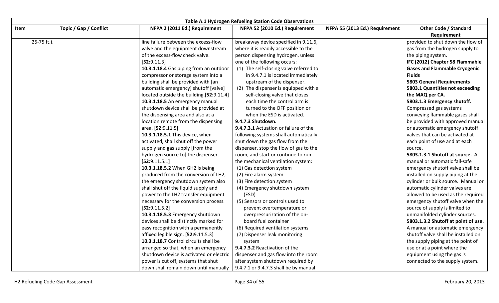|      |                        |                                          | Table A.1 Hydrogen Refueling Station Code Observations |                                |                                             |
|------|------------------------|------------------------------------------|--------------------------------------------------------|--------------------------------|---------------------------------------------|
| Item | Topic / Gap / Conflict | NFPA 2 (2011 Ed.) Requirement            | NFPA 52 (2010 Ed.) Requirement                         | NFPA 55 (2013 Ed.) Requirement | <b>Other Code / Standard</b><br>Requirement |
|      | 25-75 ft.).            | line failure between the excess-flow     | breakaway device specified in 9.11.6,                  |                                | provided to shut down the flow of           |
|      |                        | valve and the equipment downstream       | where it is readily accessible to the                  |                                | gas from the hydrogen supply to             |
|      |                        | of the excess-flow check valve.          | person dispensing hydrogen, unless                     |                                | the piping system.                          |
|      |                        | [52:9.11.3]                              | one of the following occurs:                           |                                | IFC (2012) Chapter 58 Flammable             |
|      |                        | 10.3.1.18.4 Gas piping from an outdoor   | (1) The self-closing valve referred to                 |                                | <b>Gases and Flammable Cryogenic</b>        |
|      |                        | compressor or storage system into a      | in 9.4.7.1 is located immediately                      |                                | <b>Fluids</b>                               |
|      |                        | building shall be provided with [an      | upstream of the dispenser.                             |                                | <b>5803 General Requirements</b>            |
|      |                        | automatic emergency] shutoff [valve]     | (2) The dispenser is equipped with a                   |                                | 5803.1 Quantities not exceeding             |
|      |                        | located outside the building.[52:9.11.4] | self-closing valve that closes                         |                                | the MAQ per CA.                             |
|      |                        | 10.3.1.18.5 An emergency manual          | each time the control arm is                           |                                | 5803.1.3 Emergency shutoff.                 |
|      |                        | shutdown device shall be provided at     | turned to the OFF position or                          |                                | Compressed gas systems                      |
|      |                        | the dispensing area and also at a        | when the ESD is activated.                             |                                | conveying flammable gases shall             |
|      |                        | location remote from the dispensing      | 9.4.7.3 Shutdown.                                      |                                | be provided with approved manual            |
|      |                        | area. [52:9.11.5]                        | 9.4.7.3.1 Actuation or failure of the                  |                                | or automatic emergency shutoff              |
|      |                        | 10.3.1.18.5.1 This device, when          | following systems shall automatically                  |                                | valves that can be activated at             |
|      |                        | activated, shall shut off the power      | shut down the gas flow from the                        |                                | each point of use and at each               |
|      |                        | supply and gas supply [from the          | dispenser, stop the flow of gas to the                 |                                | source.                                     |
|      |                        | hydrogen source to] the dispenser.       | room, and start or continue to run                     |                                | 5803.1.3.1 Shutoff at source. A             |
|      |                        | [52:9.11.5.1]                            | the mechanical ventilation system:                     |                                | manual or automatic fail-safe               |
|      |                        | 10.3.1.18.5.2 When GH2 is being          | (1) Gas detection system                               |                                | emergency shutoff valve shall be            |
|      |                        | produced from the conversion of LH2,     | (2) Fire alarm system                                  |                                | installed on supply piping at the           |
|      |                        | the emergency shutdown system also       | (3) Fire detection system                              |                                | cylinder or bulk source. Manual or          |
|      |                        | shall shut off the liquid supply and     | (4) Emergency shutdown system                          |                                | automatic cylinder valves are               |
|      |                        | power to the LH2 transfer equipment      | (ESD)                                                  |                                | allowed to be used as the required          |
|      |                        | necessary for the conversion process.    | (5) Sensors or controls used to                        |                                | emergency shutoff valve when the            |
|      |                        | [52:9.11.5.2]                            | prevent overtemperature or                             |                                | source of supply is limited to              |
|      |                        | 10.3.1.18.5.3 Emergency shutdown         | overpressurization of the on-                          |                                | unmanifolded cylinder sources.              |
|      |                        | devices shall be distinctly marked for   | board fuel container                                   |                                | 5803.1.3.2 Shutoff at point of use.         |
|      |                        | easy recognition with a permanently      | (6) Required ventilation systems                       |                                | A manual or automatic emergency             |
|      |                        | affixed legible sign. [52:9.11.5.3]      | (7) Dispenser leak monitoring                          |                                | shutoff valve shall be installed on         |
|      |                        | 10.3.1.18.7 Control circuits shall be    | system                                                 |                                | the supply piping at the point of           |
|      |                        | arranged so that, when an emergency      | 9.4.7.3.2 Reactivation of the                          |                                | use or at a point where the                 |
|      |                        | shutdown device is activated or electric | dispenser and gas flow into the room                   |                                | equipment using the gas is                  |
|      |                        | power is cut off, systems that shut      | after system shutdown required by                      |                                | connected to the supply system.             |
|      |                        | down shall remain down until manually    | 9.4.7.1 or 9.4.7.3 shall be by manual                  |                                |                                             |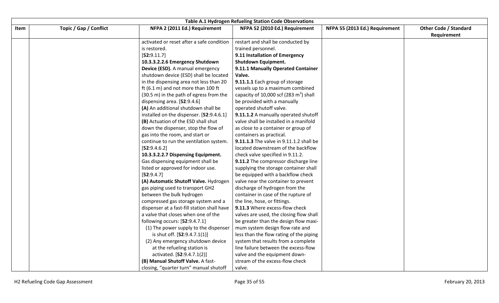|      |                        |                                             | <b>Table A.1 Hydrogen Refueling Station Code Observations</b> |                                |                              |
|------|------------------------|---------------------------------------------|---------------------------------------------------------------|--------------------------------|------------------------------|
| Item | Topic / Gap / Conflict | NFPA 2 (2011 Ed.) Requirement               | NFPA 52 (2010 Ed.) Requirement                                | NFPA 55 (2013 Ed.) Requirement | <b>Other Code / Standard</b> |
|      |                        |                                             |                                                               |                                | Requirement                  |
|      |                        | activated or reset after a safe condition   | restart and shall be conducted by                             |                                |                              |
|      |                        | is restored.                                | trained personnel.                                            |                                |                              |
|      |                        | [52:9.11.7]                                 | 9.11 Installation of Emergency                                |                                |                              |
|      |                        | 10.3.3.2.2.6 Emergency Shutdown             | <b>Shutdown Equipment.</b>                                    |                                |                              |
|      |                        | Device (ESD). A manual emergency            | 9.11.1 Manually Operated Container                            |                                |                              |
|      |                        | shutdown device (ESD) shall be located      | Valve.                                                        |                                |                              |
|      |                        | in the dispensing area not less than 20     | 9.11.1.1 Each group of storage                                |                                |                              |
|      |                        | ft (6.1 m) and not more than 100 ft         | vessels up to a maximum combined                              |                                |                              |
|      |                        | (30.5 m) in the path of egress from the     | capacity of 10,000 scf (283 $m3$ ) shall                      |                                |                              |
|      |                        | dispensing area. [52:9.4.6]                 | be provided with a manually                                   |                                |                              |
|      |                        | (A) An additional shutdown shall be         | operated shutoff valve.                                       |                                |                              |
|      |                        | installed on the dispenser. [52:9.4.6.1]    | 9.11.1.2 A manually operated shutoff                          |                                |                              |
|      |                        | (B) Actuation of the ESD shall shut         | valve shall be installed in a manifold                        |                                |                              |
|      |                        | down the dispenser, stop the flow of        | as close to a container or group of                           |                                |                              |
|      |                        | gas into the room, and start or             | containers as practical.                                      |                                |                              |
|      |                        | continue to run the ventilation system.     | 9.11.1.3 The valve in 9.11.1.2 shall be                       |                                |                              |
|      |                        | [52:9.4.6.2]                                | located downstream of the backflow                            |                                |                              |
|      |                        | 10.3.3.2.2.7 Dispensing Equipment.          | check valve specified in 9.11.2.                              |                                |                              |
|      |                        | Gas dispensing equipment shall be           | 9.11.2 The compressor discharge line                          |                                |                              |
|      |                        | listed or approved for indoor use.          | supplying the storage container shall                         |                                |                              |
|      |                        | [52:9.4.7]                                  | be equipped with a backflow check                             |                                |                              |
|      |                        | (A) Automatic Shutoff Valve. Hydrogen       | valve near the container to prevent                           |                                |                              |
|      |                        | gas piping used to transport GH2            | discharge of hydrogen from the                                |                                |                              |
|      |                        | between the bulk hydrogen                   | container in case of the rupture of                           |                                |                              |
|      |                        | compressed gas storage system and a         | the line, hose, or fittings.                                  |                                |                              |
|      |                        | dispenser at a fast-fill station shall have | 9.11.3 Where excess-flow check                                |                                |                              |
|      |                        | a valve that closes when one of the         | valves are used, the closing flow shall                       |                                |                              |
|      |                        | following occurs: [52:9.4.7.1]              | be greater than the design flow maxi-                         |                                |                              |
|      |                        | (1) The power supply to the dispenser       | mum system design flow rate and                               |                                |                              |
|      |                        | is shut off. [52:9.4.7.1(1)]                | less than the flow rating of the piping                       |                                |                              |
|      |                        | (2) Any emergency shutdown device           | system that results from a complete                           |                                |                              |
|      |                        | at the refueling station is                 | line failure between the excess-flow                          |                                |                              |
|      |                        | activated. [52:9.4.7.1(2)]                  | valve and the equipment down-                                 |                                |                              |
|      |                        | (B) Manual Shutoff Valve. A fast-           | stream of the excess-flow check                               |                                |                              |
|      |                        | closing, "quarter turn" manual shutoff      | valve.                                                        |                                |                              |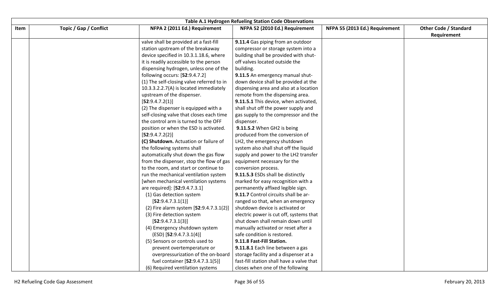|      |                        |                                           | Table A.1 Hydrogen Refueling Station Code Observations |                                |                              |
|------|------------------------|-------------------------------------------|--------------------------------------------------------|--------------------------------|------------------------------|
| Item | Topic / Gap / Conflict | NFPA 2 (2011 Ed.) Requirement             | NFPA 52 (2010 Ed.) Requirement                         | NFPA 55 (2013 Ed.) Requirement | <b>Other Code / Standard</b> |
|      |                        |                                           |                                                        |                                | Requirement                  |
|      |                        | valve shall be provided at a fast-fill    | 9.11.4 Gas piping from an outdoor                      |                                |                              |
|      |                        | station upstream of the breakaway         | compressor or storage system into a                    |                                |                              |
|      |                        | device specified in 10.3.1.18.6, where    | building shall be provided with shut-                  |                                |                              |
|      |                        | it is readily accessible to the person    | off valves located outside the                         |                                |                              |
|      |                        | dispensing hydrogen, unless one of the    | building.                                              |                                |                              |
|      |                        | following occurs: [52:9.4.7.2]            | 9.11.5 An emergency manual shut-                       |                                |                              |
|      |                        | (1) The self-closing valve referred to in | down device shall be provided at the                   |                                |                              |
|      |                        | 10.3.3.2.2.7(A) is located immediately    | dispensing area and also at a location                 |                                |                              |
|      |                        | upstream of the dispenser.                | remote from the dispensing area.                       |                                |                              |
|      |                        | [52:9.4.7.2(1)]                           | 9.11.5.1 This device, when activated,                  |                                |                              |
|      |                        | (2) The dispenser is equipped with a      | shall shut off the power supply and                    |                                |                              |
|      |                        | self-closing valve that closes each time  | gas supply to the compressor and the                   |                                |                              |
|      |                        | the control arm is turned to the OFF      | dispenser.                                             |                                |                              |
|      |                        | position or when the ESD is activated.    | 9.11.5.2 When GH2 is being                             |                                |                              |
|      |                        | [52:9.4.7.2(2)]                           | produced from the conversion of                        |                                |                              |
|      |                        | (C) Shutdown. Actuation or failure of     | LH2, the emergency shutdown                            |                                |                              |
|      |                        | the following systems shall               | system also shall shut off the liquid                  |                                |                              |
|      |                        | automatically shut down the gas flow      | supply and power to the LH2 transfer                   |                                |                              |
|      |                        | from the dispenser, stop the flow of gas  | equipment necessary for the                            |                                |                              |
|      |                        | to the room, and start or continue to     | conversion process.                                    |                                |                              |
|      |                        | run the mechanical ventilation system     | 9.11.5.3 ESDs shall be distinctly                      |                                |                              |
|      |                        | [when mechanical ventilation systems      | marked for easy recognition with a                     |                                |                              |
|      |                        | are required]: [52:9.4.7.3.1]             | permanently affixed legible sign.                      |                                |                              |
|      |                        | (1) Gas detection system                  | 9.11.7 Control circuits shall be ar-                   |                                |                              |
|      |                        | [52:9.4.7.3.1(1)]                         | ranged so that, when an emergency                      |                                |                              |
|      |                        | (2) Fire alarm system [52:9.4.7.3.1(2)]   | shutdown device is activated or                        |                                |                              |
|      |                        | (3) Fire detection system                 | electric power is cut off, systems that                |                                |                              |
|      |                        | [52:9.4.7.3.1(3)]                         | shut down shall remain down until                      |                                |                              |
|      |                        | (4) Emergency shutdown system             | manually activated or reset after a                    |                                |                              |
|      |                        | $(ESD)$ [52:9.4.7.3.1(4)]                 | safe condition is restored.                            |                                |                              |
|      |                        | (5) Sensors or controls used to           | 9.11.8 Fast-Fill Station.                              |                                |                              |
|      |                        | prevent overtemperature or                | 9.11.8.1 Each line between a gas                       |                                |                              |
|      |                        | overpressurization of the on-board        | storage facility and a dispenser at a                  |                                |                              |
|      |                        | fuel container [52:9.4.7.3.1(5)]          | fast-fill station shall have a valve that              |                                |                              |
|      |                        | (6) Required ventilation systems          | closes when one of the following                       |                                |                              |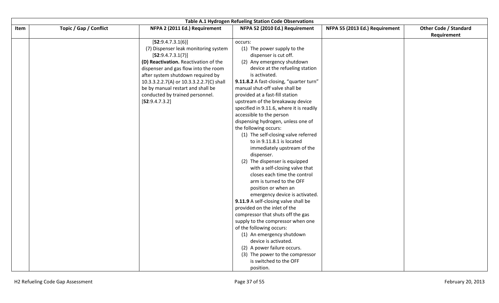|      |                        |                                          | Table A.1 Hydrogen Refueling Station Code Observations |                                |                              |
|------|------------------------|------------------------------------------|--------------------------------------------------------|--------------------------------|------------------------------|
| Item | Topic / Gap / Conflict | NFPA 2 (2011 Ed.) Requirement            | NFPA 52 (2010 Ed.) Requirement                         | NFPA 55 (2013 Ed.) Requirement | <b>Other Code / Standard</b> |
|      |                        |                                          |                                                        |                                | Requirement                  |
|      |                        | [52:9.4.7.3.1(6)]                        | occurs:                                                |                                |                              |
|      |                        | (7) Dispenser leak monitoring system     | (1) The power supply to the                            |                                |                              |
|      |                        | [52:9.4.7.3.1(7)]                        | dispenser is cut off.                                  |                                |                              |
|      |                        | (D) Reactivation. Reactivation of the    | (2) Any emergency shutdown                             |                                |                              |
|      |                        | dispenser and gas flow into the room     | device at the refueling station                        |                                |                              |
|      |                        | after system shutdown required by        | is activated.                                          |                                |                              |
|      |                        | 10.3.3.2.2.7(A) or 10.3.3.2.2.7(C) shall | 9.11.8.2 A fast-closing, "quarter turn"                |                                |                              |
|      |                        | be by manual restart and shall be        | manual shut-off valve shall be                         |                                |                              |
|      |                        | conducted by trained personnel.          | provided at a fast-fill station                        |                                |                              |
|      |                        | [52:9.4.7.3.2]                           | upstream of the breakaway device                       |                                |                              |
|      |                        |                                          | specified in 9.11.6, where it is readily               |                                |                              |
|      |                        |                                          | accessible to the person                               |                                |                              |
|      |                        |                                          | dispensing hydrogen, unless one of                     |                                |                              |
|      |                        |                                          | the following occurs:                                  |                                |                              |
|      |                        |                                          | (1) The self-closing valve referred                    |                                |                              |
|      |                        |                                          | to in 9.11.8.1 is located                              |                                |                              |
|      |                        |                                          | immediately upstream of the                            |                                |                              |
|      |                        |                                          | dispenser.                                             |                                |                              |
|      |                        |                                          | (2) The dispenser is equipped                          |                                |                              |
|      |                        |                                          | with a self-closing valve that                         |                                |                              |
|      |                        |                                          | closes each time the control                           |                                |                              |
|      |                        |                                          | arm is turned to the OFF                               |                                |                              |
|      |                        |                                          | position or when an                                    |                                |                              |
|      |                        |                                          | emergency device is activated.                         |                                |                              |
|      |                        |                                          | 9.11.9 A self-closing valve shall be                   |                                |                              |
|      |                        |                                          | provided on the inlet of the                           |                                |                              |
|      |                        |                                          | compressor that shuts off the gas                      |                                |                              |
|      |                        |                                          | supply to the compressor when one                      |                                |                              |
|      |                        |                                          | of the following occurs:                               |                                |                              |
|      |                        |                                          | (1) An emergency shutdown                              |                                |                              |
|      |                        |                                          | device is activated.                                   |                                |                              |
|      |                        |                                          | (2) A power failure occurs.                            |                                |                              |
|      |                        |                                          | (3) The power to the compressor                        |                                |                              |
|      |                        |                                          | is switched to the OFF                                 |                                |                              |
|      |                        |                                          | position.                                              |                                |                              |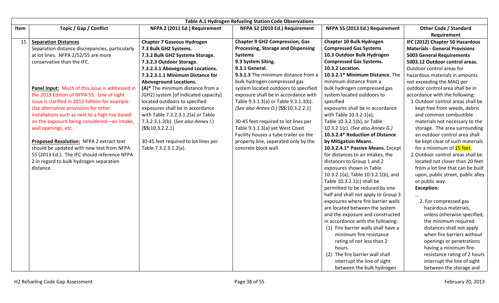|      |                                                 |                                      | Table A.1 Hydrogen Refueling Station Code Observations |                                     |                                       |
|------|-------------------------------------------------|--------------------------------------|--------------------------------------------------------|-------------------------------------|---------------------------------------|
| Item | Topic / Gap / Conflict                          | NFPA 2 (2011 Ed.) Requirement        | NFPA 52 (2010 Ed.) Requirement                         | NFPA 55 (2013 Ed.) Requirement      | <b>Other Code / Standard</b>          |
|      |                                                 |                                      |                                                        |                                     | Requirement                           |
| 15   | <b>Separation Distances</b>                     | <b>Chapter 7 Gaseous Hydrogen</b>    | <b>Chapter 9 GH2 Compression, Gas</b>                  | Chapter 10 Bulk Hydrogen            | IFC (2012) Chapter 50 Hazardous       |
|      | Separation distance discrepancies, particularly | 7.3 Bulk GH2 Systems.                | Processing, Storage and Dispensing                     | <b>Compressed Gas Systems</b>       | <b>Materials - General Provisions</b> |
|      | at lot lines. NFPA 2/52/55 are more             | 7.3.2 Bulk GH2 Systems Storage.      | <b>Systems</b>                                         | 10.3 Outdoor Bulk Hydrogen          | <b>5003 General Requirements</b>      |
|      | conservative than the IFC.                      | 7.3.2.3 Outdoor Storage.             | 9.3 System Siting.                                     | <b>Compressed Gas Systems.</b>      | 5003.12 Outdoor control areas.        |
|      |                                                 | 7.3.2.3.1 Aboveground Locations.     | 9.3.1 General.                                         | 10.3.2 Location.                    | Outdoor control areas for             |
|      |                                                 | 7.3.2.3.1.1 Minimum Distance for     | 9.3.1.3 The minimum distance from a                    | 10.3.2.1* Minimum Distance. The     | hazardous materials in amounts        |
|      |                                                 | <b>Aboveground Locations.</b>        | bulk hydrogen compressed gas                           | minimum distance from a             | not exceeding the MAQ per             |
|      | Panel Input: Much of this issue is addressed in | (A)* The minimum distance from a     | system located outdoors to specified                   | bulk hydrogen compressed gas        | outdoor control area shall be in      |
|      | the 2013 Edition of NFPA 55. Line of sight      | [GH2] system [of indicated capacity] | exposure shall be in accordance with                   | system located outdoors to          | accordance with the following:        |
|      | issue is clarified in 2013 Edition for example. | located outdoors to specified        | Table 9.3.1.3(a) or Table 9.3.1.3(b).                  | specified                           | 1. Outdoor control areas shall be     |
|      | Use alternative provisions for other            | exposures shall be in accordance     | (See also Annex D.) [55:10.3.2.2.1]                    | exposures shall be in accordance    | kept free from weeds, debris          |
|      | installations such as next to a high rise based | with Table 7.3.2.3.1.2(a) or Table   |                                                        | with Table 10.3.2.1(a),             | and common combustible                |
|      | on the exposure being considered-air intake,    | 7.3.2.3.1.2(b). (See also Annex I.)  | 30-45 feet required to lot lines per                   | Table 10.3.2.1(b), or Table         | materials not necessary to the        |
|      | wall openings, etc.                             | [55:10.3.2.2.1]                      | Table 9.3.1.3(a) yet West Coast                        | 10.3.2.1(c). (See also Annex G.)    | storage. The area surrounding         |
|      |                                                 |                                      | Facility houses a tube trailer on the                  | 10.3.2.4* Reduction of Distance     | an outdoor control area shall         |
|      | Proposed Resolution: NFPA 2 extract text        | 30-45 feet required to lot lines per | property line, separated only by the                   | by Mitigation Means.                | be kept clear of such materials       |
|      | should be updated with new text from NFPA       | Table 7.3.2.3.1.2(a).                | concrete block wall.                                   | 10.3.2.4.1* Passive Means. Except   | for a minimum of 15 feet.             |
|      | 55 (2013 Ed.). The IFC should reference NFPA    |                                      |                                                        | for distances to air intakes, the   | 2. Outdoor control areas shall be     |
|      | 2 in regard to bulk hydrogen separation         |                                      |                                                        | distances to Group 1 and 2          | located not closer than 20 feet       |
|      | distance.                                       |                                      |                                                        | exposures shown in Table            | from a lot line that can be built     |
|      |                                                 |                                      |                                                        | 10.3.2.1(a), Table 10.3.2.1(b), and | upon, public street, public alley     |
|      |                                                 |                                      |                                                        | Table 10.3.2.1(c) shall be          | or public way.                        |
|      |                                                 |                                      |                                                        | permitted to be reduced by one-     | <b>Exception:</b>                     |
|      |                                                 |                                      |                                                        | half and shall not apply to Group 3 |                                       |
|      |                                                 |                                      |                                                        | exposures where fire barrier walls  | 2. For compressed gas                 |
|      |                                                 |                                      |                                                        | are located between the system      | hazardous materials,                  |
|      |                                                 |                                      |                                                        | and the exposure and constructed    | unless otherwise specified,           |
|      |                                                 |                                      |                                                        | in accordance with the following:   | the minimum required                  |
|      |                                                 |                                      |                                                        | (1) Fire barrier walls shall have a | distances shall not apply             |
|      |                                                 |                                      |                                                        | minimum fire resistance             | when fire barriers without            |
|      |                                                 |                                      |                                                        | rating of not less than 2           | openings or penetrations              |
|      |                                                 |                                      |                                                        | hours.                              | having a minimum fire-                |
|      |                                                 |                                      |                                                        | (2) The fire barrier wall shall     | resistance rating of 2 hours          |
|      |                                                 |                                      |                                                        | interrupt the line of sight         | interrupt the line of sight           |
|      |                                                 |                                      |                                                        | between the bulk hydrogen           | between the storage and               |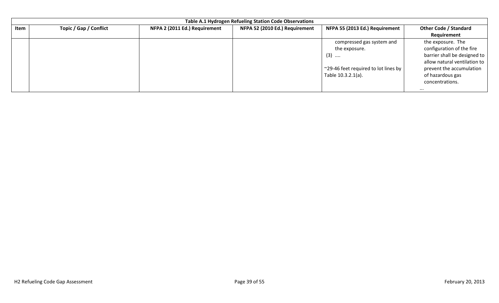|      | Table A.1 Hydrogen Refueling Station Code Observations |                               |                                |                                              |                              |  |  |  |  |  |
|------|--------------------------------------------------------|-------------------------------|--------------------------------|----------------------------------------------|------------------------------|--|--|--|--|--|
| Item | Topic / Gap / Conflict                                 | NFPA 2 (2011 Ed.) Requirement | NFPA 52 (2010 Ed.) Requirement | NFPA 55 (2013 Ed.) Requirement               | <b>Other Code / Standard</b> |  |  |  |  |  |
|      |                                                        |                               |                                |                                              | Requirement                  |  |  |  |  |  |
|      |                                                        |                               |                                | compressed gas system and                    | the exposure. The            |  |  |  |  |  |
|      |                                                        |                               |                                | the exposure.                                | configuration of the fire    |  |  |  |  |  |
|      |                                                        |                               |                                | $(3)$                                        | barrier shall be designed to |  |  |  |  |  |
|      |                                                        |                               |                                |                                              | allow natural ventilation to |  |  |  |  |  |
|      |                                                        |                               |                                | ~29-46 feet required to lot lines by $\vert$ | prevent the accumulation     |  |  |  |  |  |
|      |                                                        |                               |                                | Table 10.3.2.1(a).                           | of hazardous gas             |  |  |  |  |  |
|      |                                                        |                               |                                |                                              | concentrations.              |  |  |  |  |  |
|      |                                                        |                               |                                |                                              | $\cdots$                     |  |  |  |  |  |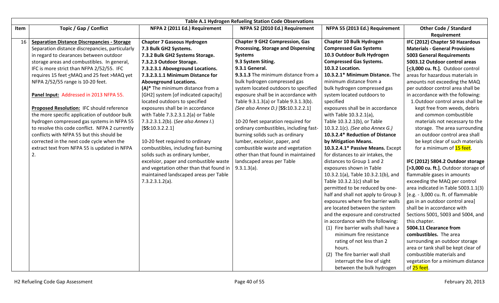|      |                                                          |                                         | Table A.1 Hydrogen Refueling Station Code Observations |                                     |                                       |
|------|----------------------------------------------------------|-----------------------------------------|--------------------------------------------------------|-------------------------------------|---------------------------------------|
| Item | Topic / Gap / Conflict                                   | NFPA 2 (2011 Ed.) Requirement           | NFPA 52 (2010 Ed.) Requirement                         | NFPA 55 (2013 Ed.) Requirement      | <b>Other Code / Standard</b>          |
|      |                                                          |                                         |                                                        |                                     | Requirement                           |
| 16   | <b>Separation Distance Discrepancies - Storage</b>       | <b>Chapter 7 Gaseous Hydrogen</b>       | <b>Chapter 9 GH2 Compression, Gas</b>                  | Chapter 10 Bulk Hydrogen            | IFC (2012) Chapter 50 Hazardous       |
|      | Separation distance discrepancies, particularly          | 7.3 Bulk GH2 Systems.                   | <b>Processing, Storage and Dispensing</b>              | <b>Compressed Gas Systems</b>       | <b>Materials - General Provisions</b> |
|      | in regard to clearances between outdoor                  | 7.3.2 Bulk GH2 Systems Storage.         | <b>Systems</b>                                         | 10.3 Outdoor Bulk Hydrogen          | <b>5003 General Requirements</b>      |
|      | storage areas and combustibles. In general,              | 7.3.2.3 Outdoor Storage.                | 9.3 System Siting.                                     | <b>Compressed Gas Systems.</b>      | 5003.12 Outdoor control areas         |
|      | IFC is more strict than NFPA 2/52/55. IFC                | 7.3.2.3.1 Aboveground Locations.        | 9.3.1 General.                                         | 10.3.2 Location.                    | [<3,000 cu. ft.]. Outdoor control     |
|      | requires 15 feet <maq 25="" and="" feet="">MAQ yet</maq> | 7.3.2.3.1.1 Minimum Distance for        | 9.3.1.3 The minimum distance from a                    | 10.3.2.1* Minimum Distance. The     | areas for hazardous materials in      |
|      | NFPA 2/52/55 range is 10-20 feet.                        | <b>Aboveground Locations.</b>           | bulk hydrogen compressed gas                           | minimum distance from a             | amounts not exceeding the MAQ         |
|      |                                                          | (A)* The minimum distance from a        | system located outdoors to specified                   | bulk hydrogen compressed gas        | per outdoor control area shall be     |
|      | Panel Input: Addressed in 2013 NFPA 55.                  | [GH2] system [of indicated capacity]    | exposure shall be in accordance with                   | system located outdoors to          | in accordance with the following:     |
|      |                                                          | located outdoors to specified           | Table 9.3.1.3(a) or Table 9.3.1.3(b).                  | specified                           | 1. Outdoor control areas shall be     |
|      | <b>Proposed Resolution: IFC should reference</b>         | exposures shall be in accordance        | (See also Annex D.) [55:10.3.2.2.1]                    | exposures shall be in accordance    | kept free from weeds, debris          |
|      | the more specific application of outdoor bulk            | with Table 7.3.2.3.1.2(a) or Table      |                                                        | with Table 10.3.2.1(a),             | and common combustible                |
|      | hydrogen compressed gas systems in NFPA 55               | 7.3.2.3.1.2(b). (See also Annex I.)     | 10-20 feet separation required for                     | Table 10.3.2.1(b), or Table         | materials not necessary to the        |
|      | to resolve this code conflict. NFPA 2 currently          | [55:10.3.2.2.1]                         | ordinary combustibles, including fast-                 | 10.3.2.1(c). (See also Annex G.)    | storage. The area surrounding         |
|      | conflicts with NFPA 55 but this should be                |                                         | burning solids such as ordinary                        | 10.3.2.4* Reduction of Distance     | an outdoor control area shall         |
|      | corrected in the next code cycle when the                | 10-20 feet required to ordinary         | lumber, excelsior, paper, and                          | by Mitigation Means.                | be kept clear of such materials       |
|      | extract text from NFPA 55 is updated in NFPA             | combustibles, including fast-burning    | combustible waste and vegetation                       | 10.3.2.4.1* Passive Means. Except   | for a minimum of 15 feet.             |
|      | 2.                                                       | solids such as ordinary lumber,         | other than that found in maintained                    | for distances to air intakes, the   |                                       |
|      |                                                          | excelsior, paper and combustible waste  | landscaped areas per Table                             | distances to Group 1 and 2          | IFC (2012) 5804.2 Outdoor storage     |
|      |                                                          | and vegetation other than that found in | $9.3.1.3(a)$ .                                         | exposures shown in Table            | [>3,000 cu. ft.]. Outdoor storage of  |
|      |                                                          | maintained landscaped areas per Table   |                                                        | 10.3.2.1(a), Table 10.3.2.1(b), and | flammable gases in amounts            |
|      |                                                          | $7.3.2.3.1.2(a)$ .                      |                                                        | Table 10.3.2.1(c) shall be          | exceeding the MAQ per control         |
|      |                                                          |                                         |                                                        | permitted to be reduced by one-     | area indicated in Table 5003.1.1(3)   |
|      |                                                          |                                         |                                                        | half and shall not apply to Group 3 | [e.g. - 3,000 cu. ft. of flammable    |
|      |                                                          |                                         |                                                        | exposures where fire barrier walls  | gas in an outdoor control area]       |
|      |                                                          |                                         |                                                        | are located between the system      | shall be in accordance with           |
|      |                                                          |                                         |                                                        | and the exposure and constructed    | Sections 5001, 5003 and 5004, and     |
|      |                                                          |                                         |                                                        | in accordance with the following:   | this chapter.                         |
|      |                                                          |                                         |                                                        | (1) Fire barrier walls shall have a | 5004.11 Clearance from                |
|      |                                                          |                                         |                                                        | minimum fire resistance             | combustibles. The area                |
|      |                                                          |                                         |                                                        | rating of not less than 2           | surrounding an outdoor storage        |
|      |                                                          |                                         |                                                        | hours.                              | area or tank shall be kept clear of   |
|      |                                                          |                                         |                                                        | (2) The fire barrier wall shall     | combustible materials and             |
|      |                                                          |                                         |                                                        | interrupt the line of sight         | vegetation for a minimum distance     |
|      |                                                          |                                         |                                                        | between the bulk hydrogen           | of 25 feet.                           |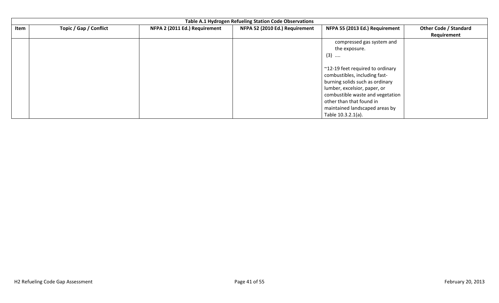| Topic / Gap / Conflict<br>NFPA 2 (2011 Ed.) Requirement<br>NFPA 52 (2010 Ed.) Requirement<br>NFPA 55 (2013 Ed.) Requirement<br><b>Other Code / Standard</b><br>Item<br>Requirement<br>compressed gas system and<br>the exposure.                             | Table A.1 Hydrogen Refueling Station Code Observations |  |  |       |  |  |  |  |  |
|--------------------------------------------------------------------------------------------------------------------------------------------------------------------------------------------------------------------------------------------------------------|--------------------------------------------------------|--|--|-------|--|--|--|--|--|
|                                                                                                                                                                                                                                                              |                                                        |  |  |       |  |  |  |  |  |
| ~12-19 feet required to ordinary<br>combustibles, including fast-<br>burning solids such as ordinary<br>lumber, excelsior, paper, or<br>combustible waste and vegetation<br>other than that found in<br>maintained landscaped areas by<br>Table 10.3.2.1(a). |                                                        |  |  | $(3)$ |  |  |  |  |  |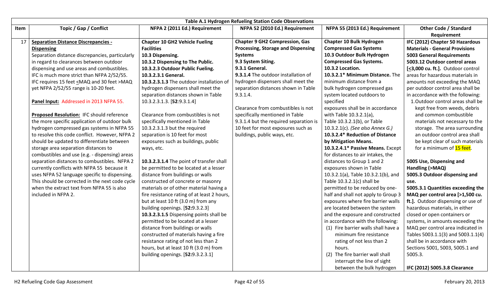|      |                                                          |                                             | Table A.1 Hydrogen Refueling Station Code Observations |                                     |                                       |
|------|----------------------------------------------------------|---------------------------------------------|--------------------------------------------------------|-------------------------------------|---------------------------------------|
| Item | Topic / Gap / Conflict                                   | NFPA 2 (2011 Ed.) Requirement               | NFPA 52 (2010 Ed.) Requirement                         | NFPA 55 (2013 Ed.) Requirement      | <b>Other Code / Standard</b>          |
|      |                                                          |                                             |                                                        |                                     | Requirement                           |
| 17   | <b>Separation Distance Discrepancies -</b>               | <b>Chapter 10 GH2 Vehicle Fueling</b>       | <b>Chapter 9 GH2 Compression, Gas</b>                  | <b>Chapter 10 Bulk Hydrogen</b>     | IFC (2012) Chapter 50 Hazardous       |
|      | <b>Dispensing</b>                                        | <b>Facilities</b>                           | <b>Processing, Storage and Dispensing</b>              | <b>Compressed Gas Systems</b>       | <b>Materials - General Provisions</b> |
|      | Separation distance discrepancies, particularly          | 10.3 Dispensing.                            | <b>Systems</b>                                         | 10.3 Outdoor Bulk Hydrogen          | <b>5003 General Requirements</b>      |
|      | in regard to clearances between outdoor                  | 10.3.2 Dispensing to The Public.            | 9.3 System Siting.                                     | <b>Compressed Gas Systems.</b>      | 5003.12 Outdoor control areas         |
|      | dispensing and use areas and combustibles.               | 10.3.2.3 Outdoor Public Fueling.            | 9.3.1 General.                                         | 10.3.2 Location.                    | [<3,000 cu. ft.]. Outdoor control     |
|      | IFC is much more strict than NFPA 2/52/55.               | 10.3.2.3.1 General.                         | 9.3.1.4 The outdoor installation of                    | 10.3.2.1* Minimum Distance. The     | areas for hazardous materials in      |
|      | IFC requires 15 feet <maq 30="" and="" feet="">MAQ</maq> | 10.3.2.3.1.3 The outdoor installation of    | hydrogen dispensers shall meet the                     | minimum distance from a             | amounts not exceeding the MAQ         |
|      | yet NFPA 2/52/55 range is 10-20 feet.                    | hydrogen dispensers shall meet the          | separation distances shown in Table                    | bulk hydrogen compressed gas        | per outdoor control area shall be     |
|      |                                                          | separation distances shown in Table         | 9.3.1.4.                                               | system located outdoors to          | in accordance with the following:     |
|      | Panel Input: Addressed in 2013 NFPA 55.                  | 10.3.2.3.1.3. [52:9.3.1.4]                  |                                                        | specified                           | 1. Outdoor control areas shall be     |
|      |                                                          |                                             | Clearance from combustibles is not                     | exposures shall be in accordance    | kept free from weeds, debris          |
|      | Proposed Resolution: IFC should reference                | Clearance from combustibles is not          | specifically mentioned in Table                        | with Table 10.3.2.1(a),             | and common combustible                |
|      | the more specific application of outdoor bulk            | specifically mentioned in Table             | 9.3.1.4 but the required separation is                 | Table 10.3.2.1(b), or Table         | materials not necessary to the        |
|      | hydrogen compressed gas systems in NFPA 55               | 10.3.2.3.1.3 but the required               | 10 feet for most exposures such as                     | 10.3.2.1(c). (See also Annex G.)    | storage. The area surrounding         |
|      | to resolve this code conflict. However, NFPA 2           | separation is 10 feet for most              | buildings, public ways, etc.                           | 10.3.2.4* Reduction of Distance     | an outdoor control area shall         |
|      | should be updated to differentiate between               | exposures such as buildings, public         |                                                        | by Mitigation Means.                | be kept clear of such materials       |
|      | storage area separation distances to                     | ways, etc.                                  |                                                        | 10.3.2.4.1* Passive Means. Except   | for a minimum of 15 feet.             |
|      | combustibles and use (e.g. - dispensing) areas           |                                             |                                                        | for distances to air intakes, the   |                                       |
|      | separation distances to combustibles. NFPA 2             | 10.3.2.3.1.4 The point of transfer shall    |                                                        | distances to Group 1 and 2          | 5005 Use, Dispensing and              |
|      | currently conflicts with NFPA 55 because it              | be permitted to be located at a lesser      |                                                        | exposures shown in Table            | Handling (>MAQ)                       |
|      | uses NFPA 52 language specific to dispensing.            | distance from buildings or walls            |                                                        | 10.3.2.1(a), Table 10.3.2.1(b), and | 5005.3 Outdoor dispensing and         |
|      | This should be corrected in the next code cycle          | constructed of concrete or masonry          |                                                        | Table 10.3.2.1(c) shall be          | use.                                  |
|      | when the extract text from NFPA 55 is also               | materials or of other material having a     |                                                        | permitted to be reduced by one-     | 5005.3.1 Quantities exceeding the     |
|      | included in NFPA 2.                                      | fire resistance rating of at least 2 hours, |                                                        | half and shall not apply to Group 3 | MAQ per control area [>1,500 cu.      |
|      |                                                          | but at least 10 ft (3.0 m) from any         |                                                        | exposures where fire barrier walls  | ft.]. Outdoor dispensing or use of    |
|      |                                                          | building openings. [52:9.3.2.3]             |                                                        | are located between the system      | hazardous materials, in either        |
|      |                                                          | 10.3.2.3.1.5 Dispensing points shall be     |                                                        | and the exposure and constructed    | closed or open containers or          |
|      |                                                          | permitted to be located at a lesser         |                                                        | in accordance with the following:   | systems, in amounts exceeding the     |
|      |                                                          | distance from buildings or walls            |                                                        | (1) Fire barrier walls shall have a | MAQ per control area indicated in     |
|      |                                                          | constructed of materials having a fire      |                                                        | minimum fire resistance             | Tables 5003.1.1(3) and 5003.1.1(4)    |
|      |                                                          | resistance rating of not less than 2        |                                                        | rating of not less than 2           | shall be in accordance with           |
|      |                                                          | hours, but at least 10 ft (3.0 m) from      |                                                        | hours.                              | Sections 5001, 5003, 5005.1 and       |
|      |                                                          | building openings. [52:9.3.2.3.1]           |                                                        | (2) The fire barrier wall shall     | 5005.3.                               |
|      |                                                          |                                             |                                                        | interrupt the line of sight         |                                       |
|      |                                                          |                                             |                                                        | between the bulk hydrogen           | IFC (2012) 5005.3.8 Clearance         |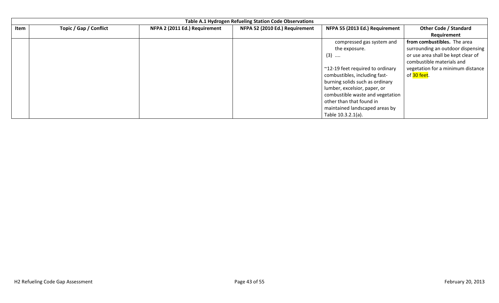|      | Table A.1 Hydrogen Refueling Station Code Observations |                               |                                |                                  |                                    |  |  |  |
|------|--------------------------------------------------------|-------------------------------|--------------------------------|----------------------------------|------------------------------------|--|--|--|
| Item | <b>Topic / Gap / Conflict</b>                          | NFPA 2 (2011 Ed.) Requirement | NFPA 52 (2010 Ed.) Requirement | NFPA 55 (2013 Ed.) Requirement   | <b>Other Code / Standard</b>       |  |  |  |
|      |                                                        |                               |                                |                                  | Requirement                        |  |  |  |
|      |                                                        |                               |                                | compressed gas system and        | from combustibles. The area        |  |  |  |
|      |                                                        |                               |                                | the exposure.                    | surrounding an outdoor dispensing  |  |  |  |
|      |                                                        |                               |                                | $(3)$                            | or use area shall be kept clear of |  |  |  |
|      |                                                        |                               |                                |                                  | combustible materials and          |  |  |  |
|      |                                                        |                               |                                | ~12-19 feet required to ordinary | vegetation for a minimum distance  |  |  |  |
|      |                                                        |                               |                                | combustibles, including fast-    | of 30 feet.                        |  |  |  |
|      |                                                        |                               |                                | burning solids such as ordinary  |                                    |  |  |  |
|      |                                                        |                               |                                | lumber, excelsior, paper, or     |                                    |  |  |  |
|      |                                                        |                               |                                | combustible waste and vegetation |                                    |  |  |  |
|      |                                                        |                               |                                | other than that found in         |                                    |  |  |  |
|      |                                                        |                               |                                | maintained landscaped areas by   |                                    |  |  |  |
|      |                                                        |                               |                                | Table 10.3.2.1(a).               |                                    |  |  |  |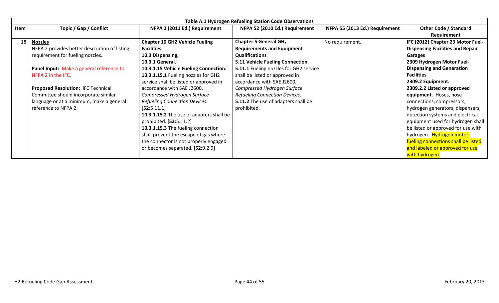|      | <b>Table A.1 Hydrogen Refueling Station Code Observations</b> |                                          |                                        |                                |                                         |  |  |  |
|------|---------------------------------------------------------------|------------------------------------------|----------------------------------------|--------------------------------|-----------------------------------------|--|--|--|
| Item | Topic / Gap / Conflict                                        | NFPA 2 (2011 Ed.) Requirement            | NFPA 52 (2010 Ed.) Requirement         | NFPA 55 (2013 Ed.) Requirement | <b>Other Code / Standard</b>            |  |  |  |
|      |                                                               |                                          |                                        |                                | Requirement                             |  |  |  |
| 18   | <b>Nozzles</b>                                                | <b>Chapter 10 GH2 Vehicle Fueling</b>    | Chapter 5 General GH <sub>2</sub>      | No requirement.                | IFC (2012) Chapter 23 Motor Fuel-       |  |  |  |
|      | NFPA 2 provides better description of listing                 | <b>Facilities</b>                        | <b>Requirements and Equipment</b>      |                                | <b>Dispensing Facilities and Repair</b> |  |  |  |
|      | requirement for fueling nozzles.                              | 10.3 Dispensing.                         | <b>Qualifications</b>                  |                                | Garages                                 |  |  |  |
|      |                                                               | 10.3.1 General.                          | 5.11 Vehicle Fueling Connection.       |                                | 2309 Hydrogen Motor Fuel-               |  |  |  |
|      | Panel Input: Make a general reference to                      | 10.3.1.15 Vehicle Fueling Connection.    | 5.11.1 Fueling nozzles for GH2 service |                                | <b>Dispensing and Generation</b>        |  |  |  |
|      | NFPA 2 in the IFC.                                            | 10.3.1.15.1 Fueling nozzles for GH2      | shall be listed or approved in         |                                | <b>Facilities</b>                       |  |  |  |
|      |                                                               | service shall be listed or approved in   | accordance with SAE J2600,             |                                | 2309.2 Equipment.                       |  |  |  |
|      | <b>Proposed Resolution: IFC Technical</b>                     | accordance with SAE J2600,               | Compressed Hydrogen Surface            |                                | 2309.2.2 Listed or approved             |  |  |  |
|      | Committee should incorporate similar                          | Compressed Hydrogen Surface              | Refueling Connection Devices.          |                                | equipment. Hoses, hose                  |  |  |  |
|      | language or at a minimum, make a general                      | Refueling Connection Devices.            | 5.11.2 The use of adapters shall be    |                                | connections, compressors,               |  |  |  |
|      | reference to NFPA 2.                                          | [52:5.11.1]                              | prohibited.                            |                                | hydrogen generators, dispensers,        |  |  |  |
|      |                                                               | 10.3.1.15.2 The use of adapters shall be |                                        |                                | detection systems and electrical        |  |  |  |
|      |                                                               | prohibited. [52:5.11.2]                  |                                        |                                | equipment used for hydrogen shall       |  |  |  |
|      |                                                               | 10.3.1.15.3 The fueling connection       |                                        |                                | be listed or approved for use with      |  |  |  |
|      |                                                               | shall prevent the escape of gas where    |                                        |                                | hydrogen. Hydrogen motor-               |  |  |  |
|      |                                                               | the connector is not properly engaged    |                                        |                                | fueling connections shall be listed     |  |  |  |
|      |                                                               | or becomes separated. [52:9.2.9]         |                                        |                                | and labeled or approved for use         |  |  |  |
|      |                                                               |                                          |                                        |                                | with hydrogen.                          |  |  |  |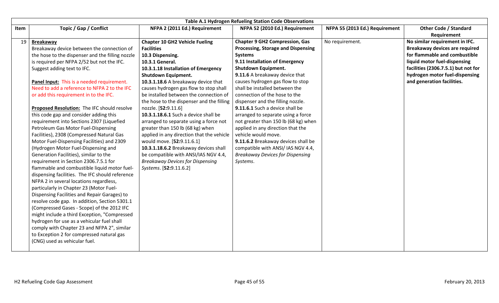|      | Table A.1 Hydrogen Refueling Station Code Observations |                                           |                                         |                                |                                     |  |
|------|--------------------------------------------------------|-------------------------------------------|-----------------------------------------|--------------------------------|-------------------------------------|--|
| Item | Topic / Gap / Conflict                                 | NFPA 2 (2011 Ed.) Requirement             | NFPA 52 (2010 Ed.) Requirement          | NFPA 55 (2013 Ed.) Requirement | <b>Other Code / Standard</b>        |  |
|      |                                                        |                                           |                                         |                                | Requirement                         |  |
| 19   | <b>Breakaway</b>                                       | <b>Chapter 10 GH2 Vehicle Fueling</b>     | <b>Chapter 9 GH2 Compression, Gas</b>   | No requirement.                | No similar requirement in IFC.      |  |
|      | Breakaway device between the connection of             | <b>Facilities</b>                         | Processing, Storage and Dispensing      |                                | Breakaway devices are required      |  |
|      | the hose to the dispenser and the filling nozzle       | 10.3 Dispensing.                          | <b>Systems</b>                          |                                | for flammable and combustible       |  |
|      | is required per NFPA 2/52 but not the IFC.             | 10.3.1 General.                           | 9.11 Installation of Emergency          |                                | liquid motor fuel-dispensing        |  |
|      | Suggest adding text to IFC.                            | 10.3.1.18 Installation of Emergency       | <b>Shutdown Equipment.</b>              |                                | facilities (2306.7.5.1) but not for |  |
|      |                                                        | <b>Shutdown Equipment.</b>                | 9.11.6 A breakaway device that          |                                | hydrogen motor fuel-dispensing      |  |
|      | Panel Input: This is a needed requirement.             | 10.3.1.18.6 A breakaway device that       | causes hydrogen gas flow to stop        |                                | and generation facilities.          |  |
|      | Need to add a reference to NFPA 2 to the IFC           | causes hydrogen gas flow to stop shall    | shall be installed between the          |                                |                                     |  |
|      | or add this requirement in to the IFC.                 | be installed between the connection of    | connection of the hose to the           |                                |                                     |  |
|      |                                                        | the hose to the dispenser and the filling | dispenser and the filling nozzle.       |                                |                                     |  |
|      | Proposed Resolution: The IFC should resolve            | nozzle. [52:9.11.6]                       | 9.11.6.1 Such a device shall be         |                                |                                     |  |
|      | this code gap and consider adding this                 | 10.3.1.18.6.1 Such a device shall be      | arranged to separate using a force      |                                |                                     |  |
|      | requirement into Sections 2307 (Liquefied              | arranged to separate using a force not    | not greater than 150 lb (68 kg) when    |                                |                                     |  |
|      | Petroleum Gas Motor Fuel-Dispensing                    | greater than 150 lb (68 kg) when          | applied in any direction that the       |                                |                                     |  |
|      | Facilities), 2308 (Compressed Natural Gas              | applied in any direction that the vehicle | vehicle would move.                     |                                |                                     |  |
|      | Motor Fuel-Dispensing Facilities) and 2309             | would move. [52:9.11.6.1]                 | 9.11.6.2 Breakaway devices shall be     |                                |                                     |  |
|      | (Hydrogen Motor Fuel-Dispensing and                    | 10.3.1.18.6.2 Breakaway devices shall     | compatible with ANSI/ IAS NGV 4.4,      |                                |                                     |  |
|      | Generation Facilities), similar to the                 | be compatible with ANSI/IAS NGV 4.4,      | <b>Breakaway Devices for Dispensing</b> |                                |                                     |  |
|      | requirement in Section 2306.7.5.1 for                  | <b>Breakaway Devices for Dispensing</b>   | Systems.                                |                                |                                     |  |
|      | flammable and combustible liquid motor fuel-           | Systems. [52:9.11.6.2]                    |                                         |                                |                                     |  |
|      | dispensing facilities. The IFC should reference        |                                           |                                         |                                |                                     |  |
|      | NFPA 2 in several locations regardless,                |                                           |                                         |                                |                                     |  |
|      | particularly in Chapter 23 (Motor Fuel-                |                                           |                                         |                                |                                     |  |
|      | Dispensing Facilities and Repair Garages) to           |                                           |                                         |                                |                                     |  |
|      | resolve code gap. In addition, Section 5301.1          |                                           |                                         |                                |                                     |  |
|      | (Compressed Gases - Scope) of the 2012 IFC             |                                           |                                         |                                |                                     |  |
|      | might include a third Exception, "Compressed           |                                           |                                         |                                |                                     |  |
|      | hydrogen for use as a vehicular fuel shall             |                                           |                                         |                                |                                     |  |
|      | comply with Chapter 23 and NFPA 2", similar            |                                           |                                         |                                |                                     |  |
|      | to Exception 2 for compressed natural gas              |                                           |                                         |                                |                                     |  |
|      | (CNG) used as vehicular fuel.                          |                                           |                                         |                                |                                     |  |
|      |                                                        |                                           |                                         |                                |                                     |  |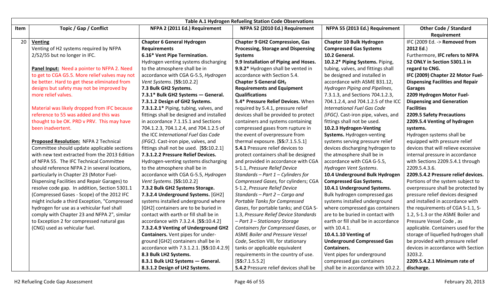|      |                                                |                                          | Table A.1 Hydrogen Refueling Station Code Observations |                                      |                                         |
|------|------------------------------------------------|------------------------------------------|--------------------------------------------------------|--------------------------------------|-----------------------------------------|
| Item | Topic / Gap / Conflict                         | NFPA 2 (2011 Ed.) Requirement            | NFPA 52 (2010 Ed.) Requirement                         | NFPA 55 (2013 Ed.) Requirement       | <b>Other Code / Standard</b>            |
|      |                                                |                                          |                                                        |                                      | Requirement                             |
| 20   | <b>Venting</b>                                 | <b>Chapter 6 General Hydrogen</b>        | <b>Chapter 9 GH2 Compression, Gas</b>                  | Chapter 10 Bulk Hydrogen             | IFC (2009 Ed. -> Removed from           |
|      | Venting of H2 systems required by NFPA         | <b>Requirements</b>                      | Processing, Storage and Dispensing                     | <b>Compressed Gas Systems</b>        | 2012 Ed.)                               |
|      | 2/52/55 but no longer in IFC.                  | 6.16* Vent Pipe Termination.             | <b>Systems</b>                                         | 10.2 General.                        | Furthermore, IFC refers to NFPA         |
|      |                                                | Hydrogen venting systems discharging     | 9.9 Installation of Piping and Hoses.                  | 10.2.2* Piping Systems. Piping,      | 52 ONLY in Section 5301.1 in            |
|      | Panel Input: Need a pointer to NFPA 2. Need    | to the atmosphere shall be in            | 9.9.2* Hydrogen shall be vented in                     | tubing, valves, and fittings shall   | regard to CNG.                          |
|      | to get to CGA G5.5. More relief valves may not | accordance with CGA G-5.5, Hydrogen      | accordance with Section 5.4.                           | be designed and installed in         | IFC (2009) Chapter 22 Motor Fuel-       |
|      | be better. Hard to get these eliminated from   | Vent Systems. [55:10.2.2]                | Chapter 5 General GH <sub>2</sub>                      | accordance with ASME B31.12,         | <b>Dispensing Facilities and Repair</b> |
|      | designs but safety may not be improved by      | 7.3 Bulk GH2 Systems.                    | <b>Requirements and Equipment</b>                      | Hydrogen Piping and Pipelines,       | <b>Garages</b>                          |
|      | more relief valves.                            | 7.3.1* Bulk GH2 Systems - General.       | <b>Qualifications</b>                                  | 7.3.1.3, and Sections 704.1.2.3,     | 2209 Hydrogen Motor Fuel-               |
|      |                                                | 7.3.1.2 Design of GH2 Systems.           | 5.4* Pressure Relief Devices. When                     | 704.1.2.4, and 704.1.2.5 of the ICC  | <b>Dispensing and Generation</b>        |
|      | Material was likely dropped from IFC because   | 7.3.1.2.1* Piping, tubing, valves, and   | required by 5.4.1, pressure relief                     | <b>International Fuel Gas Code</b>   | <b>Facilities</b>                       |
|      | reference to 55 was added and this was         | fittings shall be designed and installed | devices shall be provided to protect                   | (IFGC). Cast-iron pipe, valves, and  | 2209.5 Safety Precautions               |
|      | thought to be OK. PRD v PRV. This may have     | in accordance 7.1.15.1 and Sections      | containers and systems containing                      | fittings shall not be used.          | 2209.5.4 Venting of hydrogen            |
|      | been inadvertent.                              | 704.1.2.3, 704.1.2.4, and 704.1.2.5 of   | compressed gases from rupture in                       | 10.2.3 Hydrogen-Venting              | systems.                                |
|      |                                                | the ICC International Fuel Gas Code      | the event of overpressure from                         | Systems. Hydrogen-venting            | Hydrogen systems shall be               |
|      | <b>Proposed Resolution: NFPA 2 Technical</b>   | (IFGC). Cast-iron pipe, valves, and      | thermal exposure. [55:7.1.5.5.1]                       | systems serving pressure relief      | equipped with pressure relief           |
|      | Committee should update applicable sections    | fittings shall not be used. [55:10.2.1]  | 5.4.1 Pressure relief devices to                       | devices discharging hydrogen to      | devices that will relieve excessive     |
|      | with new text extracted from the 2013 Edition  | 7.3.1.2.2 Pressure Relief Devices.       | protect containers shall be designed                   | the atmosphere shall be in           | internal pressure in accordance         |
|      | of NFPA 55. The IFC Technical Committee        | Hydrogen-venting systems discharging     | and provided in accordance with CGA                    | accordance with CGA G-5.5,           | with Sections 2209.5.4.1 through        |
|      | should reference NFPA 2 in several locations,  | to the atmosphere shall be in            | S-1.1, Pressure Relief Device                          | Hydrogen Vent Systems.               | 2209.5.4.3.6.                           |
|      | particularly in Chapter 23 (Motor Fuel-        | accordance with CGA G-5.5, Hydrogen      | Standards - Part $1$ - Cylinders for                   | 10.4 Underground Bulk Hydrogen       | 2209.5.4.2 Pressure relief devices.     |
|      | Dispensing Facilities and Repair Garages) to   | Vent Systems. [55:10.2.2]                | Compressed Gases, for cylinders; CGA                   | <b>Compressed Gas Systems.</b>       | Portions of the system subject to       |
|      | resolve code gap. In addition, Section 5301.1  | 7.3.2 Bulk GH2 Systems Storage.          | S-1.2, Pressure Relief Device                          | 10.4.1 Underground Systems.          | overpressure shall be protected by      |
|      | (Compressed Gases - Scope) of the 2012 IFC     | 7.3.2.4 Underground Systems. [GH2]       | Standards - Part 2 - Cargo and                         | Bulk hydrogen compressed gas         | pressure relief devices designed        |
|      | might include a third Exception, "Compressed   | systems installed underground where      | Portable Tanks for Compressed                          | systems installed underground        | and installed in accordance with        |
|      | hydrogen for use as a vehicular fuel shall     | [GH2] containers are to be buried in     | Gases, for portable tanks; and CGA S-                  | where compressed gas containers      | the requirements of CGA S-1.1, S-       |
|      | comply with Chapter 23 and NFPA 2", similar    | contact with earth or fill shall be in   | 1.3, Pressure Relief Device Standards                  | are to be buried in contact with     | 1.2, S-1.3 or the ASME Boiler and       |
|      | to Exception 2 for compressed natural gas      | accordance with 7.3.2.4. [55:10.4.2]     | - Part 3 - Stationary Storage                          | earth or fill shall be in accordance | Pressure Vessel Code, as                |
|      | (CNG) used as vehicular fuel.                  | 7.3.2.4.9 Venting of Underground GH2     | Containers for Compressed Gases, or                    | with 10.4.1.                         | applicable. Containers used for the     |
|      |                                                | Containers. Vent pipes for under-        | <b>ASME Boiler and Pressure Vessel</b>                 | 10.4.1.10 Venting of                 | storage of liquefied hydrogen shall     |
|      |                                                | ground [GH2] containers shall be in      | Code, Section VIII, for stationary                     | <b>Underground Compressed Gas</b>    | be provided with pressure relief        |
|      |                                                | accordance with 7.3.1.2.1. [55:10.4.2.9] | tanks or applicable equivalent                         | Containers.                          | devices in accordance with Section      |
|      |                                                | 8.3 Bulk LH2 Systems.                    | requirements in the country of use.                    | Vent pipes for underground           | 3203.2.                                 |
|      |                                                | 8.3.1 Bulk LH2 Systems - General.        | [55:7.1.5.5.2]                                         | compressed gas containers            | 2209.5.4.2.1 Minimum rate of            |
|      |                                                | 8.3.1.2 Design of LH2 Systems.           | 5.4.2 Pressure relief devices shall be                 | shall be in accordance with 10.2.2.  | discharge.                              |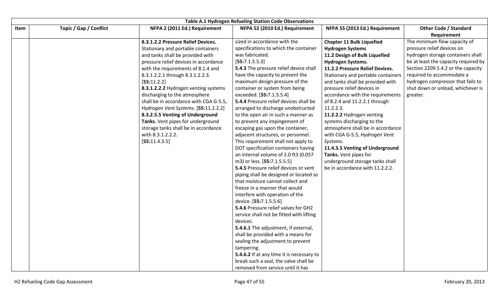|      | Table A.1 Hydrogen Refueling Station Code Observations |                                        |                                           |                                    |                                             |
|------|--------------------------------------------------------|----------------------------------------|-------------------------------------------|------------------------------------|---------------------------------------------|
| Item | Topic / Gap / Conflict                                 | NFPA 2 (2011 Ed.) Requirement          | NFPA 52 (2010 Ed.) Requirement            | NFPA 55 (2013 Ed.) Requirement     | <b>Other Code / Standard</b><br>Requirement |
|      |                                                        | 8.3.1.2.2 Pressure Relief Devices.     | sized in accordance with the              | <b>Chapter 11 Bulk Liquefied</b>   | The minimum flow capacity of                |
|      |                                                        | Stationary and portable containers     | specifications to which the container     | <b>Hydrogen Systems</b>            | pressure relief devices on                  |
|      |                                                        | and tanks shall be provided with       | was fabricated.                           | 11.2 Design of Bulk Liquefied      | hydrogen storage containers shall           |
|      |                                                        | pressure relief devices in accordance  | [55:7.1.5.5.3]                            | <b>Hydrogen Systems.</b>           | be at least the capacity required by        |
|      |                                                        | with the requirements of 8.1.4 and     | 5.4.3 The pressure relief device shall    | 11.2.2 Pressure Relief Devices.    | Section 2209.5.4.2 or the capacity          |
|      |                                                        | 8.3.1.2.2.1 through 8.3.1.2.2.3.       | have the capacity to prevent the          | Stationary and portable containers | required to accommodate a                   |
|      |                                                        | [55:11.2.2]                            | maximum design pressure of the            | and tanks shall be provided with   | hydrogen compressor that fails to           |
|      |                                                        | 8.3.1.2.2.2 Hydrogen venting systems   | container or system from being            | pressure relief devices in         | shut down or unload, whichever is           |
|      |                                                        | discharging to the atmosphere          | exceeded. [55:7.1.5.5.4]                  | accordance with the requirements   | greater.                                    |
|      |                                                        | shall be in accordance with CGA G-5.5, | 5.4.4 Pressure relief devices shall be    | of 8.2.4 and 11.2.2.1 through      |                                             |
|      |                                                        | Hydrogen Vent Systems. [55:11.2.2.2]   | arranged to discharge unobstructed        | 11.2.2.3.                          |                                             |
|      |                                                        | 8.3.2.5.5 Venting of Underground       | to the open air in such a manner as       | 11.2.2.2 Hydrogen venting          |                                             |
|      |                                                        | Tanks. Vent pipes for underground      | to prevent any impingement of             | systems discharging to the         |                                             |
|      |                                                        | storage tanks shall be in accordance   | escaping gas upon the container,          | atmosphere shall be in accordance  |                                             |
|      |                                                        | with 8.3.1.2.2.2.                      | adjacent structures, or personnel.        | with CGA G-5.5, Hydrogen Vent      |                                             |
|      |                                                        | [55:11.4.3.5]                          | This requirement shall not apply to       | Systems.                           |                                             |
|      |                                                        |                                        | DOT specification containers having       | 11.4.3.5 Venting of Underground    |                                             |
|      |                                                        |                                        | an internal volume of 2.0 ft3 (0.057      | Tanks. Vent pipes for              |                                             |
|      |                                                        |                                        | m3) or less. [55:7.1.5.5.5]               | underground storage tanks shall    |                                             |
|      |                                                        |                                        | 5.4.5 Pressure relief devices or vent     | be in accordance with 11.2.2.2.    |                                             |
|      |                                                        |                                        | piping shall be designed or located so    |                                    |                                             |
|      |                                                        |                                        | that moisture cannot collect and          |                                    |                                             |
|      |                                                        |                                        | freeze in a manner that would             |                                    |                                             |
|      |                                                        |                                        | interfere with operation of the           |                                    |                                             |
|      |                                                        |                                        | device. [55:7.1.5.5.6]                    |                                    |                                             |
|      |                                                        |                                        | 5.4.6 Pressure relief valves for GH2      |                                    |                                             |
|      |                                                        |                                        | service shall not be fitted with lifting  |                                    |                                             |
|      |                                                        |                                        | devices.                                  |                                    |                                             |
|      |                                                        |                                        | 5.4.6.1 The adjustment, if external,      |                                    |                                             |
|      |                                                        |                                        | shall be provided with a means for        |                                    |                                             |
|      |                                                        |                                        | sealing the adjustment to prevent         |                                    |                                             |
|      |                                                        |                                        | tampering.                                |                                    |                                             |
|      |                                                        |                                        | 5.4.6.2 If at any time it is necessary to |                                    |                                             |
|      |                                                        |                                        | break such a seal, the valve shall be     |                                    |                                             |
|      |                                                        |                                        | removed from service until it has         |                                    |                                             |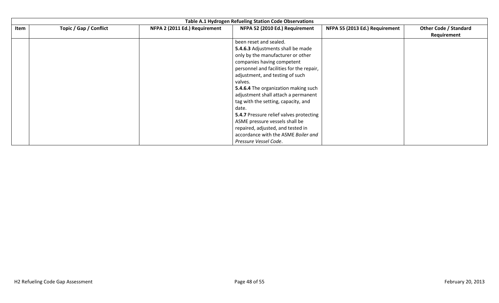|      | Table A.1 Hydrogen Refueling Station Code Observations |                               |                                                |                                |                              |  |  |  |
|------|--------------------------------------------------------|-------------------------------|------------------------------------------------|--------------------------------|------------------------------|--|--|--|
| Item | Topic / Gap / Conflict                                 | NFPA 2 (2011 Ed.) Requirement | NFPA 52 (2010 Ed.) Requirement                 | NFPA 55 (2013 Ed.) Requirement | <b>Other Code / Standard</b> |  |  |  |
|      |                                                        |                               |                                                |                                | Requirement                  |  |  |  |
|      |                                                        |                               | been reset and sealed.                         |                                |                              |  |  |  |
|      |                                                        |                               | 5.4.6.3 Adjustments shall be made              |                                |                              |  |  |  |
|      |                                                        |                               | only by the manufacturer or other              |                                |                              |  |  |  |
|      |                                                        |                               | companies having competent                     |                                |                              |  |  |  |
|      |                                                        |                               | personnel and facilities for the repair,       |                                |                              |  |  |  |
|      |                                                        |                               | adjustment, and testing of such                |                                |                              |  |  |  |
|      |                                                        |                               | valves.                                        |                                |                              |  |  |  |
|      |                                                        |                               | 5.4.6.4 The organization making such           |                                |                              |  |  |  |
|      |                                                        |                               | adjustment shall attach a permanent            |                                |                              |  |  |  |
|      |                                                        |                               | tag with the setting, capacity, and            |                                |                              |  |  |  |
|      |                                                        |                               | date.                                          |                                |                              |  |  |  |
|      |                                                        |                               | <b>5.4.7 Pressure relief valves protecting</b> |                                |                              |  |  |  |
|      |                                                        |                               | ASME pressure vessels shall be                 |                                |                              |  |  |  |
|      |                                                        |                               | repaired, adjusted, and tested in              |                                |                              |  |  |  |
|      |                                                        |                               | accordance with the ASME Boiler and            |                                |                              |  |  |  |
|      |                                                        |                               | Pressure Vessel Code.                          |                                |                              |  |  |  |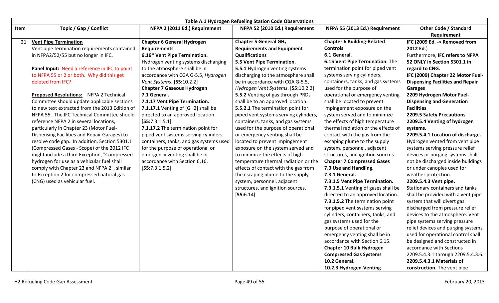|      | <b>Table A.1 Hydrogen Refueling Station Code Observations</b> |                                         |                                       |                                     |                                         |  |
|------|---------------------------------------------------------------|-----------------------------------------|---------------------------------------|-------------------------------------|-----------------------------------------|--|
| Item | Topic / Gap / Conflict                                        | NFPA 2 (2011 Ed.) Requirement           | NFPA 52 (2010 Ed.) Requirement        | NFPA 55 (2013 Ed.) Requirement      | <b>Other Code / Standard</b>            |  |
|      |                                                               |                                         |                                       |                                     | Requirement                             |  |
| 21   | <b>Vent Pipe Termination</b>                                  | <b>Chapter 6 General Hydrogen</b>       | <b>Chapter 5 General GH2</b>          | <b>Chapter 6 Building-Related</b>   | IFC (2009 Ed. -> Removed from           |  |
|      | Vent pipe termination requirements contained                  | <b>Requirements</b>                     | <b>Requirements and Equipment</b>     | <b>Controls</b>                     | 2012 Ed.)                               |  |
|      | in NFPA2/52/55 but no longer in IFC.                          | 6.16* Vent Pipe Termination.            | <b>Qualifications</b>                 | 6.1 General.                        | Furthermore, IFC refers to NFPA         |  |
|      |                                                               | Hydrogen venting systems discharging    | 5.5 Vent Pipe Termination.            | 6.15 Vent Pipe Termination. The     | 52 ONLY in Section 5301.1 in            |  |
|      | Panel Input: Need a reference in IFC to point                 | to the atmosphere shall be in           | 5.5.1 Hydrogen venting systems        | termination point for piped vent    | regard to CNG.                          |  |
|      | to NFPA 55 or 2 or both. Why did this get                     | accordance with CGA G-5.5, Hydrogen     | discharging to the atmosphere shall   | systems serving cylinders,          | IFC (2009) Chapter 22 Motor Fuel-       |  |
|      | deleted from IFC?                                             | Vent Systems. [55:10.2.2]               | be in accordance with CGA G-5.5,      | containers, tanks, and gas systems  | <b>Dispensing Facilities and Repair</b> |  |
|      |                                                               | <b>Chapter 7 Gaseous Hydrogen</b>       | Hydrogen Vent Systems. [55:10.2.2]    | used for the purpose of             | <b>Garages</b>                          |  |
|      | Proposed Resolutions: NFPA 2 Technical                        | 7.1 General.                            | 5.5.2 Venting of gas through PRDs     | operational or emergency venting    | 2209 Hydrogen Motor Fuel-               |  |
|      | Committee should update applicable sections                   | 7.1.17 Vent Pipe Termination.           | shall be to an approved location.     | shall be located to prevent         | <b>Dispensing and Generation</b>        |  |
|      | to new text extracted from the 2013 Edition of                | 7.1.17.1 Venting of [GH2] shall be      | 5.5.2.1 The termination point for     | impingement exposure on the         | <b>Facilities</b>                       |  |
|      | NFPA 55. The IFC Technical Committee should                   | directed to an approved location.       | piped vent systems serving cylinders, | system served and to minimize       | 2209.5 Safety Precautions               |  |
|      | reference NFPA 2 in several locations,                        | [55:7.3.1.5.1]                          | containers, tanks, and gas systems    | the effects of high temperature     | 2209.5.4 Venting of hydrogen            |  |
|      | particularly in Chapter 23 (Motor Fuel-                       | 7.1.17.2 The termination point for      | used for the purpose of operational   | thermal radiation or the effects of | systems.                                |  |
|      | Dispensing Facilities and Repair Garages) to                  | piped vent systems serving cylinders,   | or emergency venting shall be         | contact with the gas from the       | 2209.5.4.1 Location of discharge.       |  |
|      | resolve code gap. In addition, Section 5301.1                 | containers, tanks, and gas systems used | located to prevent impingement        | escaping plume to the supply        | Hydrogen vented from vent pipe          |  |
|      | (Compressed Gases - Scope) of the 2012 IFC                    | for the purpose of operational or       | exposure on the system served and     | system, personnel, adjacent         | systems serving pressure relief         |  |
|      | might include a third Exception, "Compressed                  | emergency venting shall be in           | to minimize the effects of high       | structures, and ignition sources.   | devices or purging systems shall        |  |
|      | hydrogen for use as a vehicular fuel shall                    | accordance with Section 6.16.           | temperature thermal radiation or the  | <b>Chapter 7 Compressed Gases</b>   | not be discharged inside buildings      |  |
|      | comply with Chapter 23 and NFPA 2", similar                   | [55:7.3.1.5.2]                          | effects of contact with the gas from  | 7.3 Use and Handling.               | or under canopies used for              |  |
|      | to Exception 2 for compressed natural gas                     |                                         | the escaping plume to the supply      | 7.3.1 General.                      | weather protection.                     |  |
|      | (CNG) used as vehicular fuel.                                 |                                         | system, personnel, adjacent           | 7.3.1.5 Vent Pipe Termination.      | 2209.5.4.3 Vent pipe.                   |  |
|      |                                                               |                                         | structures, and ignition sources.     | 7.3.1.5.1 Venting of gases shall be | Stationary containers and tanks         |  |
|      |                                                               |                                         | [55:6.14]                             | directed to an approved location.   | shall be provided with a vent pipe      |  |
|      |                                                               |                                         |                                       | 7.3.1.5.2 The termination point     | system that will divert gas             |  |
|      |                                                               |                                         |                                       | for piped vent systems serving      | discharged from pressure relief         |  |
|      |                                                               |                                         |                                       | cylinders, containers, tanks, and   | devices to the atmosphere. Vent         |  |
|      |                                                               |                                         |                                       | gas systems used for the            | pipe systems serving pressure           |  |
|      |                                                               |                                         |                                       | purpose of operational or           | relief devices and purging systems      |  |
|      |                                                               |                                         |                                       | emergency venting shall be in       | used for operational control shall      |  |
|      |                                                               |                                         |                                       | accordance with Section 6.15.       | be designed and constructed in          |  |
|      |                                                               |                                         |                                       | <b>Chapter 10 Bulk Hydrogen</b>     | accordance with Sections                |  |
|      |                                                               |                                         |                                       | <b>Compressed Gas Systems</b>       | 2209.5.4.3.1 through 2209.5.4.3.6.      |  |
|      |                                                               |                                         |                                       | 10.2 General.                       | 2209.5.4.3.1 Materials of               |  |
|      |                                                               |                                         |                                       | 10.2.3 Hydrogen-Venting             | construction. The vent pipe             |  |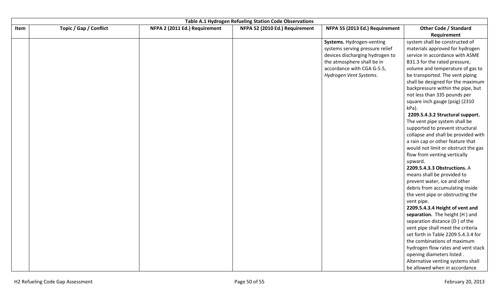|      |                        |                               | Table A.1 Hydrogen Refueling Station Code Observations |                                 |                                             |
|------|------------------------|-------------------------------|--------------------------------------------------------|---------------------------------|---------------------------------------------|
| Item | Topic / Gap / Conflict | NFPA 2 (2011 Ed.) Requirement | NFPA 52 (2010 Ed.) Requirement                         | NFPA 55 (2013 Ed.) Requirement  | <b>Other Code / Standard</b><br>Requirement |
|      |                        |                               |                                                        | Systems. Hydrogen-venting       | system shall be constructed of              |
|      |                        |                               |                                                        | systems serving pressure relief | materials approved for hydrogen             |
|      |                        |                               |                                                        | devices discharging hydrogen to | service in accordance with ASME             |
|      |                        |                               |                                                        | the atmosphere shall be in      | B31.3 for the rated pressure,               |
|      |                        |                               |                                                        | accordance with CGA G-5.5,      | volume and temperature of gas to            |
|      |                        |                               |                                                        | Hydrogen Vent Systems.          | be transported. The vent piping             |
|      |                        |                               |                                                        |                                 | shall be designed for the maximum           |
|      |                        |                               |                                                        |                                 | backpressure within the pipe, but           |
|      |                        |                               |                                                        |                                 | not less than 335 pounds per                |
|      |                        |                               |                                                        |                                 | square inch gauge (psig) (2310              |
|      |                        |                               |                                                        |                                 | kPa).                                       |
|      |                        |                               |                                                        |                                 | 2209.5.4.3.2 Structural support.            |
|      |                        |                               |                                                        |                                 | The vent pipe system shall be               |
|      |                        |                               |                                                        |                                 | supported to prevent structural             |
|      |                        |                               |                                                        |                                 | collapse and shall be provided with         |
|      |                        |                               |                                                        |                                 | a rain cap or other feature that            |
|      |                        |                               |                                                        |                                 | would not limit or obstruct the gas         |
|      |                        |                               |                                                        |                                 | flow from venting vertically                |
|      |                        |                               |                                                        |                                 | upward.                                     |
|      |                        |                               |                                                        |                                 | 2209.5.4.3.3 Obstructions. A                |
|      |                        |                               |                                                        |                                 | means shall be provided to                  |
|      |                        |                               |                                                        |                                 | prevent water, ice and other                |
|      |                        |                               |                                                        |                                 | debris from accumulating inside             |
|      |                        |                               |                                                        |                                 | the vent pipe or obstructing the            |
|      |                        |                               |                                                        |                                 | vent pipe.                                  |
|      |                        |                               |                                                        |                                 | 2209.5.4.3.4 Height of vent and             |
|      |                        |                               |                                                        |                                 | separation. The height (H) and              |
|      |                        |                               |                                                        |                                 | separation distance (D) of the              |
|      |                        |                               |                                                        |                                 | vent pipe shall meet the criteria           |
|      |                        |                               |                                                        |                                 | set forth in Table 2209.5.4.3.4 for         |
|      |                        |                               |                                                        |                                 | the combinations of maximum                 |
|      |                        |                               |                                                        |                                 | hydrogen flow rates and vent stack          |
|      |                        |                               |                                                        |                                 | opening diameters listed.                   |
|      |                        |                               |                                                        |                                 | Alternative venting systems shall           |
|      |                        |                               |                                                        |                                 | be allowed when in accordance               |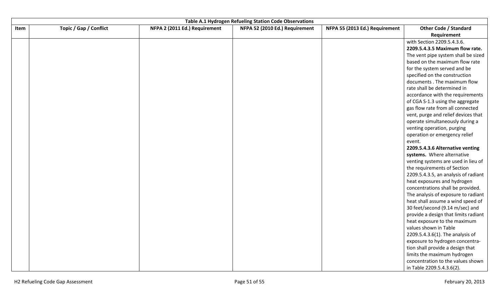|      | Table A.1 Hydrogen Refueling Station Code Observations |                               |                                |                                |                                             |  |  |
|------|--------------------------------------------------------|-------------------------------|--------------------------------|--------------------------------|---------------------------------------------|--|--|
| Item | Topic / Gap / Conflict                                 | NFPA 2 (2011 Ed.) Requirement | NFPA 52 (2010 Ed.) Requirement | NFPA 55 (2013 Ed.) Requirement | <b>Other Code / Standard</b><br>Requirement |  |  |
|      |                                                        |                               |                                |                                | with Section 2209.5.4.3.6.                  |  |  |
|      |                                                        |                               |                                |                                | 2209.5.4.3.5 Maximum flow rate.             |  |  |
|      |                                                        |                               |                                |                                | The vent pipe system shall be sized         |  |  |
|      |                                                        |                               |                                |                                | based on the maximum flow rate              |  |  |
|      |                                                        |                               |                                |                                | for the system served and be                |  |  |
|      |                                                        |                               |                                |                                | specified on the construction               |  |  |
|      |                                                        |                               |                                |                                | documents . The maximum flow                |  |  |
|      |                                                        |                               |                                |                                | rate shall be determined in                 |  |  |
|      |                                                        |                               |                                |                                | accordance with the requirements            |  |  |
|      |                                                        |                               |                                |                                | of CGA S-1.3 using the aggregate            |  |  |
|      |                                                        |                               |                                |                                | gas flow rate from all connected            |  |  |
|      |                                                        |                               |                                |                                | vent, purge and relief devices that         |  |  |
|      |                                                        |                               |                                |                                | operate simultaneously during a             |  |  |
|      |                                                        |                               |                                |                                | venting operation, purging                  |  |  |
|      |                                                        |                               |                                |                                | operation or emergency relief               |  |  |
|      |                                                        |                               |                                |                                | event.                                      |  |  |
|      |                                                        |                               |                                |                                | 2209.5.4.3.6 Alternative venting            |  |  |
|      |                                                        |                               |                                |                                | systems. Where alternative                  |  |  |
|      |                                                        |                               |                                |                                | venting systems are used in lieu of         |  |  |
|      |                                                        |                               |                                |                                | the requirements of Section                 |  |  |
|      |                                                        |                               |                                |                                | 2209.5.4.3.5, an analysis of radiant        |  |  |
|      |                                                        |                               |                                |                                | heat exposures and hydrogen                 |  |  |
|      |                                                        |                               |                                |                                | concentrations shall be provided.           |  |  |
|      |                                                        |                               |                                |                                | The analysis of exposure to radiant         |  |  |
|      |                                                        |                               |                                |                                | heat shall assume a wind speed of           |  |  |
|      |                                                        |                               |                                |                                | 30 feet/second (9.14 m/sec) and             |  |  |
|      |                                                        |                               |                                |                                | provide a design that limits radiant        |  |  |
|      |                                                        |                               |                                |                                | heat exposure to the maximum                |  |  |
|      |                                                        |                               |                                |                                | values shown in Table                       |  |  |
|      |                                                        |                               |                                |                                | 2209.5.4.3.6(1). The analysis of            |  |  |
|      |                                                        |                               |                                |                                | exposure to hydrogen concentra-             |  |  |
|      |                                                        |                               |                                |                                | tion shall provide a design that            |  |  |
|      |                                                        |                               |                                |                                | limits the maximum hydrogen                 |  |  |
|      |                                                        |                               |                                |                                | concentration to the values shown           |  |  |
|      |                                                        |                               |                                |                                | in Table 2209.5.4.3.6(2).                   |  |  |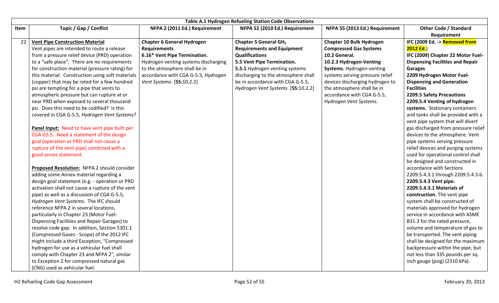|      | <b>Table A.1 Hydrogen Refueling Station Code Observations</b> |                                      |                                     |                                 |                                         |  |
|------|---------------------------------------------------------------|--------------------------------------|-------------------------------------|---------------------------------|-----------------------------------------|--|
| Item | Topic / Gap / Conflict                                        | NFPA 2 (2011 Ed.) Requirement        | NFPA 52 (2010 Ed.) Requirement      | NFPA 55 (2013 Ed.) Requirement  | <b>Other Code / Standard</b>            |  |
|      |                                                               |                                      |                                     |                                 | Requirement                             |  |
| 22   | <b>Vent Pipe Construction Material</b>                        | <b>Chapter 6 General Hydrogen</b>    | Chapter 5 General GH <sub>2</sub>   | Chapter 10 Bulk Hydrogen        | IFC (2009 Ed. -> Removed from           |  |
|      | Vent pipes are intended to route a release                    | <b>Requirements</b>                  | <b>Requirements and Equipment</b>   | <b>Compressed Gas Systems</b>   | 2012 Ed.                                |  |
|      | from a pressure relief device (PRD) operation                 | 6.16* Vent Pipe Termination.         | <b>Qualifications</b>               | 10.2 General.                   | IFC (2009) Chapter 22 Motor Fuel-       |  |
|      | to a "safe place". There are no requirements                  | Hydrogen venting systems discharging | 5.5 Vent Pipe Termination.          | 10.2.3 Hydrogen-Venting         | <b>Dispensing Facilities and Repair</b> |  |
|      | for construction material (pressure rating) for               | to the atmosphere shall be in        | 5.5.1 Hydrogen venting systems      | Systems. Hydrogen-venting       | <b>Garages</b>                          |  |
|      | this material. Construction using soft materials              | accordance with CGA G-5.5, Hydrogen  | discharging to the atmosphere shall | systems serving pressure relief | 2209 Hydrogen Motor Fuel-               |  |
|      | (copper) that may be rated for a few hundred                  | Vent Systems. [55:10.2.2]            | be in accordance with CGA G-5.5,    | devices discharging hydrogen to | <b>Dispensing and Generation</b>        |  |
|      | psi are tempting for a pipe that vents to                     |                                      | Hydrogen Vent Systems. [55:10.2.2]  | the atmosphere shall be in      | <b>Facilities</b>                       |  |
|      | atmospheric pressure but can rupture at or                    |                                      |                                     | accordance with CGA G-5.5,      | 2209.5 Safety Precautions               |  |
|      | near PRD when exposed to several thousand                     |                                      |                                     | Hydrogen Vent Systems.          | 2209.5.4 Venting of hydrogen            |  |
|      | psi. Does this need to be codified? Is this                   |                                      |                                     |                                 | systems. Stationary containers          |  |
|      | covered in CGA G-5.5, Hydrogen Vent Systems?                  |                                      |                                     |                                 | and tanks shall be provided with a      |  |
|      |                                                               |                                      |                                     |                                 | vent pipe system that will divert       |  |
|      | Panel Input: Need to have vent pipe built per                 |                                      |                                     |                                 | gas discharged from pressure relief     |  |
|      | CGA G5.5. Need a statement of the design                      |                                      |                                     |                                 | devices to the atmosphere. Vent         |  |
|      | goal (operation or PRD shall not cause a                      |                                      |                                     |                                 | pipe systems serving pressure           |  |
|      | rupture of the vent pipe) combined with a                     |                                      |                                     |                                 | relief devices and purging systems      |  |
|      | good annex statement.                                         |                                      |                                     |                                 | used for operational control shall      |  |
|      |                                                               |                                      |                                     |                                 | be designed and constructed in          |  |
|      | Proposed Resolution: NFPA 2 should consider                   |                                      |                                     |                                 | accordance with Sections                |  |
|      | adding some Annex material regarding a                        |                                      |                                     |                                 | 2209.5.4.3.1 through 2209.5.4.3.6.      |  |
|      | design goal statement (e.g. - operation or PRD                |                                      |                                     |                                 | 2209.5.4.3 Vent pipe.                   |  |
|      | activation shall not cause a rupture of the vent              |                                      |                                     |                                 | 2209.5.4.3.1 Materials of               |  |
|      | pipe) as well as a discussion of CGA G-5.5,                   |                                      |                                     |                                 | construction. The vent pipe             |  |
|      | Hydrogen Vent Systems. The IFC should                         |                                      |                                     |                                 | system shall be constructed of          |  |
|      | reference NFPA 2 in several locations,                        |                                      |                                     |                                 | materials approved for hydrogen         |  |
|      | particularly in Chapter 23 (Motor Fuel-                       |                                      |                                     |                                 | service in accordance with ASME         |  |
|      | Dispensing Facilities and Repair Garages) to                  |                                      |                                     |                                 | B31.3 for the rated pressure,           |  |
|      | resolve code gap. In addition, Section 5301.1                 |                                      |                                     |                                 | volume and temperature of gas to        |  |
|      | (Compressed Gases - Scope) of the 2012 IFC                    |                                      |                                     |                                 | be transported. The vent piping         |  |
|      | might include a third Exception, "Compressed                  |                                      |                                     |                                 | shall be designed for the maximum       |  |
|      | hydrogen for use as a vehicular fuel shall                    |                                      |                                     |                                 | backpressure within the pipe, but       |  |
|      | comply with Chapter 23 and NFPA 2", similar                   |                                      |                                     |                                 | not less than 335 pounds per sq.        |  |
|      | to Exception 2 for compressed natural gas                     |                                      |                                     |                                 | inch gauge (psig) (2310 kPa).           |  |
|      | (CNG) used as vehicular fuel.                                 |                                      |                                     |                                 |                                         |  |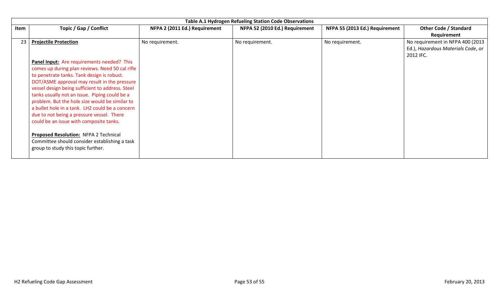|      | Table A.1 Hydrogen Refueling Station Code Observations                                                                       |                               |                                |                                |                                                                                     |  |  |  |
|------|------------------------------------------------------------------------------------------------------------------------------|-------------------------------|--------------------------------|--------------------------------|-------------------------------------------------------------------------------------|--|--|--|
| Item | Topic / Gap / Conflict                                                                                                       | NFPA 2 (2011 Ed.) Requirement | NFPA 52 (2010 Ed.) Requirement | NFPA 55 (2013 Ed.) Requirement | <b>Other Code / Standard</b><br>Requirement                                         |  |  |  |
| 23   | <b>Projectile Protection</b>                                                                                                 | No requirement.               | No requirement.                | No requirement.                | No requirement in NFPA 400 (2013<br>Ed.), Hazardous Materials Code, or<br>2012 IFC. |  |  |  |
|      | Panel Input: Are requirements needed? This<br>comes up during plan reviews. Need 50 cal rifle                                |                               |                                |                                |                                                                                     |  |  |  |
|      | to penetrate tanks. Tank design is robust.<br>DOT/ASME approval may result in the pressure                                   |                               |                                |                                |                                                                                     |  |  |  |
|      | vessel design being sufficient to address. Steel<br>tanks usually not an issue. Piping could be a                            |                               |                                |                                |                                                                                     |  |  |  |
|      | problem. But the hole size would be similar to                                                                               |                               |                                |                                |                                                                                     |  |  |  |
|      | a bullet hole in a tank. LH2 could be a concern<br>due to not being a pressure vessel. There                                 |                               |                                |                                |                                                                                     |  |  |  |
|      | could be an issue with composite tanks.                                                                                      |                               |                                |                                |                                                                                     |  |  |  |
|      | Proposed Resolution: NFPA 2 Technical<br>Committee should consider establishing a task<br>group to study this topic further. |                               |                                |                                |                                                                                     |  |  |  |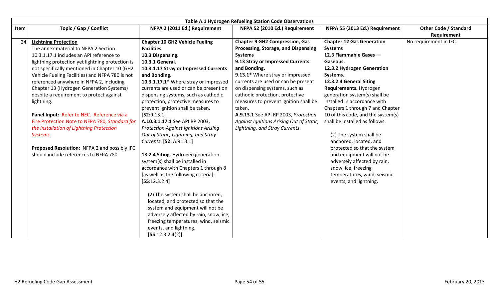| <b>Table A.1 Hydrogen Refueling Station Code Observations</b> |                                                  |                                             |                                          |                                    |                                             |  |  |  |  |  |
|---------------------------------------------------------------|--------------------------------------------------|---------------------------------------------|------------------------------------------|------------------------------------|---------------------------------------------|--|--|--|--|--|
| Item                                                          | Topic / Gap / Conflict                           | NFPA 2 (2011 Ed.) Requirement               | NFPA 52 (2010 Ed.) Requirement           | NFPA 55 (2013 Ed.) Requirement     | <b>Other Code / Standard</b><br>Requirement |  |  |  |  |  |
| 24                                                            | <b>Lightning Protection</b>                      | <b>Chapter 10 GH2 Vehicle Fueling</b>       | <b>Chapter 9 GH2 Compression, Gas</b>    | <b>Chapter 12 Gas Generation</b>   | No requirement in IFC.                      |  |  |  |  |  |
|                                                               | The annex material to NFPA 2 Section             | <b>Facilities</b>                           | Processing, Storage, and Dispensing      | <b>Systems</b>                     |                                             |  |  |  |  |  |
|                                                               | 10.3.1.17.1 includes an API reference to         | 10.3 Dispensing.                            | <b>Systems</b>                           | 12.3 Flammable Gases -             |                                             |  |  |  |  |  |
|                                                               | lightning protection yet lightning protection is | 10.3.1 General.                             | 9.13 Stray or Impressed Currents         | Gaseous.                           |                                             |  |  |  |  |  |
|                                                               | not specifically mentioned in Chapter 10 (GH2    | 10.3.1.17 Stray or Impressed Currents       | and Bonding.                             | 12.3.2 Hydrogen Generation         |                                             |  |  |  |  |  |
|                                                               | Vehicle Fueling Facilities) and NFPA 780 is not  | and Bonding.                                | 9.13.1* Where stray or impressed         | Systems.                           |                                             |  |  |  |  |  |
|                                                               | referenced anywhere in NFPA 2, including         | 10.3.1.17.1* Where stray or impressed       | currents are used or can be present      | 12.3.2.4 General Siting            |                                             |  |  |  |  |  |
|                                                               | Chapter 13 (Hydrogen Generation Systems)         | currents are used or can be present on      | on dispensing systems, such as           | Requirements. Hydrogen             |                                             |  |  |  |  |  |
|                                                               | despite a requirement to protect against         | dispensing systems, such as cathodic        | cathodic protection, protective          | generation system(s) shall be      |                                             |  |  |  |  |  |
|                                                               | lightning.                                       | protection, protective measures to          | measures to prevent ignition shall be    | installed in accordance with       |                                             |  |  |  |  |  |
|                                                               |                                                  | prevent ignition shall be taken.            | taken.                                   | Chapters 1 through 7 and Chapter   |                                             |  |  |  |  |  |
|                                                               | Panel Input: Refer to NEC. Reference via a       | [52:9.13.1]                                 | A.9.13.1 See API RP 2003, Protection     | 10 of this code, and the system(s) |                                             |  |  |  |  |  |
|                                                               | Fire Protection Note to NFPA 780, Standard for   | A.10.3.1.17.1 See API RP 2003,              | Against Ignitions Arising Out of Static, | shall be installed as follows:     |                                             |  |  |  |  |  |
|                                                               | the Installation of Lightning Protection         | <b>Protection Against Ignitions Arising</b> | Lightning, and Stray Currents.           |                                    |                                             |  |  |  |  |  |
|                                                               | Systems.                                         | Out of Static, Lightning, and Stray         |                                          | (2) The system shall be            |                                             |  |  |  |  |  |
|                                                               |                                                  | Currents. [52: A.9.13.1]                    |                                          | anchored, located, and             |                                             |  |  |  |  |  |
|                                                               | Proposed Resolution: NFPA 2 and possibly IFC     |                                             |                                          | protected so that the system       |                                             |  |  |  |  |  |
|                                                               | should include references to NFPA 780.           | 13.2.4 Siting. Hydrogen generation          |                                          | and equipment will not be          |                                             |  |  |  |  |  |
|                                                               |                                                  | system(s) shall be installed in             |                                          | adversely affected by rain,        |                                             |  |  |  |  |  |
|                                                               |                                                  | accordance with Chapters 1 through 8        |                                          | snow, ice, freezing                |                                             |  |  |  |  |  |
|                                                               |                                                  | [as well as the following criteria]:        |                                          | temperatures, wind, seismic        |                                             |  |  |  |  |  |
|                                                               |                                                  | [55:12.3.2.4]                               |                                          | events, and lightning.             |                                             |  |  |  |  |  |
|                                                               |                                                  |                                             |                                          |                                    |                                             |  |  |  |  |  |
|                                                               |                                                  | (2) The system shall be anchored,           |                                          |                                    |                                             |  |  |  |  |  |
|                                                               |                                                  | located, and protected so that the          |                                          |                                    |                                             |  |  |  |  |  |
|                                                               |                                                  | system and equipment will not be            |                                          |                                    |                                             |  |  |  |  |  |
|                                                               |                                                  | adversely affected by rain, snow, ice,      |                                          |                                    |                                             |  |  |  |  |  |
|                                                               |                                                  | freezing temperatures, wind, seismic        |                                          |                                    |                                             |  |  |  |  |  |
|                                                               |                                                  | events, and lightning.                      |                                          |                                    |                                             |  |  |  |  |  |
|                                                               |                                                  | [55:12.3.2.4(2)]                            |                                          |                                    |                                             |  |  |  |  |  |